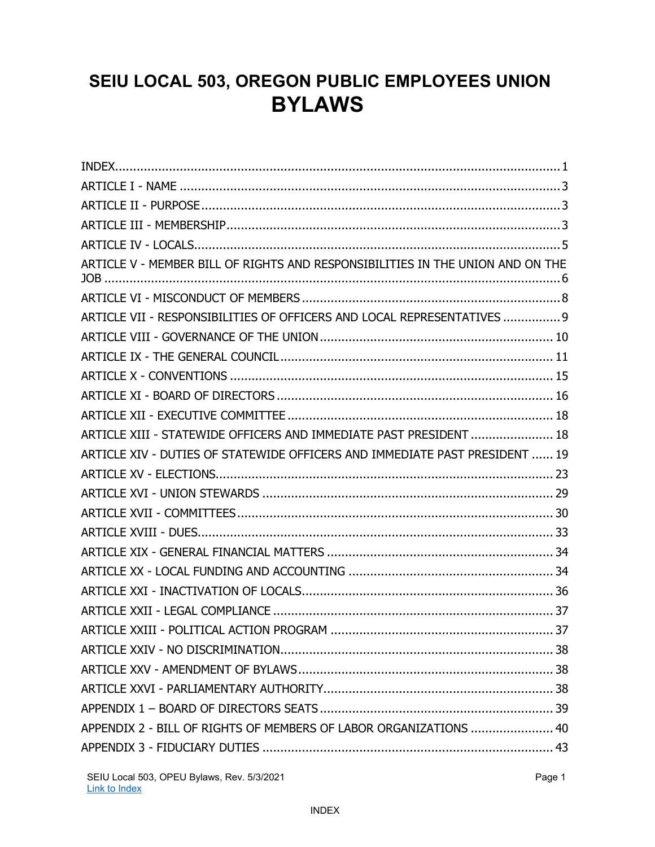# **SEIU LOCAL 503, OREGON PUBLIC EMPLOYEES UNION BYLAWS**

<span id="page-0-1"></span><span id="page-0-0"></span>

| ARTICLE V - MEMBER BILL OF RIGHTS AND RESPONSIBILITIES IN THE UNION AND ON THE |
|--------------------------------------------------------------------------------|
|                                                                                |
| ARTICLE VII - RESPONSIBILITIES OF OFFICERS AND LOCAL REPRESENTATIVES  9        |
|                                                                                |
|                                                                                |
|                                                                                |
|                                                                                |
|                                                                                |
| ARTICLE XIII - STATEWIDE OFFICERS AND IMMEDIATE PAST PRESIDENT  18             |
| ARTICLE XIV - DUTIES OF STATEWIDE OFFICERS AND IMMEDIATE PAST PRESIDENT  19    |
|                                                                                |
|                                                                                |
|                                                                                |
|                                                                                |
|                                                                                |
|                                                                                |
|                                                                                |
|                                                                                |
|                                                                                |
|                                                                                |
|                                                                                |
|                                                                                |
|                                                                                |
| APPENDIX 2 - BILL OF RIGHTS OF MEMBERS OF LABOR ORGANIZATIONS  40              |
|                                                                                |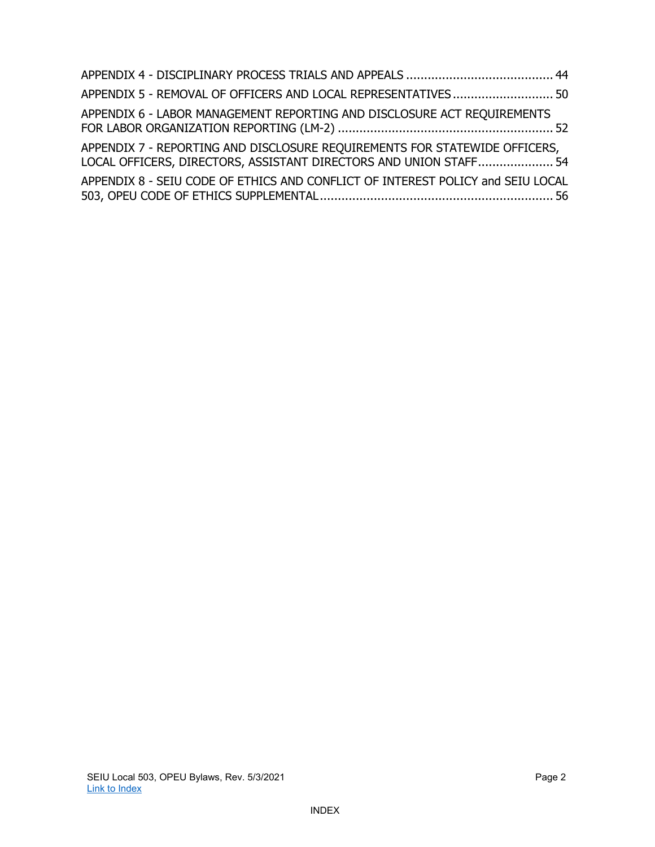| APPENDIX 5 - REMOVAL OF OFFICERS AND LOCAL REPRESENTATIVES 50                                                                                   |  |
|-------------------------------------------------------------------------------------------------------------------------------------------------|--|
| APPENDIX 6 - LABOR MANAGEMENT REPORTING AND DISCLOSURE ACT REQUIREMENTS                                                                         |  |
| APPENDIX 7 - REPORTING AND DISCLOSURE REQUIREMENTS FOR STATEWIDE OFFICERS,<br>LOCAL OFFICERS, DIRECTORS, ASSISTANT DIRECTORS AND UNION STAFF 54 |  |
| APPENDIX 8 - SEIU CODE OF ETHICS AND CONFLICT OF INTEREST POLICY and SEIU LOCAL                                                                 |  |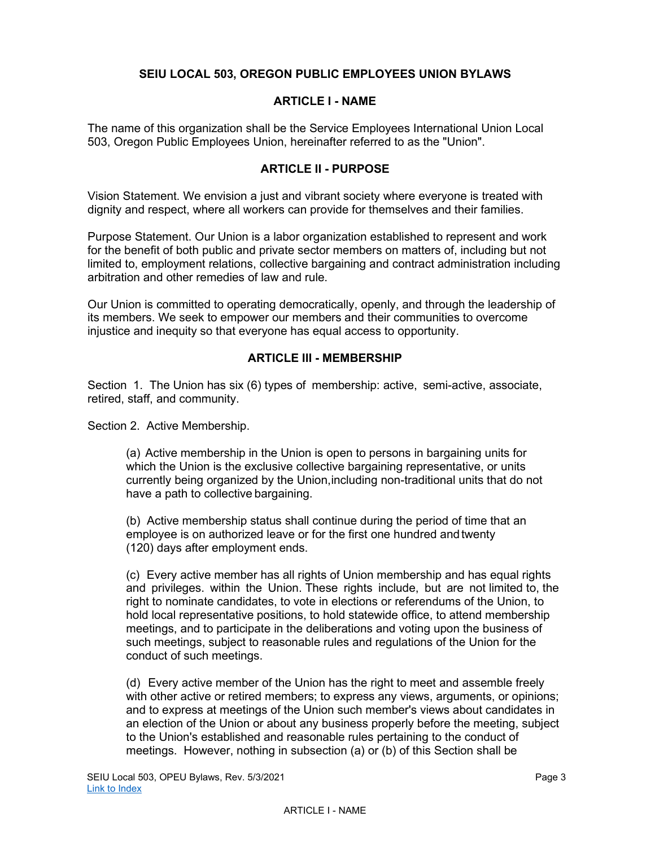# **SEIU LOCAL 503, OREGON PUBLIC EMPLOYEES UNION BYLAWS**

#### **ARTICLE I - NAME**

<span id="page-2-0"></span>The name of this organization shall be the Service Employees International Union Local 503, Oregon Public Employees Union, hereinafter referred to as the "Union".

# **ARTICLE II - PURPOSE**

<span id="page-2-1"></span>Vision Statement. We envision a just and vibrant society where everyone is treated with dignity and respect, where all workers can provide for themselves and their families.

Purpose Statement. Our Union is a labor organization established to represent and work for the benefit of both public and private sector members on matters of, including but not limited to, employment relations, collective bargaining and contract administration including arbitration and other remedies of law and rule.

Our Union is committed to operating democratically, openly, and through the leadership of its members. We seek to empower our members and their communities to overcome injustice and inequity so that everyone has equal access to opportunity.

#### **ARTICLE III - MEMBERSHIP**

<span id="page-2-2"></span>Section 1. The Union has six (6) types of membership: active, semi-active, associate, retired, staff, and community.

Section 2. Active Membership.

(a) Active membership in the Union is open to persons in bargaining units for which the Union is the exclusive collective bargaining representative, or units currently being organized by the Union,including non-traditional units that do not have a path to collective bargaining.

(b) Active membership status shall continue during the period of time that an employee is on authorized leave or for the first one hundred andtwenty (120) days after employment ends.

(c) Every active member has all rights of Union membership and has equal rights and privileges. within the Union. These rights include, but are not limited to, the right to nominate candidates, to vote in elections or referendums of the Union, to hold local representative positions, to hold statewide office, to attend membership meetings, and to participate in the deliberations and voting upon the business of such meetings, subject to reasonable rules and regulations of the Union for the conduct of such meetings.

(d) Every active member of the Union has the right to meet and assemble freely with other active or retired members; to express any views, arguments, or opinions; and to express at meetings of the Union such member's views about candidates in an election of the Union or about any business properly before the meeting, subject to the Union's established and reasonable rules pertaining to the conduct of meetings. However, nothing in subsection (a) or (b) of this Section shall be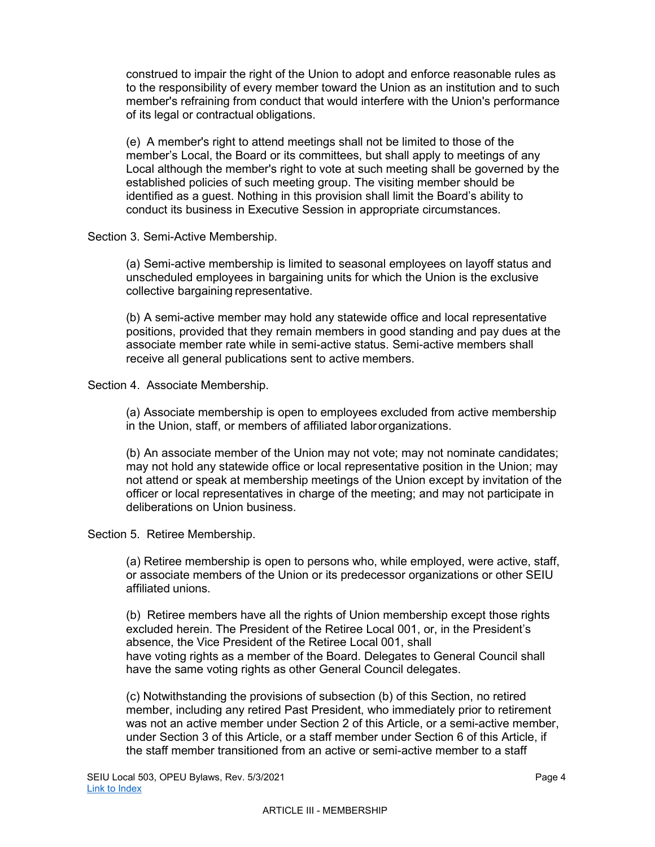construed to impair the right of the Union to adopt and enforce reasonable rules as to the responsibility of every member toward the Union as an institution and to such member's refraining from conduct that would interfere with the Union's performance of its legal or contractual obligations.

(e) A member's right to attend meetings shall not be limited to those of the member's Local, the Board or its committees, but shall apply to meetings of any Local although the member's right to vote at such meeting shall be governed by the established policies of such meeting group. The visiting member should be identified as a guest. Nothing in this provision shall limit the Board's ability to conduct its business in Executive Session in appropriate circumstances.

Section 3. Semi-Active Membership.

(a) Semi-active membership is limited to seasonal employees on layoff status and unscheduled employees in bargaining units for which the Union is the exclusive collective bargaining representative.

(b) A semi-active member may hold any statewide office and local representative positions, provided that they remain members in good standing and pay dues at the associate member rate while in semi-active status. Semi-active members shall receive all general publications sent to active members.

Section 4. Associate Membership.

(a) Associate membership is open to employees excluded from active membership in the Union, staff, or members of affiliated labor organizations.

(b) An associate member of the Union may not vote; may not nominate candidates; may not hold any statewide office or local representative position in the Union; may not attend or speak at membership meetings of the Union except by invitation of the officer or local representatives in charge of the meeting; and may not participate in deliberations on Union business.

# Section 5. Retiree Membership.

(a) Retiree membership is open to persons who, while employed, were active, staff, or associate members of the Union or its predecessor organizations or other SEIU affiliated unions.

(b) Retiree members have all the rights of Union membership except those rights excluded herein. The President of the Retiree Local 001, or, in the President's absence, the Vice President of the Retiree Local 001, shall have voting rights as a member of the Board. Delegates to General Council shall have the same voting rights as other General Council delegates.

(c) Notwithstanding the provisions of subsection (b) of this Section, no retired member, including any retired Past President, who immediately prior to retirement was not an active member under Section 2 of this Article, or a semi-active member, under Section 3 of this Article, or a staff member under Section 6 of this Article, if the staff member transitioned from an active or semi-active member to a staff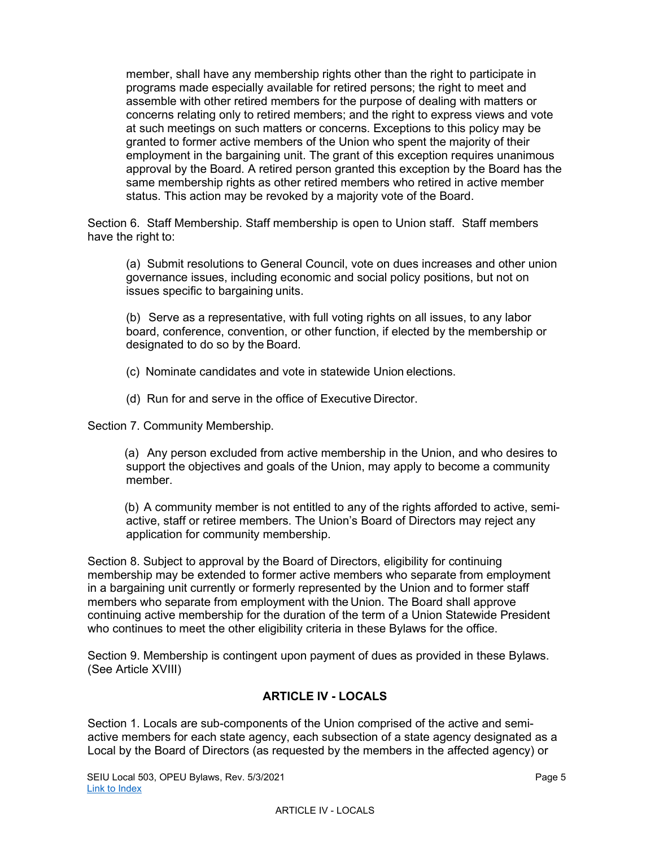member, shall have any membership rights other than the right to participate in programs made especially available for retired persons; the right to meet and assemble with other retired members for the purpose of dealing with matters or concerns relating only to retired members; and the right to express views and vote at such meetings on such matters or concerns. Exceptions to this policy may be granted to former active members of the Union who spent the majority of their employment in the bargaining unit. The grant of this exception requires unanimous approval by the Board. A retired person granted this exception by the Board has the same membership rights as other retired members who retired in active member status. This action may be revoked by a majority vote of the Board.

Section 6. Staff Membership. Staff membership is open to Union staff. Staff members have the right to:

(a) Submit resolutions to General Council, vote on dues increases and other union governance issues, including economic and social policy positions, but not on issues specific to bargaining units.

(b) Serve as a representative, with full voting rights on all issues, to any labor board, conference, convention, or other function, if elected by the membership or designated to do so by the Board.

- (c) Nominate candidates and vote in statewide Union elections.
- (d) Run for and serve in the office of Executive Director.

Section 7. Community Membership.

(a) Any person excluded from active membership in the Union, and who desires to support the objectives and goals of the Union, may apply to become a community member.

(b) A community member is not entitled to any of the rights afforded to active, semiactive, staff or retiree members. The Union's Board of Directors may reject any application for community membership.

Section 8. Subject to approval by the Board of Directors, eligibility for continuing membership may be extended to former active members who separate from employment in a bargaining unit currently or formerly represented by the Union and to former staff members who separate from employment with the Union. The Board shall approve continuing active membership for the duration of the term of a Union Statewide President who continues to meet the other eligibility criteria in these Bylaws for the office.

Section 9. Membership is contingent upon payment of dues as provided in these Bylaws. (See Article XVIII)

# **ARTICLE IV - LOCALS**

<span id="page-4-0"></span>Section 1. Locals are sub-components of the Union comprised of the active and semiactive members for each state agency, each subsection of a state agency designated as a Local by the Board of Directors (as requested by the members in the affected agency) or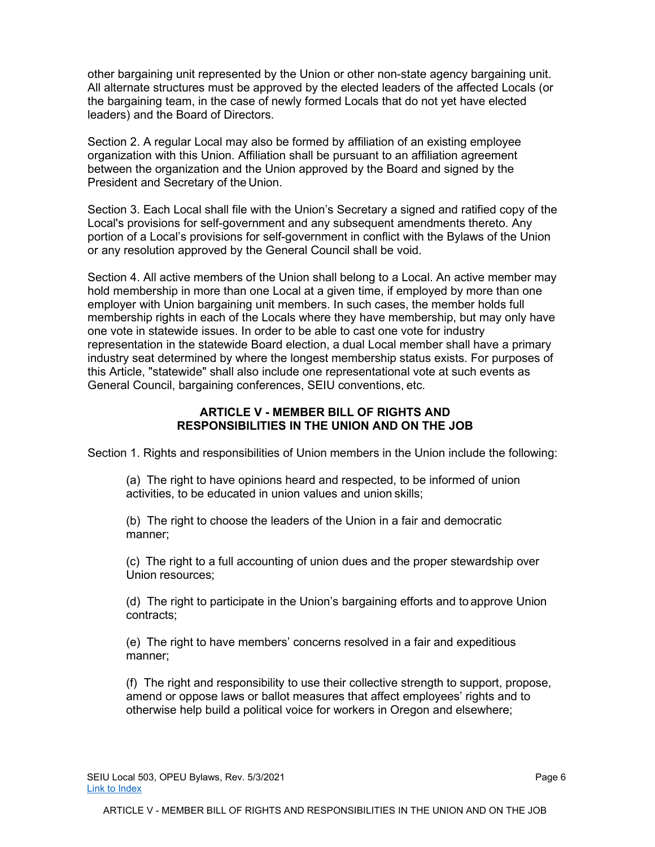other bargaining unit represented by the Union or other non-state agency bargaining unit. All alternate structures must be approved by the elected leaders of the affected Locals (or the bargaining team, in the case of newly formed Locals that do not yet have elected leaders) and the Board of Directors.

Section 2. A regular Local may also be formed by affiliation of an existing employee organization with this Union. Affiliation shall be pursuant to an affiliation agreement between the organization and the Union approved by the Board and signed by the President and Secretary of the Union.

Section 3. Each Local shall file with the Union's Secretary a signed and ratified copy of the Local's provisions for self-government and any subsequent amendments thereto. Any portion of a Local's provisions for self-government in conflict with the Bylaws of the Union or any resolution approved by the General Council shall be void.

Section 4. All active members of the Union shall belong to a Local. An active member may hold membership in more than one Local at a given time, if employed by more than one employer with Union bargaining unit members. In such cases, the member holds full membership rights in each of the Locals where they have membership, but may only have one vote in statewide issues. In order to be able to cast one vote for industry representation in the statewide Board election, a dual Local member shall have a primary industry seat determined by where the longest membership status exists. For purposes of this Article, "statewide" shall also include one representational vote at such events as General Council, bargaining conferences, SEIU conventions, etc.

#### **ARTICLE V - MEMBER BILL OF RIGHTS AND RESPONSIBILITIES IN THE UNION AND ON THE JOB**

<span id="page-5-0"></span>Section 1. Rights and responsibilities of Union members in the Union include the following:

(a) The right to have opinions heard and respected, to be informed of union activities, to be educated in union values and union skills;

(b) The right to choose the leaders of the Union in a fair and democratic manner;

(c) The right to a full accounting of union dues and the proper stewardship over Union resources;

(d) The right to participate in the Union's bargaining efforts and to approve Union contracts;

(e) The right to have members' concerns resolved in a fair and expeditious manner;

(f) The right and responsibility to use their collective strength to support, propose, amend or oppose laws or ballot measures that affect employees' rights and to otherwise help build a political voice for workers in Oregon and elsewhere;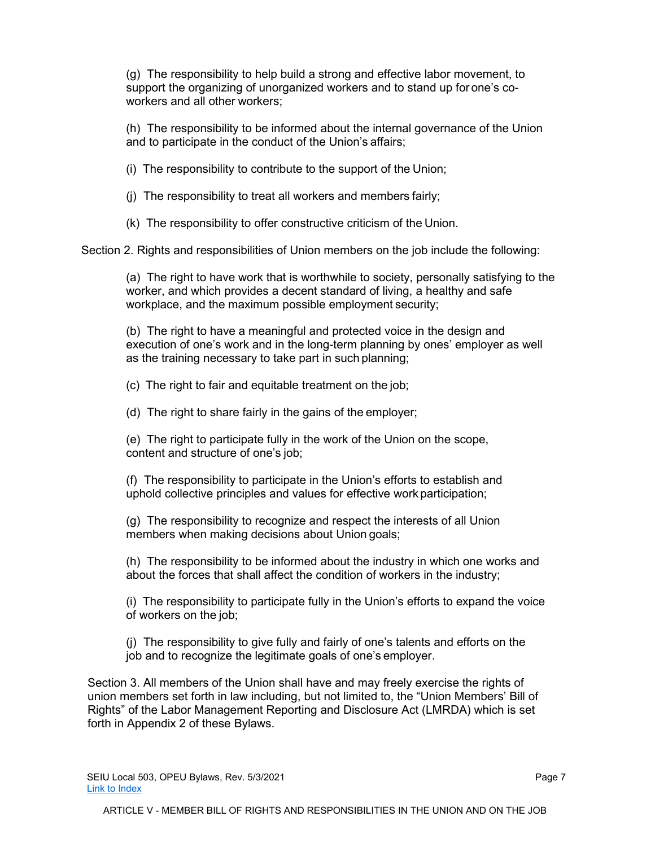(g) The responsibility to help build a strong and effective labor movement, to support the organizing of unorganized workers and to stand up for one's coworkers and all other workers;

(h) The responsibility to be informed about the internal governance of the Union and to participate in the conduct of the Union's affairs;

(i) The responsibility to contribute to the support of the Union;

(j) The responsibility to treat all workers and members fairly;

(k) The responsibility to offer constructive criticism of the Union.

Section 2. Rights and responsibilities of Union members on the job include the following:

(a) The right to have work that is worthwhile to society, personally satisfying to the worker, and which provides a decent standard of living, a healthy and safe workplace, and the maximum possible employment security;

(b) The right to have a meaningful and protected voice in the design and execution of one's work and in the long-term planning by ones' employer as well as the training necessary to take part in such planning;

(c) The right to fair and equitable treatment on the job;

(d) The right to share fairly in the gains of the employer;

(e) The right to participate fully in the work of the Union on the scope, content and structure of one's job;

(f) The responsibility to participate in the Union's efforts to establish and uphold collective principles and values for effective work participation;

(g) The responsibility to recognize and respect the interests of all Union members when making decisions about Union goals;

(h) The responsibility to be informed about the industry in which one works and about the forces that shall affect the condition of workers in the industry;

(i) The responsibility to participate fully in the Union's efforts to expand the voice of workers on the job;

(j) The responsibility to give fully and fairly of one's talents and efforts on the job and to recognize the legitimate goals of one's employer.

Section 3. All members of the Union shall have and may freely exercise the rights of union members set forth in law including, but not limited to, the "Union Members' Bill of Rights" of the Labor Management Reporting and Disclosure Act (LMRDA) which is set forth in Appendix 2 of these Bylaws.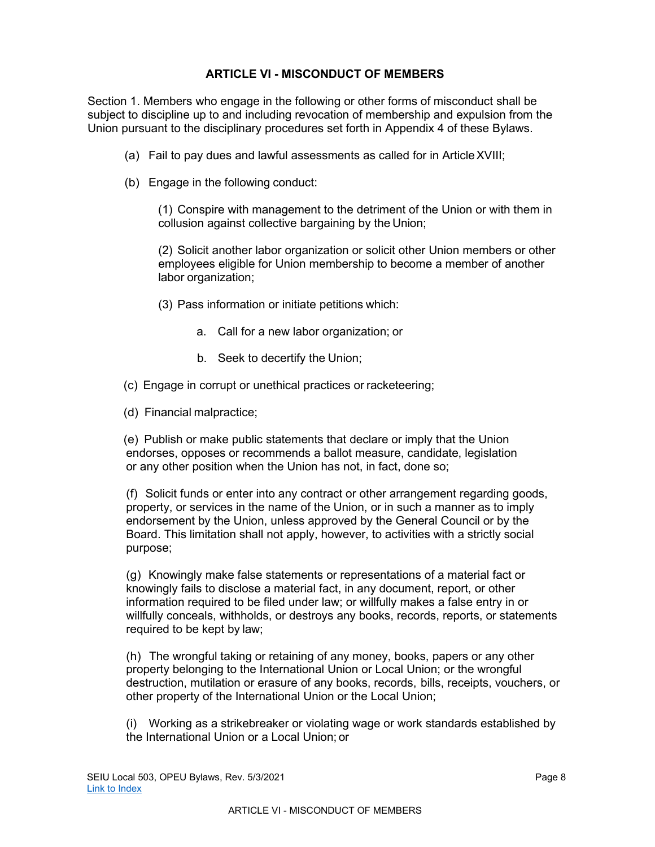# **ARTICLE VI - MISCONDUCT OF MEMBERS**

<span id="page-7-0"></span>Section 1. Members who engage in the following or other forms of misconduct shall be subject to discipline up to and including revocation of membership and expulsion from the Union pursuant to the disciplinary procedures set forth in Appendix 4 of these Bylaws.

- (a) Fail to pay dues and lawful assessments as called for in ArticleXVIII;
- (b) Engage in the following conduct:

(1) Conspire with management to the detriment of the Union or with them in collusion against collective bargaining by the Union;

(2) Solicit another labor organization or solicit other Union members or other employees eligible for Union membership to become a member of another labor organization;

(3) Pass information or initiate petitions which:

- a. Call for a new labor organization; or
- b. Seek to decertify the Union;
- (c) Engage in corrupt or unethical practices or racketeering;
- (d) Financial malpractice;

(e) Publish or make public statements that declare or imply that the Union endorses, opposes or recommends a ballot measure, candidate, legislation or any other position when the Union has not, in fact, done so;

(f) Solicit funds or enter into any contract or other arrangement regarding goods, property, or services in the name of the Union, or in such a manner as to imply endorsement by the Union, unless approved by the General Council or by the Board. This limitation shall not apply, however, to activities with a strictly social purpose;

(g) Knowingly make false statements or representations of a material fact or knowingly fails to disclose a material fact, in any document, report, or other information required to be filed under law; or willfully makes a false entry in or willfully conceals, withholds, or destroys any books, records, reports, or statements required to be kept by law;

(h) The wrongful taking or retaining of any money, books, papers or any other property belonging to the International Union or Local Union; or the wrongful destruction, mutilation or erasure of any books, records, bills, receipts, vouchers, or other property of the International Union or the Local Union;

(i) Working as a strikebreaker or violating wage or work standards established by the International Union or a Local Union; or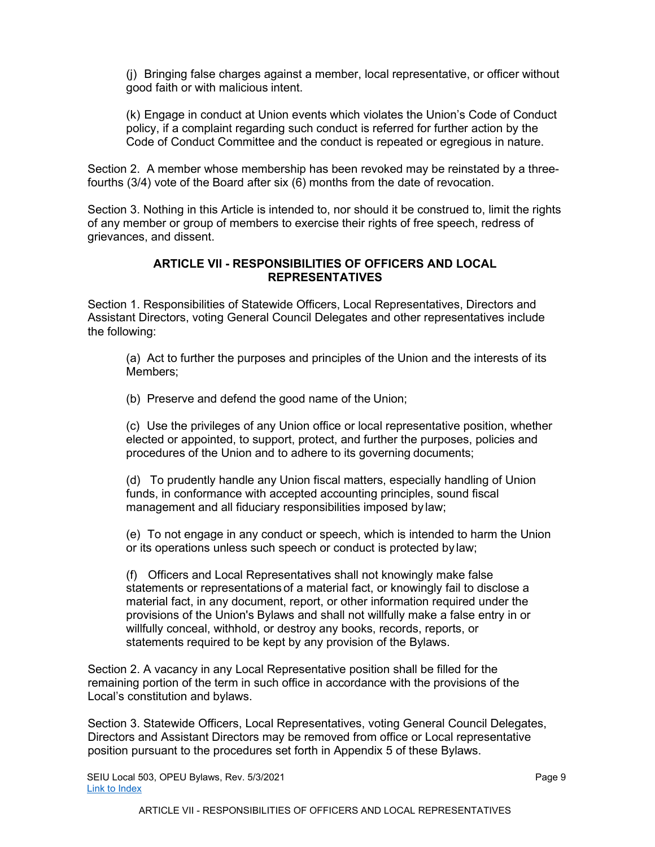(j) Bringing false charges against a member, local representative, or officer without good faith or with malicious intent.

(k) Engage in conduct at Union events which violates the Union's Code of Conduct policy, if a complaint regarding such conduct is referred for further action by the Code of Conduct Committee and the conduct is repeated or egregious in nature.

Section 2. A member whose membership has been revoked may be reinstated by a threefourths (3/4) vote of the Board after six (6) months from the date of revocation.

Section 3. Nothing in this Article is intended to, nor should it be construed to, limit the rights of any member or group of members to exercise their rights of free speech, redress of grievances, and dissent.

#### **ARTICLE VII - RESPONSIBILITIES OF OFFICERS AND LOCAL REPRESENTATIVES**

<span id="page-8-0"></span>Section 1. Responsibilities of Statewide Officers, Local Representatives, Directors and Assistant Directors, voting General Council Delegates and other representatives include the following:

(a) Act to further the purposes and principles of the Union and the interests of its Members;

(b) Preserve and defend the good name of the Union;

(c) Use the privileges of any Union office or local representative position, whether elected or appointed, to support, protect, and further the purposes, policies and procedures of the Union and to adhere to its governing documents;

(d) To prudently handle any Union fiscal matters, especially handling of Union funds, in conformance with accepted accounting principles, sound fiscal management and all fiduciary responsibilities imposed by law;

(e) To not engage in any conduct or speech, which is intended to harm the Union or its operations unless such speech or conduct is protected by law;

(f) Officers and Local Representatives shall not knowingly make false statements or representations of a material fact, or knowingly fail to disclose a material fact, in any document, report, or other information required under the provisions of the Union's Bylaws and shall not willfully make a false entry in or willfully conceal, withhold, or destroy any books, records, reports, or statements required to be kept by any provision of the Bylaws.

Section 2. A vacancy in any Local Representative position shall be filled for the remaining portion of the term in such office in accordance with the provisions of the Local's constitution and bylaws.

Section 3. Statewide Officers, Local Representatives, voting General Council Delegates, Directors and Assistant Directors may be removed from office or Local representative position pursuant to the procedures set forth in Appendix 5 of these Bylaws.

SEIU Local 503, OPEU Bylaws, Rev. 5/3/2021 [Link to Index](#page-0-0)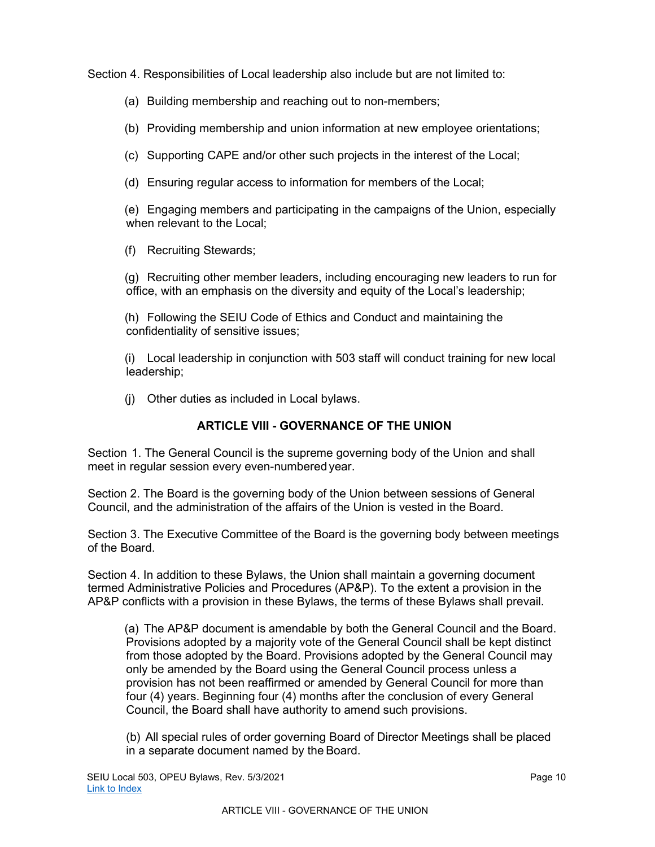Section 4. Responsibilities of Local leadership also include but are not limited to:

- (a) Building membership and reaching out to non-members;
- (b) Providing membership and union information at new employee orientations;
- (c) Supporting CAPE and/or other such projects in the interest of the Local;
- (d) Ensuring regular access to information for members of the Local;

(e) Engaging members and participating in the campaigns of the Union, especially when relevant to the Local;

(f) Recruiting Stewards;

(g) Recruiting other member leaders, including encouraging new leaders to run for office, with an emphasis on the diversity and equity of the Local's leadership;

(h) Following the SEIU Code of Ethics and Conduct and maintaining the confidentiality of sensitive issues;

(i) Local leadership in conjunction with 503 staff will conduct training for new local leadership;

(j) Other duties as included in Local bylaws.

# **ARTICLE VIII - GOVERNANCE OF THE UNION**

<span id="page-9-0"></span>Section 1. The General Council is the supreme governing body of the Union and shall meet in regular session every even-numbered year.

Section 2. The Board is the governing body of the Union between sessions of General Council, and the administration of the affairs of the Union is vested in the Board.

Section 3. The Executive Committee of the Board is the governing body between meetings of the Board.

Section 4. In addition to these Bylaws, the Union shall maintain a governing document termed Administrative Policies and Procedures (AP&P). To the extent a provision in the AP&P conflicts with a provision in these Bylaws, the terms of these Bylaws shall prevail.

(a) The AP&P document is amendable by both the General Council and the Board. Provisions adopted by a majority vote of the General Council shall be kept distinct from those adopted by the Board. Provisions adopted by the General Council may only be amended by the Board using the General Council process unless a provision has not been reaffirmed or amended by General Council for more than four (4) years. Beginning four (4) months after the conclusion of every General Council, the Board shall have authority to amend such provisions.

(b) All special rules of order governing Board of Director Meetings shall be placed in a separate document named by the Board.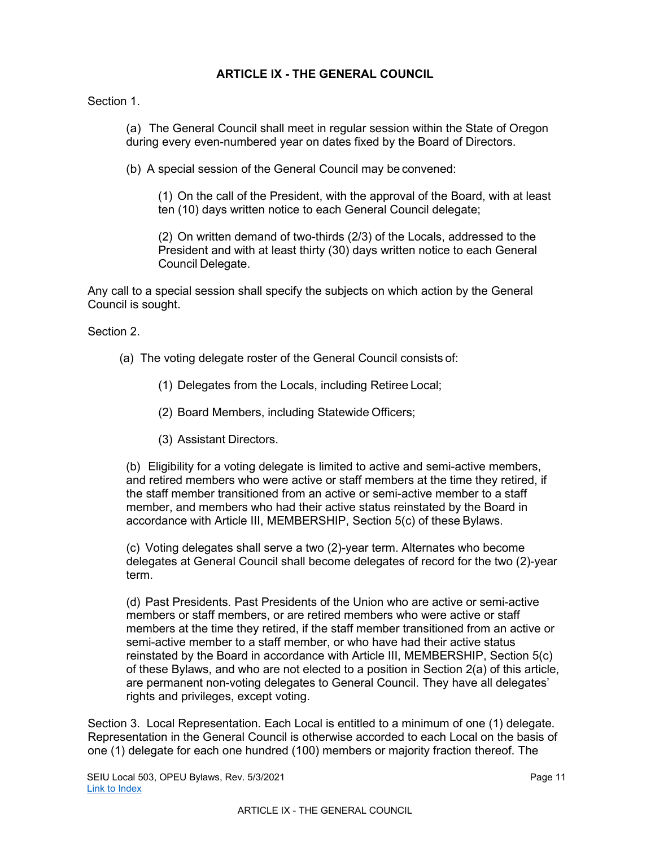# **ARTICLE IX - THE GENERAL COUNCIL**

<span id="page-10-0"></span>Section 1.

(a) The General Council shall meet in regular session within the State of Oregon during every even-numbered year on dates fixed by the Board of Directors.

(b) A special session of the General Council may be convened:

(1) On the call of the President, with the approval of the Board, with at least ten (10) days written notice to each General Council delegate;

(2) On written demand of two-thirds (2/3) of the Locals, addressed to the President and with at least thirty (30) days written notice to each General Council Delegate.

Any call to a special session shall specify the subjects on which action by the General Council is sought.

Section 2.

- (a) The voting delegate roster of the General Council consists of:
	- (1) Delegates from the Locals, including Retiree Local;
	- (2) Board Members, including Statewide Officers;
	- (3) Assistant Directors.

(b) Eligibility for a voting delegate is limited to active and semi-active members, and retired members who were active or staff members at the time they retired, if the staff member transitioned from an active or semi-active member to a staff member, and members who had their active status reinstated by the Board in accordance with Article III, MEMBERSHIP, Section 5(c) of these Bylaws.

(c) Voting delegates shall serve a two (2)-year term. Alternates who become delegates at General Council shall become delegates of record for the two (2)-year term.

(d) Past Presidents. Past Presidents of the Union who are active or semi-active members or staff members, or are retired members who were active or staff members at the time they retired, if the staff member transitioned from an active or semi-active member to a staff member, or who have had their active status reinstated by the Board in accordance with Article III, MEMBERSHIP, Section 5(c) of these Bylaws, and who are not elected to a position in Section 2(a) of this article, are permanent non-voting delegates to General Council. They have all delegates' rights and privileges, except voting.

Section 3. Local Representation. Each Local is entitled to a minimum of one (1) delegate. Representation in the General Council is otherwise accorded to each Local on the basis of one (1) delegate for each one hundred (100) members or majority fraction thereof. The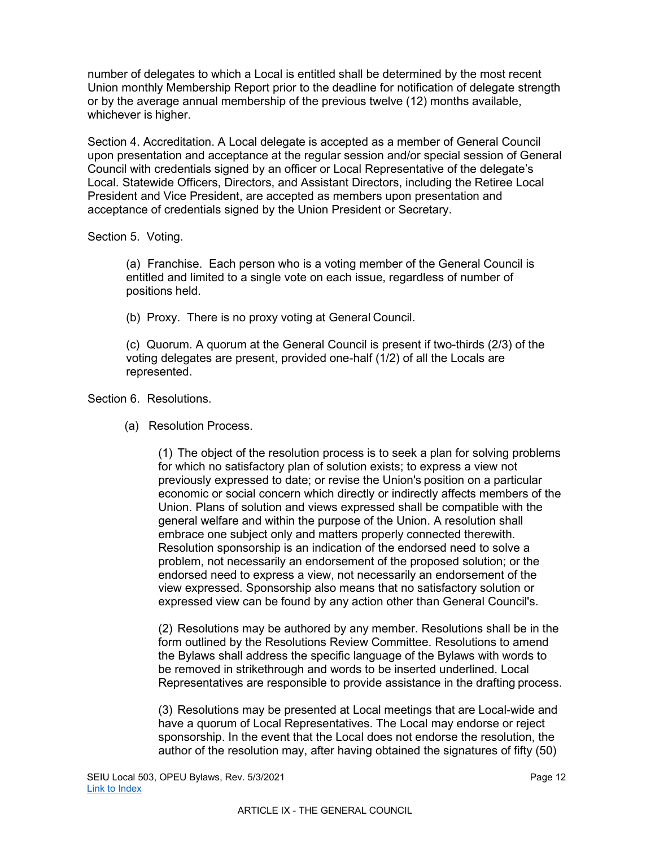number of delegates to which a Local is entitled shall be determined by the most recent Union monthly Membership Report prior to the deadline for notification of delegate strength or by the average annual membership of the previous twelve (12) months available, whichever is higher.

Section 4. Accreditation. A Local delegate is accepted as a member of General Council upon presentation and acceptance at the regular session and/or special session of General Council with credentials signed by an officer or Local Representative of the delegate's Local. Statewide Officers, Directors, and Assistant Directors, including the Retiree Local President and Vice President, are accepted as members upon presentation and acceptance of credentials signed by the Union President or Secretary.

Section 5. Voting.

(a) Franchise. Each person who is a voting member of the General Council is entitled and limited to a single vote on each issue, regardless of number of positions held.

(b) Proxy. There is no proxy voting at General Council.

(c) Quorum. A quorum at the General Council is present if two-thirds (2/3) of the voting delegates are present, provided one-half (1/2) of all the Locals are represented.

Section 6. Resolutions.

(a) Resolution Process.

(1) The object of the resolution process is to seek a plan for solving problems for which no satisfactory plan of solution exists; to express a view not previously expressed to date; or revise the Union's position on a particular economic or social concern which directly or indirectly affects members of the Union. Plans of solution and views expressed shall be compatible with the general welfare and within the purpose of the Union. A resolution shall embrace one subject only and matters properly connected therewith. Resolution sponsorship is an indication of the endorsed need to solve a problem, not necessarily an endorsement of the proposed solution; or the endorsed need to express a view, not necessarily an endorsement of the view expressed. Sponsorship also means that no satisfactory solution or expressed view can be found by any action other than General Council's.

(2) Resolutions may be authored by any member. Resolutions shall be in the form outlined by the Resolutions Review Committee. Resolutions to amend the Bylaws shall address the specific language of the Bylaws with words to be removed in strikethrough and words to be inserted underlined. Local Representatives are responsible to provide assistance in the drafting process.

(3) Resolutions may be presented at Local meetings that are Local-wide and have a quorum of Local Representatives. The Local may endorse or reject sponsorship. In the event that the Local does not endorse the resolution, the author of the resolution may, after having obtained the signatures of fifty (50)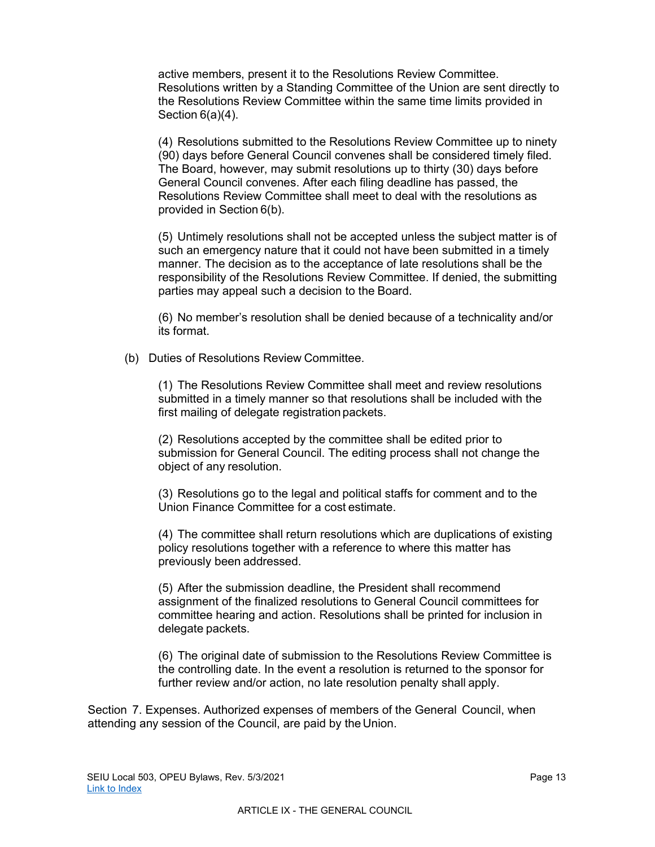active members, present it to the Resolutions Review Committee. Resolutions written by a Standing Committee of the Union are sent directly to the Resolutions Review Committee within the same time limits provided in Section 6(a)(4).

(4) Resolutions submitted to the Resolutions Review Committee up to ninety (90) days before General Council convenes shall be considered timely filed. The Board, however, may submit resolutions up to thirty (30) days before General Council convenes. After each filing deadline has passed, the Resolutions Review Committee shall meet to deal with the resolutions as provided in Section 6(b).

(5) Untimely resolutions shall not be accepted unless the subject matter is of such an emergency nature that it could not have been submitted in a timely manner. The decision as to the acceptance of late resolutions shall be the responsibility of the Resolutions Review Committee. If denied, the submitting parties may appeal such a decision to the Board.

(6) No member's resolution shall be denied because of a technicality and/or its format.

(b) Duties of Resolutions Review Committee.

(1) The Resolutions Review Committee shall meet and review resolutions submitted in a timely manner so that resolutions shall be included with the first mailing of delegate registration packets.

(2) Resolutions accepted by the committee shall be edited prior to submission for General Council. The editing process shall not change the object of any resolution.

(3) Resolutions go to the legal and political staffs for comment and to the Union Finance Committee for a cost estimate.

(4) The committee shall return resolutions which are duplications of existing policy resolutions together with a reference to where this matter has previously been addressed.

(5) After the submission deadline, the President shall recommend assignment of the finalized resolutions to General Council committees for committee hearing and action. Resolutions shall be printed for inclusion in delegate packets.

(6) The original date of submission to the Resolutions Review Committee is the controlling date. In the event a resolution is returned to the sponsor for further review and/or action, no late resolution penalty shall apply.

Section 7. Expenses. Authorized expenses of members of the General Council, when attending any session of the Council, are paid by the Union.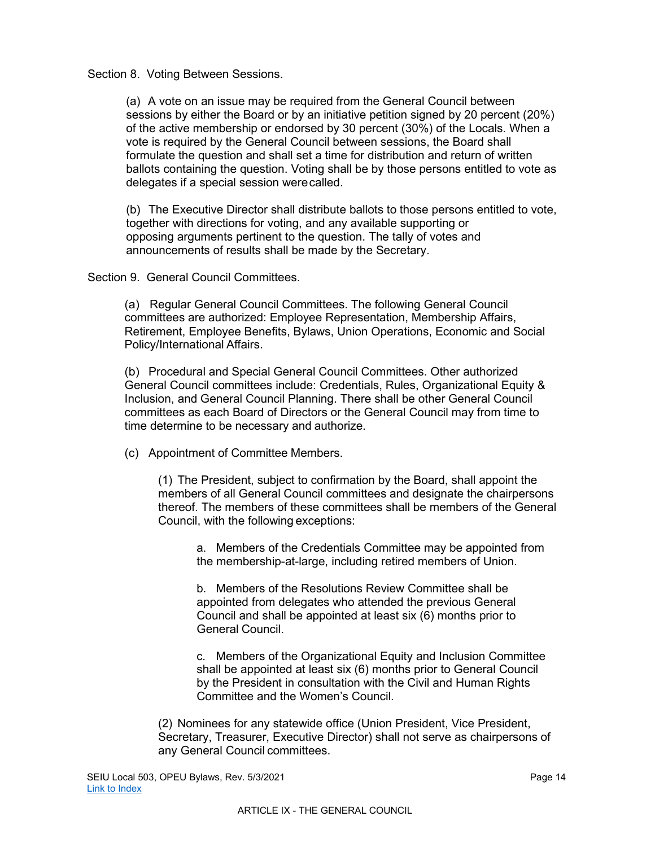Section 8. Voting Between Sessions.

(a) A vote on an issue may be required from the General Council between sessions by either the Board or by an initiative petition signed by 20 percent (20%) of the active membership or endorsed by 30 percent (30%) of the Locals. When a vote is required by the General Council between sessions, the Board shall formulate the question and shall set a time for distribution and return of written ballots containing the question. Voting shall be by those persons entitled to vote as delegates if a special session werecalled.

(b) The Executive Director shall distribute ballots to those persons entitled to vote, together with directions for voting, and any available supporting or opposing arguments pertinent to the question. The tally of votes and announcements of results shall be made by the Secretary.

Section 9. General Council Committees.

(a) Regular General Council Committees. The following General Council committees are authorized: Employee Representation, Membership Affairs, Retirement, Employee Benefits, Bylaws, Union Operations, Economic and Social Policy/International Affairs.

(b) Procedural and Special General Council Committees. Other authorized General Council committees include: Credentials, Rules, Organizational Equity & Inclusion, and General Council Planning. There shall be other General Council committees as each Board of Directors or the General Council may from time to time determine to be necessary and authorize.

(c) Appointment of Committee Members.

(1) The President, subject to confirmation by the Board, shall appoint the members of all General Council committees and designate the chairpersons thereof. The members of these committees shall be members of the General Council, with the following exceptions:

a. Members of the Credentials Committee may be appointed from the membership-at-large, including retired members of Union.

b. Members of the Resolutions Review Committee shall be appointed from delegates who attended the previous General Council and shall be appointed at least six (6) months prior to General Council.

c. Members of the Organizational Equity and Inclusion Committee shall be appointed at least six (6) months prior to General Council by the President in consultation with the Civil and Human Rights Committee and the Women's Council.

(2) Nominees for any statewide office (Union President, Vice President, Secretary, Treasurer, Executive Director) shall not serve as chairpersons of any General Council committees.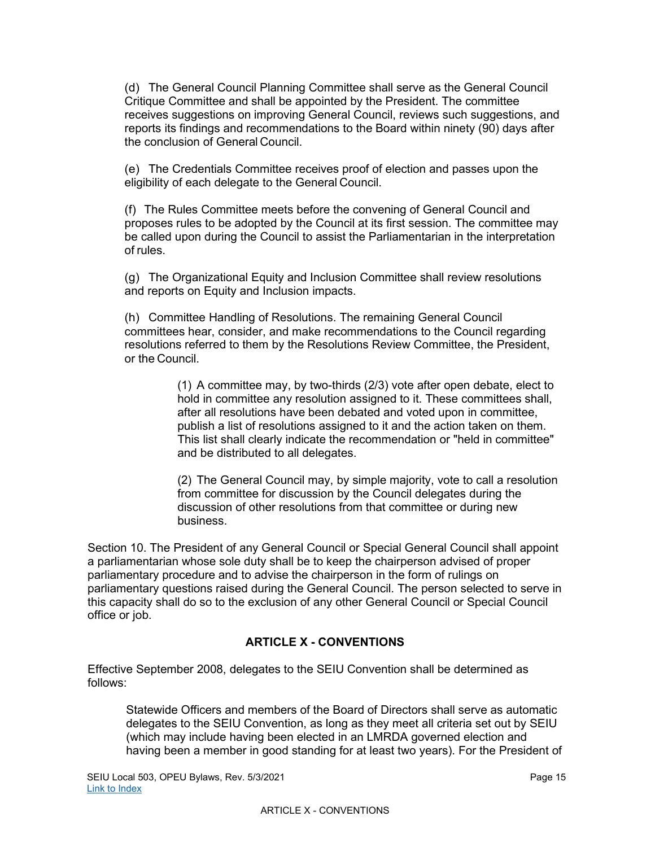(d) The General Council Planning Committee shall serve as the General Council Critique Committee and shall be appointed by the President. The committee receives suggestions on improving General Council, reviews such suggestions, and reports its findings and recommendations to the Board within ninety (90) days after the conclusion of General Council.

(e) The Credentials Committee receives proof of election and passes upon the eligibility of each delegate to the General Council.

(f) The Rules Committee meets before the convening of General Council and proposes rules to be adopted by the Council at its first session. The committee may be called upon during the Council to assist the Parliamentarian in the interpretation of rules.

(g) The Organizational Equity and Inclusion Committee shall review resolutions and reports on Equity and Inclusion impacts.

(h) Committee Handling of Resolutions. The remaining General Council committees hear, consider, and make recommendations to the Council regarding resolutions referred to them by the Resolutions Review Committee, the President, or the Council.

> (1) A committee may, by two-thirds (2/3) vote after open debate, elect to hold in committee any resolution assigned to it. These committees shall, after all resolutions have been debated and voted upon in committee, publish a list of resolutions assigned to it and the action taken on them. This list shall clearly indicate the recommendation or "held in committee" and be distributed to all delegates.

> (2) The General Council may, by simple majority, vote to call a resolution from committee for discussion by the Council delegates during the discussion of other resolutions from that committee or during new business.

Section 10. The President of any General Council or Special General Council shall appoint a parliamentarian whose sole duty shall be to keep the chairperson advised of proper parliamentary procedure and to advise the chairperson in the form of rulings on parliamentary questions raised during the General Council. The person selected to serve in this capacity shall do so to the exclusion of any other General Council or Special Council office or job.

# **ARTICLE X - CONVENTIONS**

<span id="page-14-0"></span>Effective September 2008, delegates to the SEIU Convention shall be determined as follows:

Statewide Officers and members of the Board of Directors shall serve as automatic delegates to the SEIU Convention, as long as they meet all criteria set out by SEIU (which may include having been elected in an LMRDA governed election and having been a member in good standing for at least two years). For the President of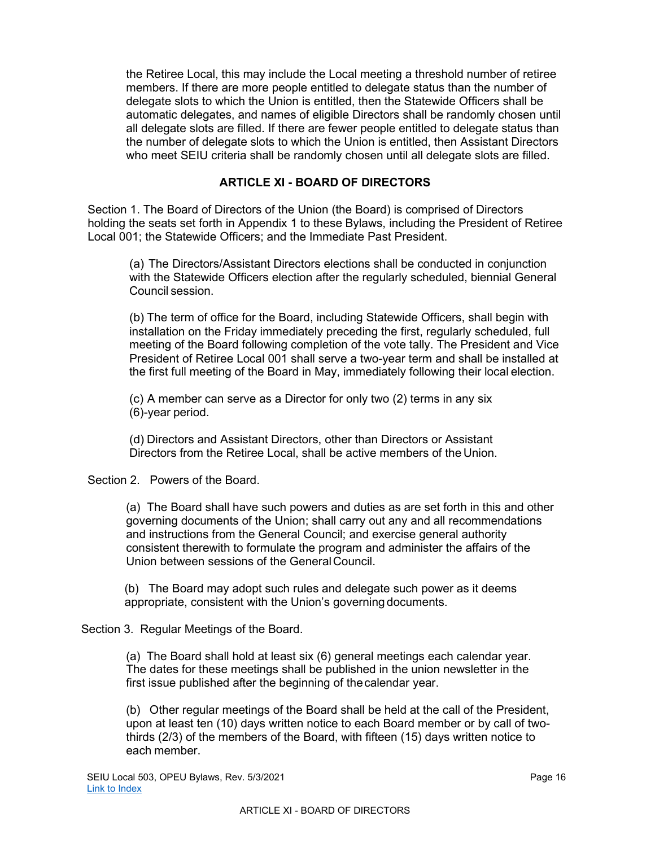the Retiree Local, this may include the Local meeting a threshold number of retiree members. If there are more people entitled to delegate status than the number of delegate slots to which the Union is entitled, then the Statewide Officers shall be automatic delegates, and names of eligible Directors shall be randomly chosen until all delegate slots are filled. If there are fewer people entitled to delegate status than the number of delegate slots to which the Union is entitled, then Assistant Directors who meet SEIU criteria shall be randomly chosen until all delegate slots are filled.

# **ARTICLE XI - BOARD OF DIRECTORS**

<span id="page-15-0"></span>Section 1. The Board of Directors of the Union (the Board) is comprised of Directors holding the seats set forth in Appendix 1 to these Bylaws, including the President of Retiree Local 001; the Statewide Officers; and the Immediate Past President.

(a) The Directors/Assistant Directors elections shall be conducted in conjunction with the Statewide Officers election after the regularly scheduled, biennial General Council session.

(b) The term of office for the Board, including Statewide Officers, shall begin with installation on the Friday immediately preceding the first, regularly scheduled, full meeting of the Board following completion of the vote tally. The President and Vice President of Retiree Local 001 shall serve a two-year term and shall be installed at the first full meeting of the Board in May, immediately following their local election.

(c) A member can serve as a Director for only two (2) terms in any six (6)-year period.

(d) Directors and Assistant Directors, other than Directors or Assistant Directors from the Retiree Local, shall be active members of the Union.

Section 2. Powers of the Board.

(a) The Board shall have such powers and duties as are set forth in this and other governing documents of the Union; shall carry out any and all recommendations and instructions from the General Council; and exercise general authority consistent therewith to formulate the program and administer the affairs of the Union between sessions of the General Council.

(b) The Board may adopt such rules and delegate such power as it deems appropriate, consistent with the Union's governing documents.

Section 3. Regular Meetings of the Board.

(a) The Board shall hold at least six (6) general meetings each calendar year. The dates for these meetings shall be published in the union newsletter in the first issue published after the beginning of thecalendar year.

(b) Other regular meetings of the Board shall be held at the call of the President, upon at least ten (10) days written notice to each Board member or by call of twothirds (2/3) of the members of the Board, with fifteen (15) days written notice to each member.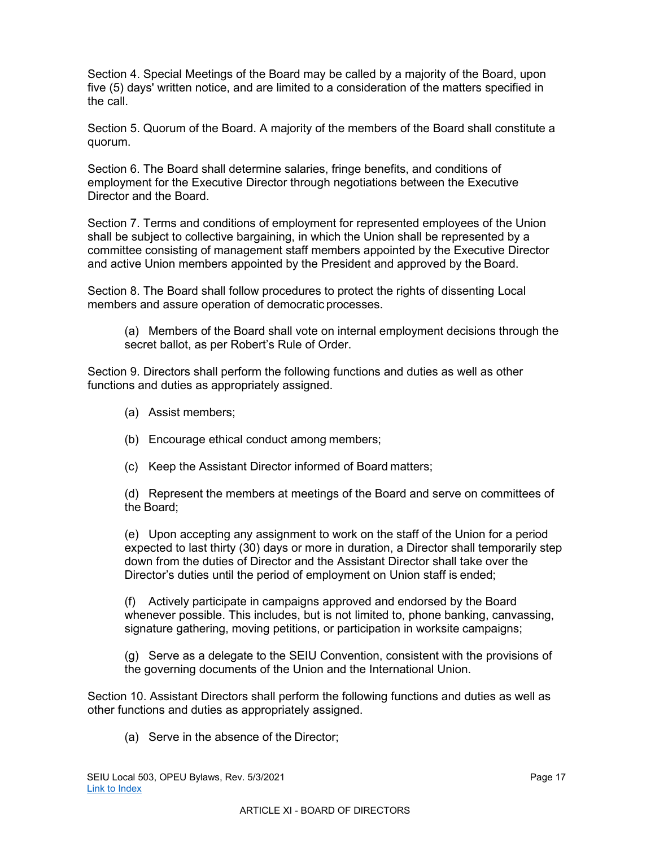Section 4. Special Meetings of the Board may be called by a majority of the Board, upon five (5) days' written notice, and are limited to a consideration of the matters specified in the call.

Section 5. Quorum of the Board. A majority of the members of the Board shall constitute a quorum.

Section 6. The Board shall determine salaries, fringe benefits, and conditions of employment for the Executive Director through negotiations between the Executive Director and the Board.

Section 7. Terms and conditions of employment for represented employees of the Union shall be subject to collective bargaining, in which the Union shall be represented by a committee consisting of management staff members appointed by the Executive Director and active Union members appointed by the President and approved by the Board.

Section 8. The Board shall follow procedures to protect the rights of dissenting Local members and assure operation of democratic processes.

(a) Members of the Board shall vote on internal employment decisions through the secret ballot, as per Robert's Rule of Order.

Section 9. Directors shall perform the following functions and duties as well as other functions and duties as appropriately assigned.

- (a) Assist members;
- (b) Encourage ethical conduct among members;
- (c) Keep the Assistant Director informed of Board matters;

(d) Represent the members at meetings of the Board and serve on committees of the Board;

(e) Upon accepting any assignment to work on the staff of the Union for a period expected to last thirty (30) days or more in duration, a Director shall temporarily step down from the duties of Director and the Assistant Director shall take over the Director's duties until the period of employment on Union staff is ended;

(f) Actively participate in campaigns approved and endorsed by the Board whenever possible. This includes, but is not limited to, phone banking, canvassing, signature gathering, moving petitions, or participation in worksite campaigns;

(g) Serve as a delegate to the SEIU Convention, consistent with the provisions of the governing documents of the Union and the International Union.

Section 10. Assistant Directors shall perform the following functions and duties as well as other functions and duties as appropriately assigned.

(a) Serve in the absence of the Director;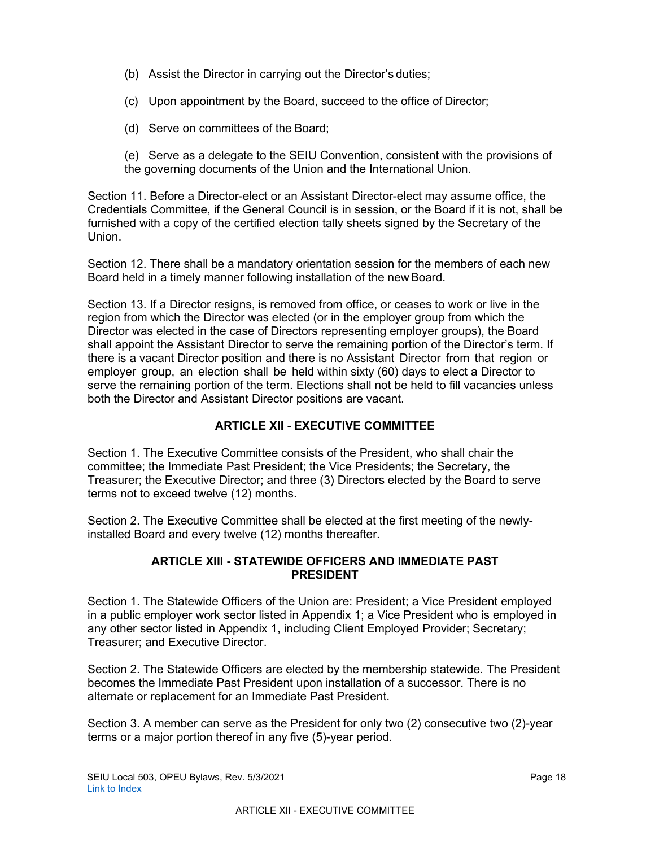- (b) Assist the Director in carrying out the Director's duties;
- (c) Upon appointment by the Board, succeed to the office of Director;
- (d) Serve on committees of the Board;
- (e) Serve as a delegate to the SEIU Convention, consistent with the provisions of the governing documents of the Union and the International Union.

Section 11. Before a Director-elect or an Assistant Director-elect may assume office, the Credentials Committee, if the General Council is in session, or the Board if it is not, shall be furnished with a copy of the certified election tally sheets signed by the Secretary of the Union.

Section 12. There shall be a mandatory orientation session for the members of each new Board held in a timely manner following installation of the newBoard.

Section 13. If a Director resigns, is removed from office, or ceases to work or live in the region from which the Director was elected (or in the employer group from which the Director was elected in the case of Directors representing employer groups), the Board shall appoint the Assistant Director to serve the remaining portion of the Director's term. If there is a vacant Director position and there is no Assistant Director from that region or employer group, an election shall be held within sixty (60) days to elect a Director to serve the remaining portion of the term. Elections shall not be held to fill vacancies unless both the Director and Assistant Director positions are vacant.

# **ARTICLE XII - EXECUTIVE COMMITTEE**

<span id="page-17-0"></span>Section 1. The Executive Committee consists of the President, who shall chair the committee; the Immediate Past President; the Vice Presidents; the Secretary, the Treasurer; the Executive Director; and three (3) Directors elected by the Board to serve terms not to exceed twelve (12) months.

<span id="page-17-1"></span>Section 2. The Executive Committee shall be elected at the first meeting of the newlyinstalled Board and every twelve (12) months thereafter.

#### **ARTICLE XIII - STATEWIDE OFFICERS AND IMMEDIATE PAST PRESIDENT**

Section 1. The Statewide Officers of the Union are: President; a Vice President employed in a public employer work sector listed in Appendix 1; a Vice President who is employed in any other sector listed in Appendix 1, including Client Employed Provider; Secretary; Treasurer; and Executive Director.

Section 2. The Statewide Officers are elected by the membership statewide. The President becomes the Immediate Past President upon installation of a successor. There is no alternate or replacement for an Immediate Past President.

Section 3. A member can serve as the President for only two (2) consecutive two (2)-year terms or a major portion thereof in any five (5)-year period.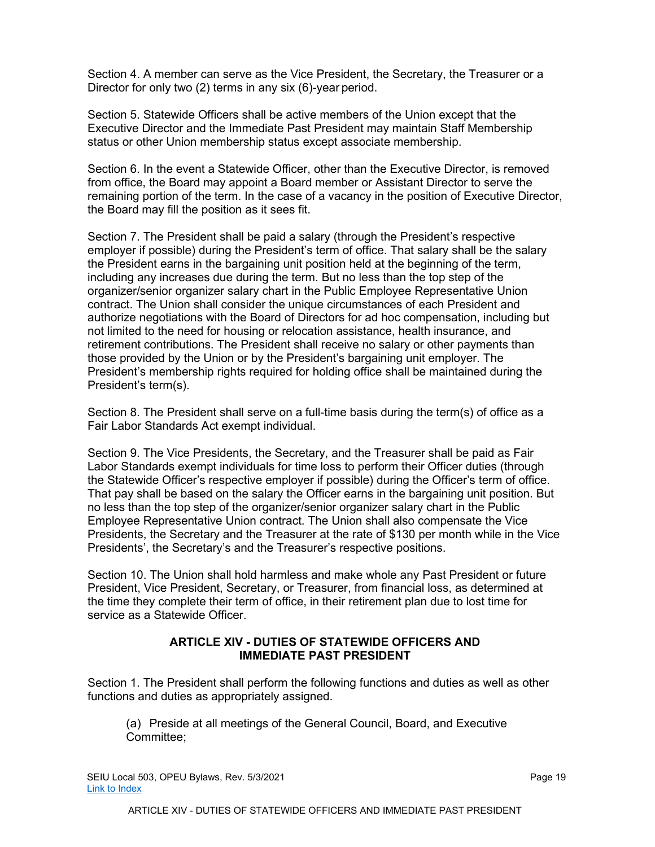Section 4. A member can serve as the Vice President, the Secretary, the Treasurer or a Director for only two (2) terms in any six (6)-year period.

Section 5. Statewide Officers shall be active members of the Union except that the Executive Director and the Immediate Past President may maintain Staff Membership status or other Union membership status except associate membership.

Section 6. In the event a Statewide Officer, other than the Executive Director, is removed from office, the Board may appoint a Board member or Assistant Director to serve the remaining portion of the term. In the case of a vacancy in the position of Executive Director, the Board may fill the position as it sees fit.

Section 7. The President shall be paid a salary (through the President's respective employer if possible) during the President's term of office. That salary shall be the salary the President earns in the bargaining unit position held at the beginning of the term, including any increases due during the term. But no less than the top step of the organizer/senior organizer salary chart in the Public Employee Representative Union contract. The Union shall consider the unique circumstances of each President and authorize negotiations with the Board of Directors for ad hoc compensation, including but not limited to the need for housing or relocation assistance, health insurance, and retirement contributions. The President shall receive no salary or other payments than those provided by the Union or by the President's bargaining unit employer. The President's membership rights required for holding office shall be maintained during the President's term(s).

Section 8. The President shall serve on a full-time basis during the term(s) of office as a Fair Labor Standards Act exempt individual.

Section 9. The Vice Presidents, the Secretary, and the Treasurer shall be paid as Fair Labor Standards exempt individuals for time loss to perform their Officer duties (through the Statewide Officer's respective employer if possible) during the Officer's term of office. That pay shall be based on the salary the Officer earns in the bargaining unit position. But no less than the top step of the organizer/senior organizer salary chart in the Public Employee Representative Union contract. The Union shall also compensate the Vice Presidents, the Secretary and the Treasurer at the rate of \$130 per month while in the Vice Presidents', the Secretary's and the Treasurer's respective positions.

Section 10. The Union shall hold harmless and make whole any Past President or future President, Vice President, Secretary, or Treasurer, from financial loss, as determined at the time they complete their term of office, in their retirement plan due to lost time for service as a Statewide Officer.

#### **ARTICLE XIV - DUTIES OF STATEWIDE OFFICERS AND IMMEDIATE PAST PRESIDENT**

<span id="page-18-0"></span>Section 1. The President shall perform the following functions and duties as well as other functions and duties as appropriately assigned.

(a) Preside at all meetings of the General Council, Board, and Executive Committee;

SEIU Local 503, OPEU Bylaws, Rev. 5/3/2021 [Link to Index](#page-0-0)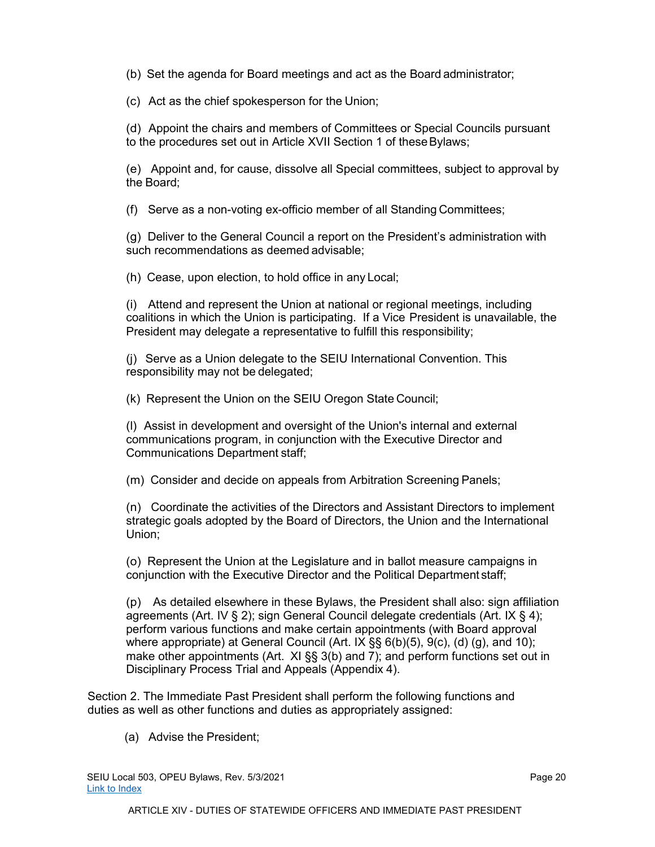(b) Set the agenda for Board meetings and act as the Board administrator;

(c) Act as the chief spokesperson for the Union;

(d) Appoint the chairs and members of Committees or Special Councils pursuant to the procedures set out in Article XVII Section 1 of these Bylaws;

(e) Appoint and, for cause, dissolve all Special committees, subject to approval by the Board;

(f) Serve as a non-voting ex-officio member of all Standing Committees;

(g) Deliver to the General Council a report on the President's administration with such recommendations as deemed advisable;

(h) Cease, upon election, to hold office in any Local;

(i) Attend and represent the Union at national or regional meetings, including coalitions in which the Union is participating. If a Vice President is unavailable, the President may delegate a representative to fulfill this responsibility;

(j) Serve as a Union delegate to the SEIU International Convention. This responsibility may not be delegated;

(k) Represent the Union on the SEIU Oregon State Council;

(l) Assist in development and oversight of the Union's internal and external communications program, in conjunction with the Executive Director and Communications Department staff;

(m) Consider and decide on appeals from Arbitration Screening Panels;

(n) Coordinate the activities of the Directors and Assistant Directors to implement strategic goals adopted by the Board of Directors, the Union and the International Union;

(o) Represent the Union at the Legislature and in ballot measure campaigns in conjunction with the Executive Director and the Political Department staff;

(p) As detailed elsewhere in these Bylaws, the President shall also: sign affiliation agreements (Art. IV § 2); sign General Council delegate credentials (Art. IX § 4); perform various functions and make certain appointments (with Board approval where appropriate) at General Council (Art. IX  $\S$ § 6(b)(5), 9(c), (d) (g), and 10); make other appointments (Art. XI §§ 3(b) and 7); and perform functions set out in Disciplinary Process Trial and Appeals (Appendix 4).

Section 2. The Immediate Past President shall perform the following functions and duties as well as other functions and duties as appropriately assigned:

(a) Advise the President;

SEIU Local 503, OPEU Bylaws, Rev. 5/3/2021 [Link to Index](#page-0-0)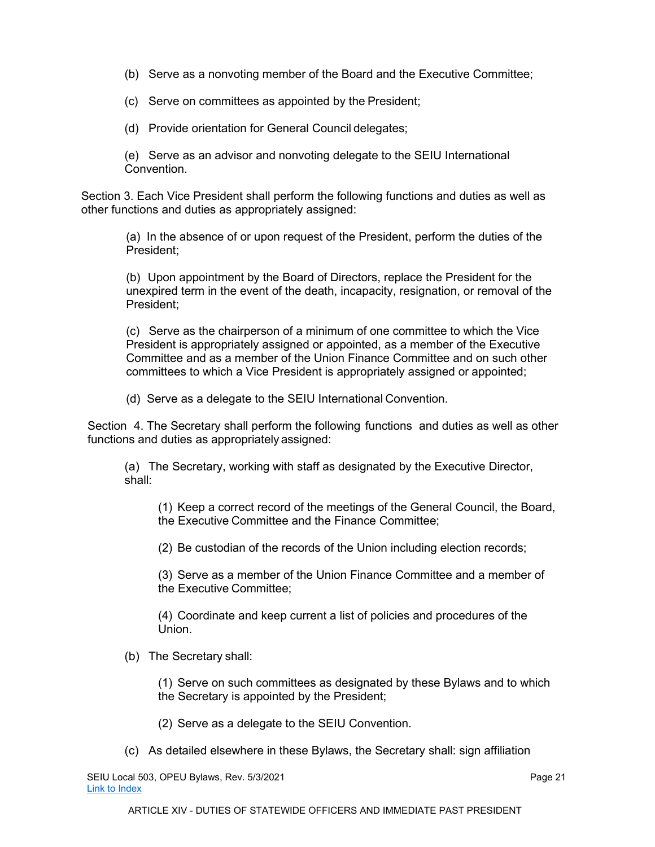- (b) Serve as a nonvoting member of the Board and the Executive Committee;
- (c) Serve on committees as appointed by the President;
- (d) Provide orientation for General Council delegates;

(e) Serve as an advisor and nonvoting delegate to the SEIU International Convention.

Section 3. Each Vice President shall perform the following functions and duties as well as other functions and duties as appropriately assigned:

(a) In the absence of or upon request of the President, perform the duties of the President;

(b) Upon appointment by the Board of Directors, replace the President for the unexpired term in the event of the death, incapacity, resignation, or removal of the President;

(c) Serve as the chairperson of a minimum of one committee to which the Vice President is appropriately assigned or appointed, as a member of the Executive Committee and as a member of the Union Finance Committee and on such other committees to which a Vice President is appropriately assigned or appointed;

(d) Serve as a delegate to the SEIU International Convention.

Section 4. The Secretary shall perform the following functions and duties as well as other functions and duties as appropriately assigned:

(a) The Secretary, working with staff as designated by the Executive Director, shall:

(1) Keep a correct record of the meetings of the General Council, the Board, the Executive Committee and the Finance Committee;

(2) Be custodian of the records of the Union including election records;

(3) Serve as a member of the Union Finance Committee and a member of the Executive Committee;

(4) Coordinate and keep current a list of policies and procedures of the Union.

(b) The Secretary shall:

(1) Serve on such committees as designated by these Bylaws and to which the Secretary is appointed by the President;

(2) Serve as a delegate to the SEIU Convention.

(c) As detailed elsewhere in these Bylaws, the Secretary shall: sign affiliation

SEIU Local 503, OPEU Bylaws, Rev. 5/3/2021 [Link to Index](#page-0-0)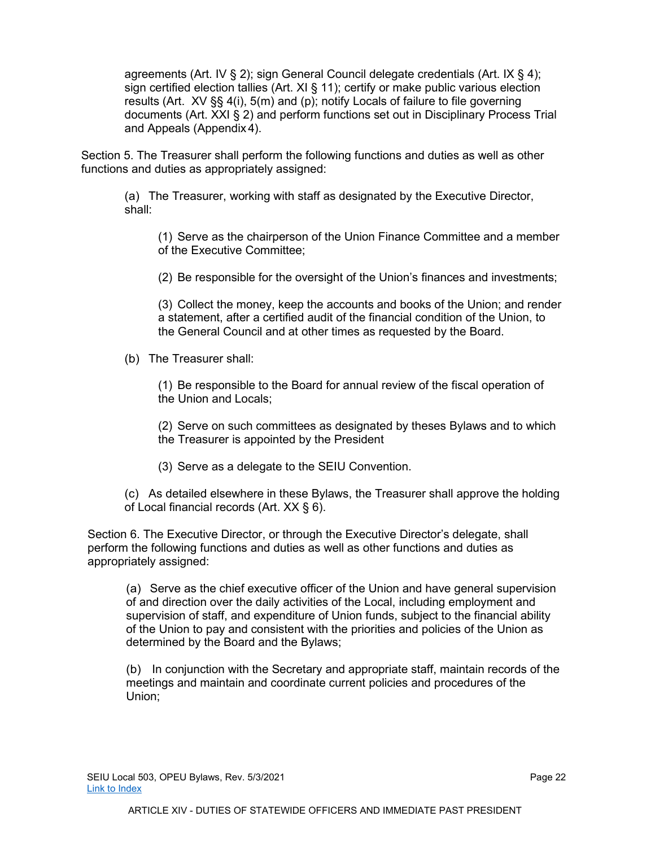agreements (Art. IV § 2); sign General Council delegate credentials (Art. IX § 4); sign certified election tallies (Art. XI § 11); certify or make public various election results (Art. XV §§ 4(i), 5(m) and (p); notify Locals of failure to file governing documents (Art. XXI § 2) and perform functions set out in Disciplinary Process Trial and Appeals (Appendix 4).

Section 5. The Treasurer shall perform the following functions and duties as well as other functions and duties as appropriately assigned:

(a) The Treasurer, working with staff as designated by the Executive Director, shall:

(1) Serve as the chairperson of the Union Finance Committee and a member of the Executive Committee;

(2) Be responsible for the oversight of the Union's finances and investments;

(3) Collect the money, keep the accounts and books of the Union; and render a statement, after a certified audit of the financial condition of the Union, to the General Council and at other times as requested by the Board.

(b) The Treasurer shall:

(1) Be responsible to the Board for annual review of the fiscal operation of the Union and Locals;

(2) Serve on such committees as designated by theses Bylaws and to which the Treasurer is appointed by the President

(3) Serve as a delegate to the SEIU Convention.

(c) As detailed elsewhere in these Bylaws, the Treasurer shall approve the holding of Local financial records (Art. XX § 6).

Section 6. The Executive Director, or through the Executive Director's delegate, shall perform the following functions and duties as well as other functions and duties as appropriately assigned:

(a) Serve as the chief executive officer of the Union and have general supervision of and direction over the daily activities of the Local, including employment and supervision of staff, and expenditure of Union funds, subject to the financial ability of the Union to pay and consistent with the priorities and policies of the Union as determined by the Board and the Bylaws;

(b) In conjunction with the Secretary and appropriate staff, maintain records of the meetings and maintain and coordinate current policies and procedures of the Union;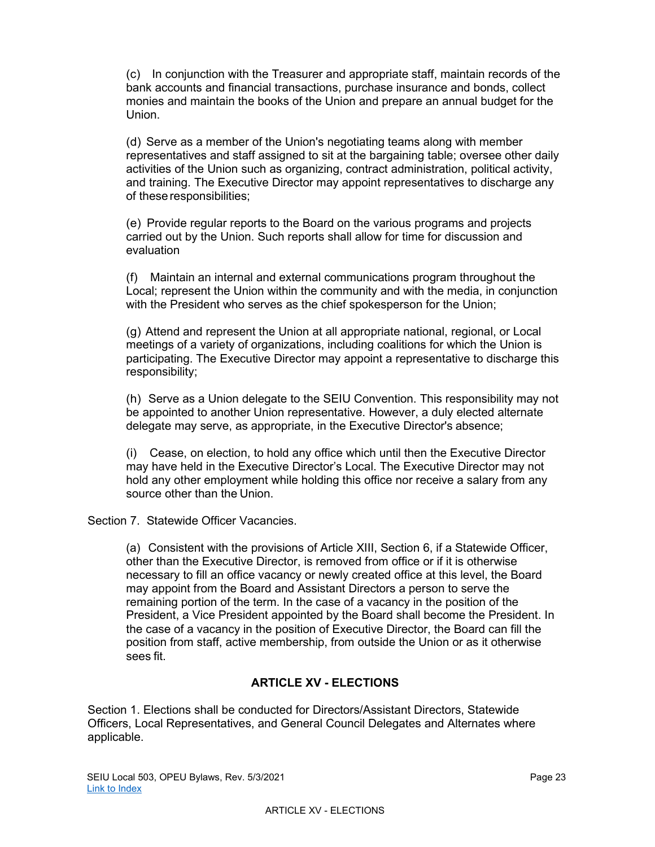(c) In conjunction with the Treasurer and appropriate staff, maintain records of the bank accounts and financial transactions, purchase insurance and bonds, collect monies and maintain the books of the Union and prepare an annual budget for the Union.

(d) Serve as a member of the Union's negotiating teams along with member representatives and staff assigned to sit at the bargaining table; oversee other daily activities of the Union such as organizing, contract administration, political activity, and training. The Executive Director may appoint representatives to discharge any of these responsibilities;

(e) Provide regular reports to the Board on the various programs and projects carried out by the Union. Such reports shall allow for time for discussion and evaluation

(f) Maintain an internal and external communications program throughout the Local; represent the Union within the community and with the media, in conjunction with the President who serves as the chief spokesperson for the Union;

(g) Attend and represent the Union at all appropriate national, regional, or Local meetings of a variety of organizations, including coalitions for which the Union is participating. The Executive Director may appoint a representative to discharge this responsibility;

(h) Serve as a Union delegate to the SEIU Convention. This responsibility may not be appointed to another Union representative. However, a duly elected alternate delegate may serve, as appropriate, in the Executive Director's absence;

(i) Cease, on election, to hold any office which until then the Executive Director may have held in the Executive Director's Local. The Executive Director may not hold any other employment while holding this office nor receive a salary from any source other than the Union.

Section 7. Statewide Officer Vacancies.

(a) Consistent with the provisions of Article XIII, Section 6, if a Statewide Officer, other than the Executive Director, is removed from office or if it is otherwise necessary to fill an office vacancy or newly created office at this level, the Board may appoint from the Board and Assistant Directors a person to serve the remaining portion of the term. In the case of a vacancy in the position of the President, a Vice President appointed by the Board shall become the President. In the case of a vacancy in the position of Executive Director, the Board can fill the position from staff, active membership, from outside the Union or as it otherwise sees fit.

# **ARTICLE XV - ELECTIONS**

<span id="page-22-0"></span>Section 1. Elections shall be conducted for Directors/Assistant Directors, Statewide Officers, Local Representatives, and General Council Delegates and Alternates where applicable.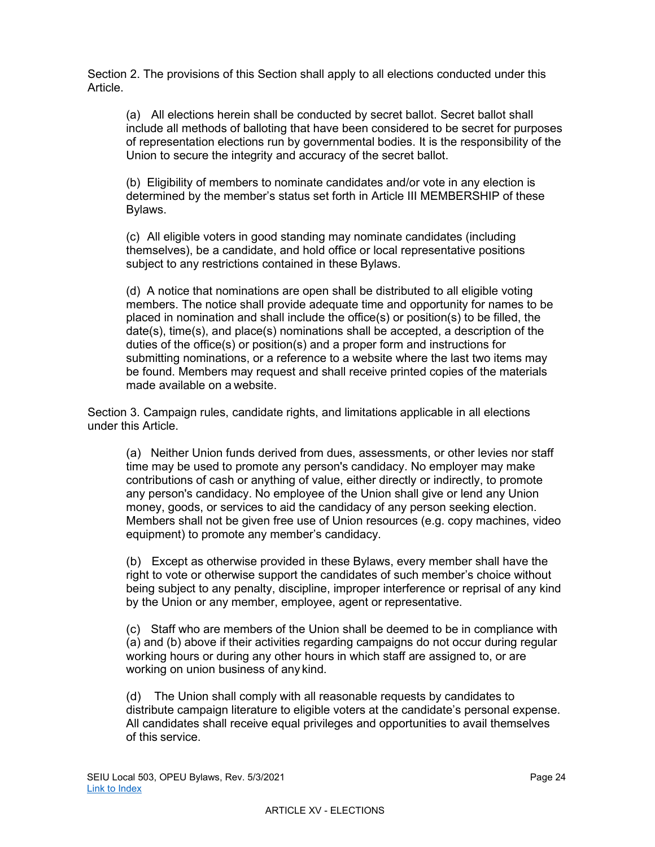Section 2. The provisions of this Section shall apply to all elections conducted under this Article.

(a) All elections herein shall be conducted by secret ballot. Secret ballot shall include all methods of balloting that have been considered to be secret for purposes of representation elections run by governmental bodies. It is the responsibility of the Union to secure the integrity and accuracy of the secret ballot.

(b) Eligibility of members to nominate candidates and/or vote in any election is determined by the member's status set forth in Article III MEMBERSHIP of these Bylaws.

(c) All eligible voters in good standing may nominate candidates (including themselves), be a candidate, and hold office or local representative positions subject to any restrictions contained in these Bylaws.

(d) A notice that nominations are open shall be distributed to all eligible voting members. The notice shall provide adequate time and opportunity for names to be placed in nomination and shall include the office(s) or position(s) to be filled, the date(s), time(s), and place(s) nominations shall be accepted, a description of the duties of the office(s) or position(s) and a proper form and instructions for submitting nominations, or a reference to a website where the last two items may be found. Members may request and shall receive printed copies of the materials made available on a website.

Section 3. Campaign rules, candidate rights, and limitations applicable in all elections under this Article.

(a) Neither Union funds derived from dues, assessments, or other levies nor staff time may be used to promote any person's candidacy. No employer may make contributions of cash or anything of value, either directly or indirectly, to promote any person's candidacy. No employee of the Union shall give or lend any Union money, goods, or services to aid the candidacy of any person seeking election. Members shall not be given free use of Union resources (e.g. copy machines, video equipment) to promote any member's candidacy.

(b) Except as otherwise provided in these Bylaws, every member shall have the right to vote or otherwise support the candidates of such member's choice without being subject to any penalty, discipline, improper interference or reprisal of any kind by the Union or any member, employee, agent or representative.

(c) Staff who are members of the Union shall be deemed to be in compliance with (a) and (b) above if their activities regarding campaigns do not occur during regular working hours or during any other hours in which staff are assigned to, or are working on union business of any kind.

(d) The Union shall comply with all reasonable requests by candidates to distribute campaign literature to eligible voters at the candidate's personal expense. All candidates shall receive equal privileges and opportunities to avail themselves of this service.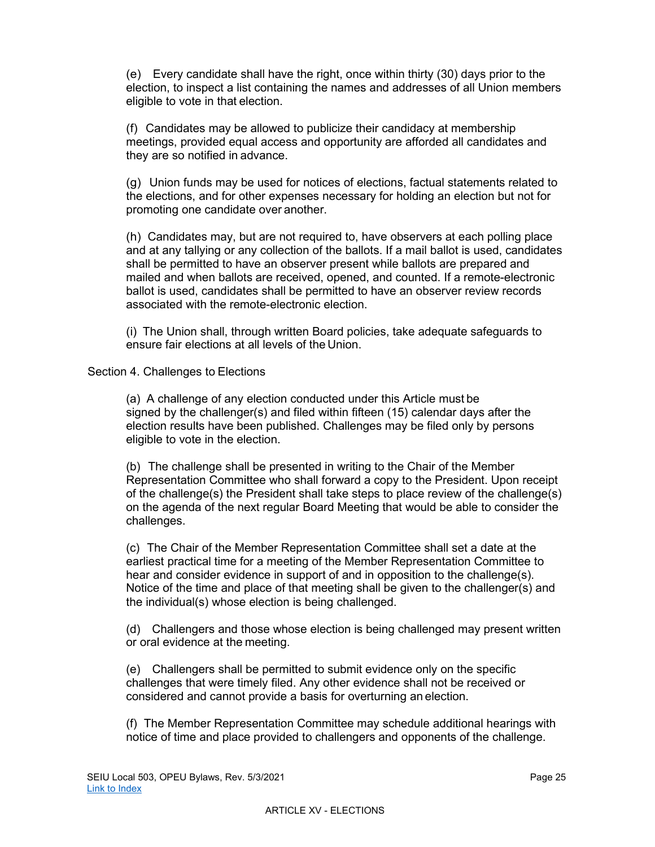(e) Every candidate shall have the right, once within thirty (30) days prior to the election, to inspect a list containing the names and addresses of all Union members eligible to vote in that election.

(f) Candidates may be allowed to publicize their candidacy at membership meetings, provided equal access and opportunity are afforded all candidates and they are so notified in advance.

(g) Union funds may be used for notices of elections, factual statements related to the elections, and for other expenses necessary for holding an election but not for promoting one candidate over another.

(h) Candidates may, but are not required to, have observers at each polling place and at any tallying or any collection of the ballots. If a mail ballot is used, candidates shall be permitted to have an observer present while ballots are prepared and mailed and when ballots are received, opened, and counted. If a remote-electronic ballot is used, candidates shall be permitted to have an observer review records associated with the remote-electronic election.

(i) The Union shall, through written Board policies, take adequate safeguards to ensure fair elections at all levels of the Union.

Section 4. Challenges to Elections

(a) A challenge of any election conducted under this Article must be signed by the challenger(s) and filed within fifteen (15) calendar days after the election results have been published. Challenges may be filed only by persons eligible to vote in the election.

(b) The challenge shall be presented in writing to the Chair of the Member Representation Committee who shall forward a copy to the President. Upon receipt of the challenge(s) the President shall take steps to place review of the challenge(s) on the agenda of the next regular Board Meeting that would be able to consider the challenges.

(c) The Chair of the Member Representation Committee shall set a date at the earliest practical time for a meeting of the Member Representation Committee to hear and consider evidence in support of and in opposition to the challenge(s). Notice of the time and place of that meeting shall be given to the challenger(s) and the individual(s) whose election is being challenged.

(d) Challengers and those whose election is being challenged may present written or oral evidence at the meeting.

(e) Challengers shall be permitted to submit evidence only on the specific challenges that were timely filed. Any other evidence shall not be received or considered and cannot provide a basis for overturning an election.

(f) The Member Representation Committee may schedule additional hearings with notice of time and place provided to challengers and opponents of the challenge.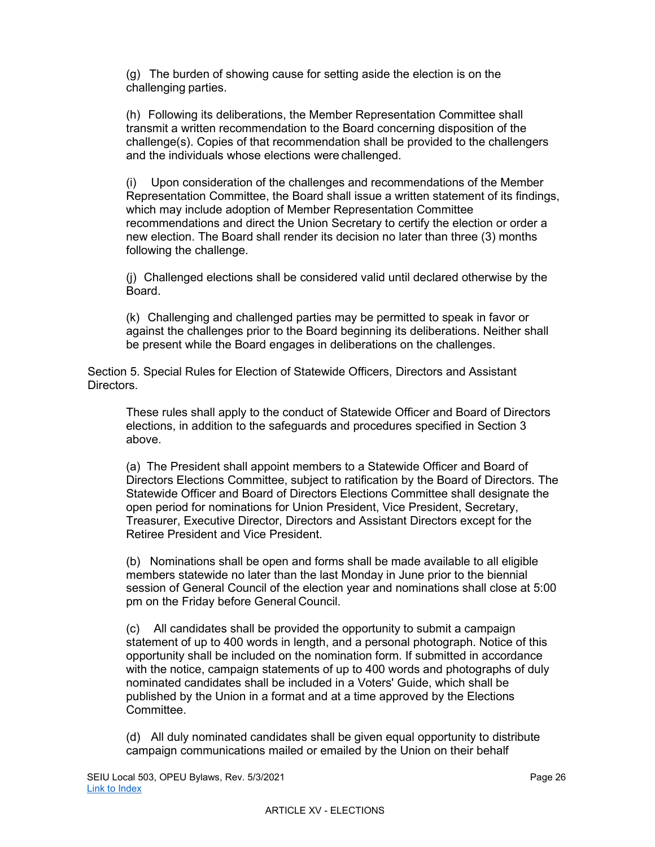(g) The burden of showing cause for setting aside the election is on the challenging parties.

(h) Following its deliberations, the Member Representation Committee shall transmit a written recommendation to the Board concerning disposition of the challenge(s). Copies of that recommendation shall be provided to the challengers and the individuals whose elections were challenged.

(i) Upon consideration of the challenges and recommendations of the Member Representation Committee, the Board shall issue a written statement of its findings, which may include adoption of Member Representation Committee recommendations and direct the Union Secretary to certify the election or order a new election. The Board shall render its decision no later than three (3) months following the challenge.

(j) Challenged elections shall be considered valid until declared otherwise by the Board.

(k) Challenging and challenged parties may be permitted to speak in favor or against the challenges prior to the Board beginning its deliberations. Neither shall be present while the Board engages in deliberations on the challenges.

Section 5. Special Rules for Election of Statewide Officers, Directors and Assistant Directors.

These rules shall apply to the conduct of Statewide Officer and Board of Directors elections, in addition to the safeguards and procedures specified in Section 3 above.

(a) The President shall appoint members to a Statewide Officer and Board of Directors Elections Committee, subject to ratification by the Board of Directors. The Statewide Officer and Board of Directors Elections Committee shall designate the open period for nominations for Union President, Vice President, Secretary, Treasurer, Executive Director, Directors and Assistant Directors except for the Retiree President and Vice President.

(b) Nominations shall be open and forms shall be made available to all eligible members statewide no later than the last Monday in June prior to the biennial session of General Council of the election year and nominations shall close at 5:00 pm on the Friday before General Council.

(c) All candidates shall be provided the opportunity to submit a campaign statement of up to 400 words in length, and a personal photograph. Notice of this opportunity shall be included on the nomination form. If submitted in accordance with the notice, campaign statements of up to 400 words and photographs of duly nominated candidates shall be included in a Voters' Guide, which shall be published by the Union in a format and at a time approved by the Elections Committee.

(d) All duly nominated candidates shall be given equal opportunity to distribute campaign communications mailed or emailed by the Union on their behalf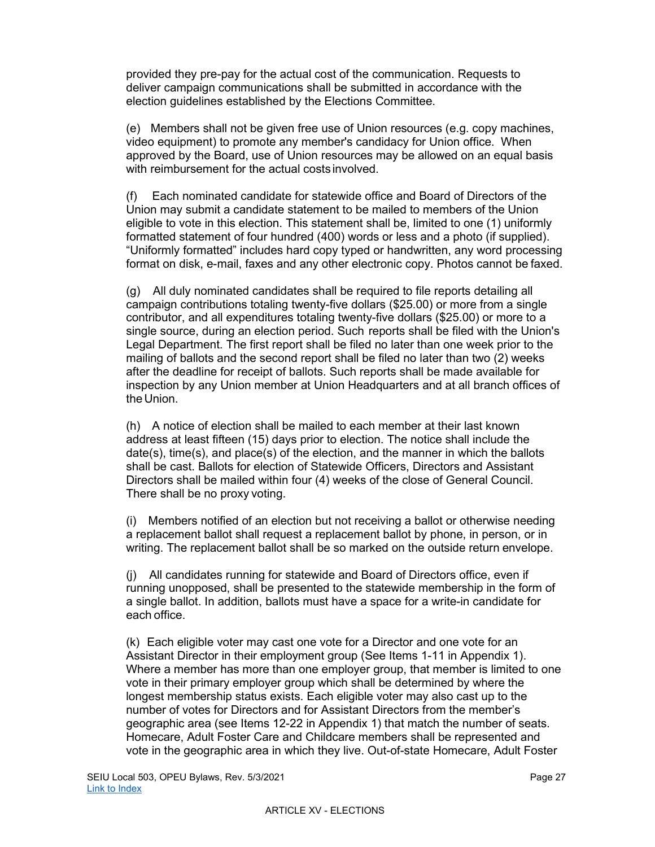provided they pre-pay for the actual cost of the communication. Requests to deliver campaign communications shall be submitted in accordance with the election guidelines established by the Elections Committee.

(e) Members shall not be given free use of Union resources (e.g. copy machines, video equipment) to promote any member's candidacy for Union office. When approved by the Board, use of Union resources may be allowed on an equal basis with reimbursement for the actual costs involved.

(f) Each nominated candidate for statewide office and Board of Directors of the Union may submit a candidate statement to be mailed to members of the Union eligible to vote in this election. This statement shall be, limited to one (1) uniformly formatted statement of four hundred (400) words or less and a photo (if supplied). "Uniformly formatted" includes hard copy typed or handwritten, any word processing format on disk, e-mail, faxes and any other electronic copy. Photos cannot be faxed.

(g) All duly nominated candidates shall be required to file reports detailing all campaign contributions totaling twenty-five dollars (\$25.00) or more from a single contributor, and all expenditures totaling twenty-five dollars (\$25.00) or more to a single source, during an election period. Such reports shall be filed with the Union's Legal Department. The first report shall be filed no later than one week prior to the mailing of ballots and the second report shall be filed no later than two (2) weeks after the deadline for receipt of ballots. Such reports shall be made available for inspection by any Union member at Union Headquarters and at all branch offices of the Union.

(h) A notice of election shall be mailed to each member at their last known address at least fifteen (15) days prior to election. The notice shall include the date(s), time(s), and place(s) of the election, and the manner in which the ballots shall be cast. Ballots for election of Statewide Officers, Directors and Assistant Directors shall be mailed within four (4) weeks of the close of General Council. There shall be no proxy voting.

(i) Members notified of an election but not receiving a ballot or otherwise needing a replacement ballot shall request a replacement ballot by phone, in person, or in writing. The replacement ballot shall be so marked on the outside return envelope.

(j) All candidates running for statewide and Board of Directors office, even if running unopposed, shall be presented to the statewide membership in the form of a single ballot. In addition, ballots must have a space for a write-in candidate for each office.

(k) Each eligible voter may cast one vote for a Director and one vote for an Assistant Director in their employment group (See Items 1-11 in Appendix 1). Where a member has more than one employer group, that member is limited to one vote in their primary employer group which shall be determined by where the longest membership status exists. Each eligible voter may also cast up to the number of votes for Directors and for Assistant Directors from the member's geographic area (see Items 12-22 in Appendix 1) that match the number of seats. Homecare, Adult Foster Care and Childcare members shall be represented and vote in the geographic area in which they live. Out-of-state Homecare, Adult Foster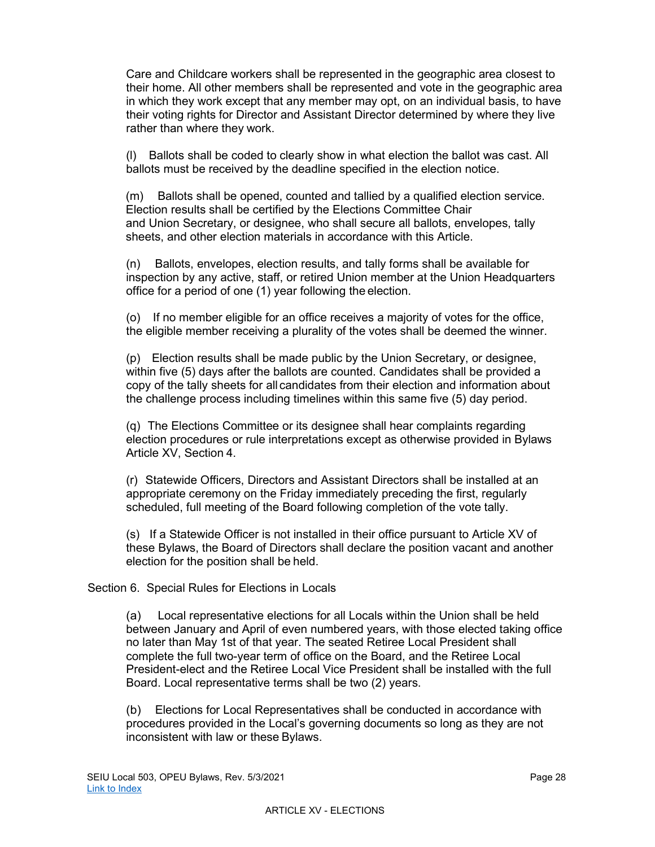Care and Childcare workers shall be represented in the geographic area closest to their home. All other members shall be represented and vote in the geographic area in which they work except that any member may opt, on an individual basis, to have their voting rights for Director and Assistant Director determined by where they live rather than where they work.

(l) Ballots shall be coded to clearly show in what election the ballot was cast. All ballots must be received by the deadline specified in the election notice.

(m) Ballots shall be opened, counted and tallied by a qualified election service. Election results shall be certified by the Elections Committee Chair and Union Secretary, or designee, who shall secure all ballots, envelopes, tally sheets, and other election materials in accordance with this Article.

(n) Ballots, envelopes, election results, and tally forms shall be available for inspection by any active, staff, or retired Union member at the Union Headquarters office for a period of one (1) year following the election.

(o) If no member eligible for an office receives a majority of votes for the office, the eligible member receiving a plurality of the votes shall be deemed the winner.

(p) Election results shall be made public by the Union Secretary, or designee, within five (5) days after the ballots are counted. Candidates shall be provided a copy of the tally sheets for all candidates from their election and information about the challenge process including timelines within this same five (5) day period.

(q) The Elections Committee or its designee shall hear complaints regarding election procedures or rule interpretations except as otherwise provided in Bylaws Article XV, Section 4.

(r) Statewide Officers, Directors and Assistant Directors shall be installed at an appropriate ceremony on the Friday immediately preceding the first, regularly scheduled, full meeting of the Board following completion of the vote tally.

(s) If a Statewide Officer is not installed in their office pursuant to Article XV of these Bylaws, the Board of Directors shall declare the position vacant and another election for the position shall be held.

Section 6. Special Rules for Elections in Locals

(a) Local representative elections for all Locals within the Union shall be held between January and April of even numbered years, with those elected taking office no later than May 1st of that year. The seated Retiree Local President shall complete the full two-year term of office on the Board, and the Retiree Local President-elect and the Retiree Local Vice President shall be installed with the full Board. Local representative terms shall be two (2) years.

(b) Elections for Local Representatives shall be conducted in accordance with procedures provided in the Local's governing documents so long as they are not inconsistent with law or these Bylaws.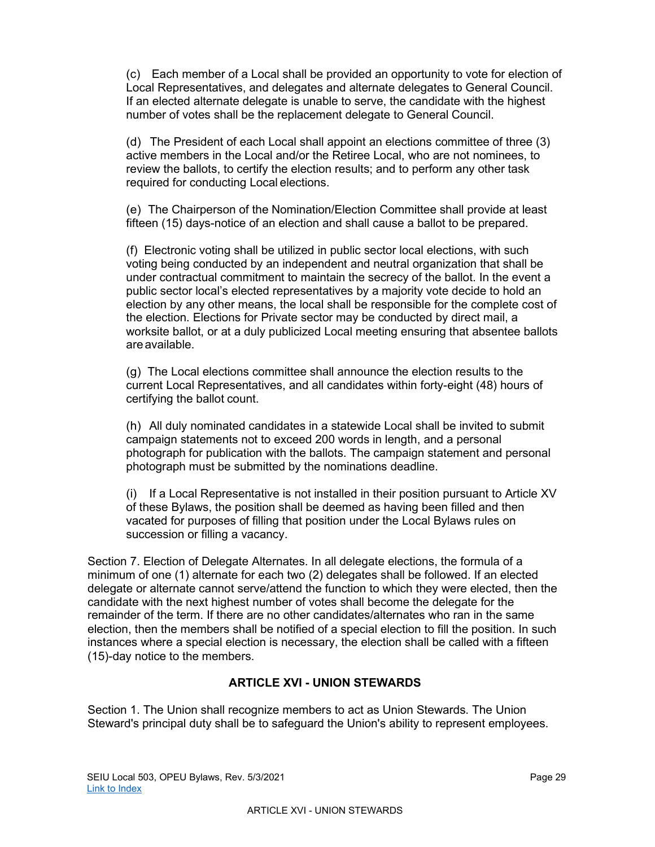(c) Each member of a Local shall be provided an opportunity to vote for election of Local Representatives, and delegates and alternate delegates to General Council. If an elected alternate delegate is unable to serve, the candidate with the highest number of votes shall be the replacement delegate to General Council.

(d) The President of each Local shall appoint an elections committee of three (3) active members in the Local and/or the Retiree Local, who are not nominees, to review the ballots, to certify the election results; and to perform any other task required for conducting Local elections.

(e) The Chairperson of the Nomination/Election Committee shall provide at least fifteen (15) days-notice of an election and shall cause a ballot to be prepared.

(f) Electronic voting shall be utilized in public sector local elections, with such voting being conducted by an independent and neutral organization that shall be under contractual commitment to maintain the secrecy of the ballot. In the event a public sector local's elected representatives by a majority vote decide to hold an election by any other means, the local shall be responsible for the complete cost of the election. Elections for Private sector may be conducted by direct mail, a worksite ballot, or at a duly publicized Local meeting ensuring that absentee ballots are available.

(g) The Local elections committee shall announce the election results to the current Local Representatives, and all candidates within forty-eight (48) hours of certifying the ballot count.

(h) All duly nominated candidates in a statewide Local shall be invited to submit campaign statements not to exceed 200 words in length, and a personal photograph for publication with the ballots. The campaign statement and personal photograph must be submitted by the nominations deadline.

(i) If a Local Representative is not installed in their position pursuant to Article XV of these Bylaws, the position shall be deemed as having been filled and then vacated for purposes of filling that position under the Local Bylaws rules on succession or filling a vacancy.

Section 7. Election of Delegate Alternates. In all delegate elections, the formula of a minimum of one (1) alternate for each two (2) delegates shall be followed. If an elected delegate or alternate cannot serve/attend the function to which they were elected, then the candidate with the next highest number of votes shall become the delegate for the remainder of the term. If there are no other candidates/alternates who ran in the same election, then the members shall be notified of a special election to fill the position. In such instances where a special election is necessary, the election shall be called with a fifteen (15)-day notice to the members.

# **ARTICLE XVI - UNION STEWARDS**

<span id="page-28-0"></span>Section 1. The Union shall recognize members to act as Union Stewards. The Union Steward's principal duty shall be to safeguard the Union's ability to represent employees.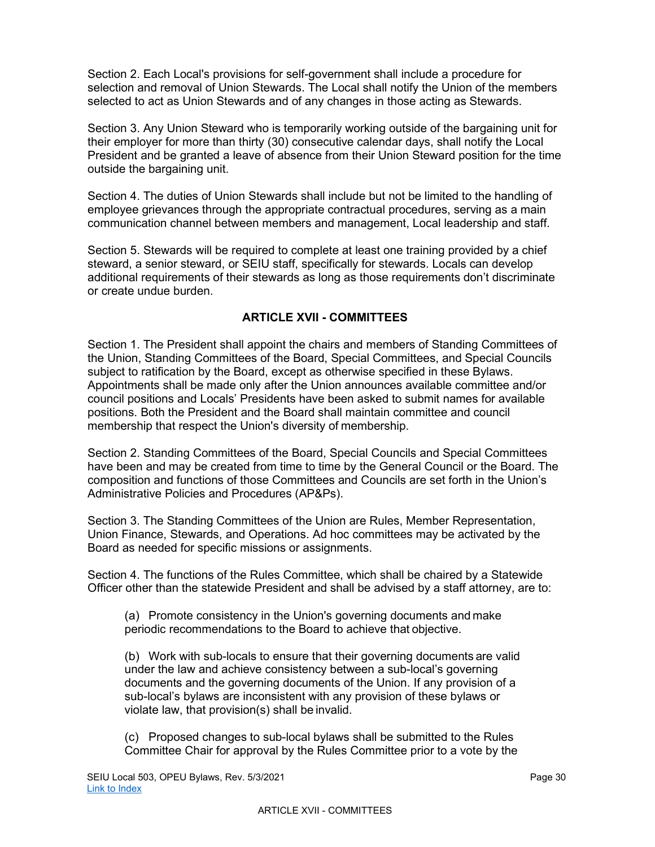Section 2. Each Local's provisions for self-government shall include a procedure for selection and removal of Union Stewards. The Local shall notify the Union of the members selected to act as Union Stewards and of any changes in those acting as Stewards.

Section 3. Any Union Steward who is temporarily working outside of the bargaining unit for their employer for more than thirty (30) consecutive calendar days, shall notify the Local President and be granted a leave of absence from their Union Steward position for the time outside the bargaining unit.

Section 4. The duties of Union Stewards shall include but not be limited to the handling of employee grievances through the appropriate contractual procedures, serving as a main communication channel between members and management, Local leadership and staff.

Section 5. Stewards will be required to complete at least one training provided by a chief steward, a senior steward, or SEIU staff, specifically for stewards. Locals can develop additional requirements of their stewards as long as those requirements don't discriminate or create undue burden.

# **ARTICLE XVII - COMMITTEES**

<span id="page-29-0"></span>Section 1. The President shall appoint the chairs and members of Standing Committees of the Union, Standing Committees of the Board, Special Committees, and Special Councils subject to ratification by the Board, except as otherwise specified in these Bylaws. Appointments shall be made only after the Union announces available committee and/or council positions and Locals' Presidents have been asked to submit names for available positions. Both the President and the Board shall maintain committee and council membership that respect the Union's diversity of membership.

Section 2. Standing Committees of the Board, Special Councils and Special Committees have been and may be created from time to time by the General Council or the Board. The composition and functions of those Committees and Councils are set forth in the Union's Administrative Policies and Procedures (AP&Ps).

Section 3. The Standing Committees of the Union are Rules, Member Representation, Union Finance, Stewards, and Operations. Ad hoc committees may be activated by the Board as needed for specific missions or assignments.

Section 4. The functions of the Rules Committee, which shall be chaired by a Statewide Officer other than the statewide President and shall be advised by a staff attorney, are to:

(a) Promote consistency in the Union's governing documents and make periodic recommendations to the Board to achieve that objective.

(b) Work with sub-locals to ensure that their governing documents are valid under the law and achieve consistency between a sub-local's governing documents and the governing documents of the Union. If any provision of a sub-local's bylaws are inconsistent with any provision of these bylaws or violate law, that provision(s) shall be invalid.

(c) Proposed changes to sub-local bylaws shall be submitted to the Rules Committee Chair for approval by the Rules Committee prior to a vote by the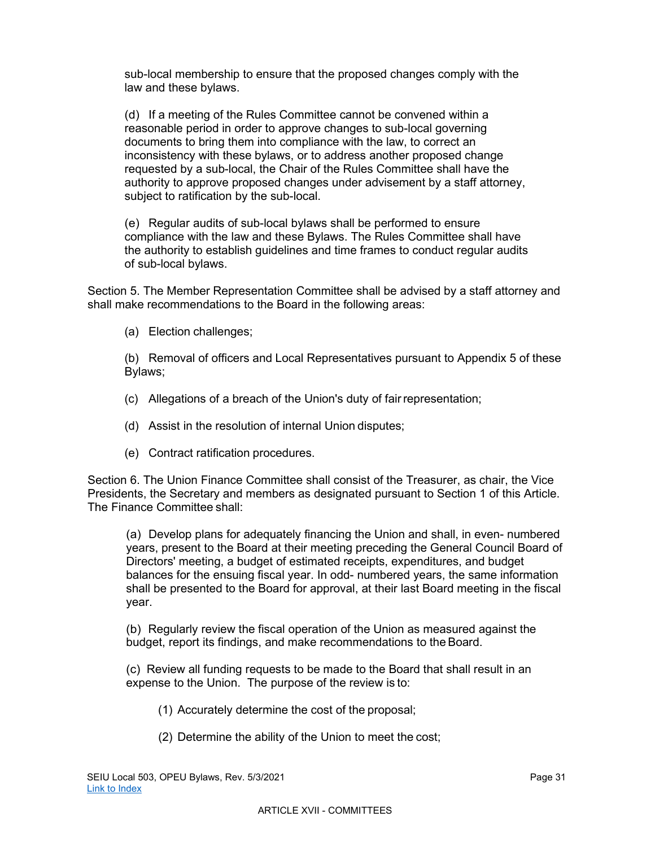sub-local membership to ensure that the proposed changes comply with the law and these bylaws.

(d) If a meeting of the Rules Committee cannot be convened within a reasonable period in order to approve changes to sub-local governing documents to bring them into compliance with the law, to correct an inconsistency with these bylaws, or to address another proposed change requested by a sub-local, the Chair of the Rules Committee shall have the authority to approve proposed changes under advisement by a staff attorney, subject to ratification by the sub-local.

(e) Regular audits of sub-local bylaws shall be performed to ensure compliance with the law and these Bylaws. The Rules Committee shall have the authority to establish guidelines and time frames to conduct regular audits of sub-local bylaws.

Section 5. The Member Representation Committee shall be advised by a staff attorney and shall make recommendations to the Board in the following areas:

(a) Election challenges;

(b) Removal of officers and Local Representatives pursuant to Appendix 5 of these Bylaws;

- (c) Allegations of a breach of the Union's duty of fairrepresentation;
- (d) Assist in the resolution of internal Union disputes;
- (e) Contract ratification procedures.

Section 6. The Union Finance Committee shall consist of the Treasurer, as chair, the Vice Presidents, the Secretary and members as designated pursuant to Section 1 of this Article. The Finance Committee shall:

(a) Develop plans for adequately financing the Union and shall, in even- numbered years, present to the Board at their meeting preceding the General Council Board of Directors' meeting, a budget of estimated receipts, expenditures, and budget balances for the ensuing fiscal year. In odd- numbered years, the same information shall be presented to the Board for approval, at their last Board meeting in the fiscal year.

(b) Regularly review the fiscal operation of the Union as measured against the budget, report its findings, and make recommendations to the Board.

(c) Review all funding requests to be made to the Board that shall result in an expense to the Union. The purpose of the review is to:

- (1) Accurately determine the cost of the proposal;
- (2) Determine the ability of the Union to meet the cost;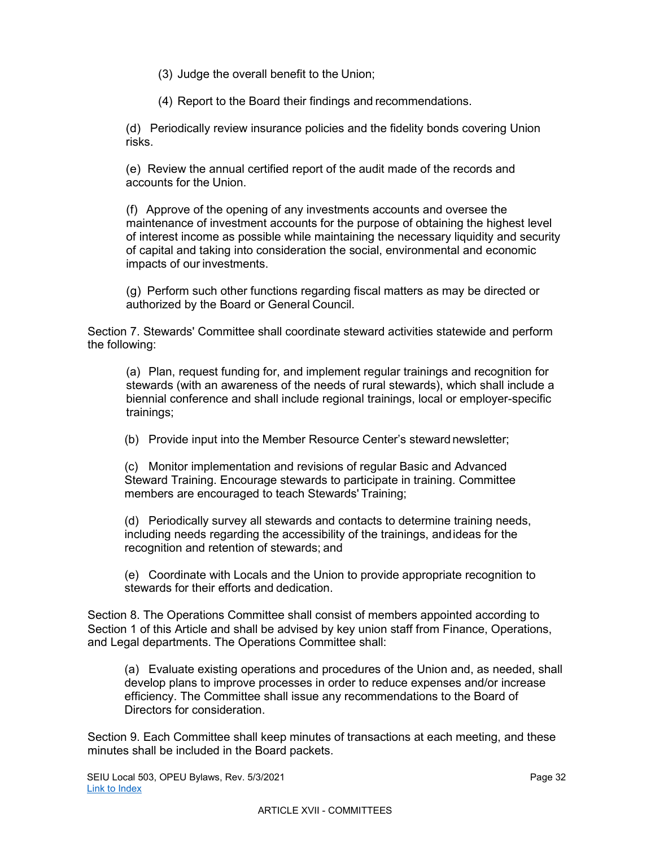(3) Judge the overall benefit to the Union;

(4) Report to the Board their findings and recommendations.

(d) Periodically review insurance policies and the fidelity bonds covering Union risks.

(e) Review the annual certified report of the audit made of the records and accounts for the Union.

(f) Approve of the opening of any investments accounts and oversee the maintenance of investment accounts for the purpose of obtaining the highest level of interest income as possible while maintaining the necessary liquidity and security of capital and taking into consideration the social, environmental and economic impacts of our investments.

(g) Perform such other functions regarding fiscal matters as may be directed or authorized by the Board or General Council.

Section 7. Stewards' Committee shall coordinate steward activities statewide and perform the following:

(a) Plan, request funding for, and implement regular trainings and recognition for stewards (with an awareness of the needs of rural stewards), which shall include a biennial conference and shall include regional trainings, local or employer-specific trainings;

(b) Provide input into the Member Resource Center's steward newsletter;

(c) Monitor implementation and revisions of regular Basic and Advanced Steward Training. Encourage stewards to participate in training. Committee members are encouraged to teach Stewards' Training;

(d) Periodically survey all stewards and contacts to determine training needs, including needs regarding the accessibility of the trainings, andideas for the recognition and retention of stewards; and

(e) Coordinate with Locals and the Union to provide appropriate recognition to stewards for their efforts and dedication.

Section 8. The Operations Committee shall consist of members appointed according to Section 1 of this Article and shall be advised by key union staff from Finance, Operations, and Legal departments. The Operations Committee shall:

(a) Evaluate existing operations and procedures of the Union and, as needed, shall develop plans to improve processes in order to reduce expenses and/or increase efficiency. The Committee shall issue any recommendations to the Board of Directors for consideration.

Section 9. Each Committee shall keep minutes of transactions at each meeting, and these minutes shall be included in the Board packets.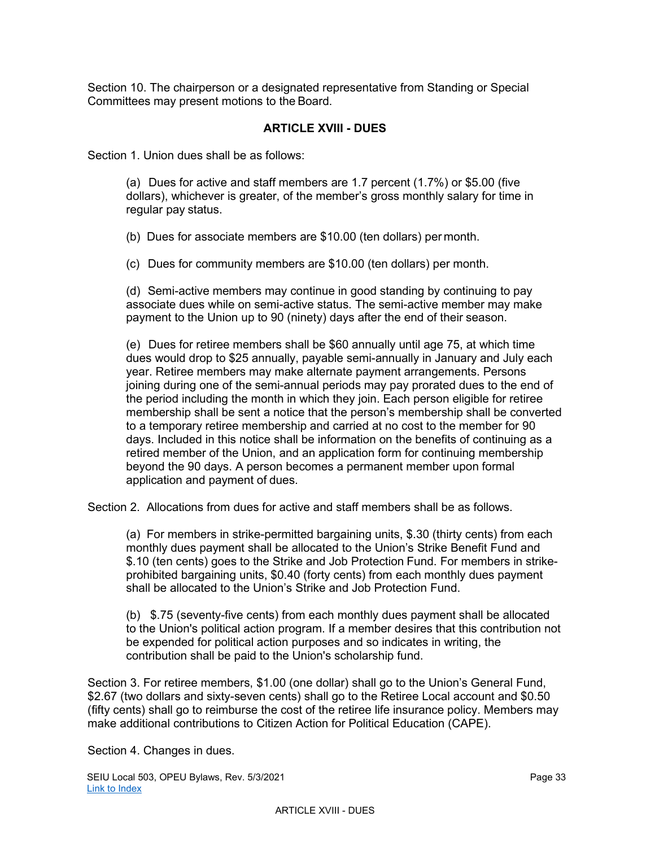Section 10. The chairperson or a designated representative from Standing or Special Committees may present motions to the Board.

#### **ARTICLE XVIII - DUES**

<span id="page-32-0"></span>Section 1. Union dues shall be as follows:

(a) Dues for active and staff members are 1.7 percent (1.7%) or \$5.00 (five dollars), whichever is greater, of the member's gross monthly salary for time in regular pay status.

(b) Dues for associate members are \$10.00 (ten dollars) per month.

(c) Dues for community members are \$10.00 (ten dollars) per month.

(d) Semi-active members may continue in good standing by continuing to pay associate dues while on semi-active status. The semi-active member may make payment to the Union up to 90 (ninety) days after the end of their season.

(e) Dues for retiree members shall be \$60 annually until age 75, at which time dues would drop to \$25 annually, payable semi-annually in January and July each year. Retiree members may make alternate payment arrangements. Persons joining during one of the semi-annual periods may pay prorated dues to the end of the period including the month in which they join. Each person eligible for retiree membership shall be sent a notice that the person's membership shall be converted to a temporary retiree membership and carried at no cost to the member for 90 days. Included in this notice shall be information on the benefits of continuing as a retired member of the Union, and an application form for continuing membership beyond the 90 days. A person becomes a permanent member upon formal application and payment of dues.

Section 2. Allocations from dues for active and staff members shall be as follows.

(a) For members in strike-permitted bargaining units, \$.30 (thirty cents) from each monthly dues payment shall be allocated to the Union's Strike Benefit Fund and \$.10 (ten cents) goes to the Strike and Job Protection Fund. For members in strikeprohibited bargaining units, \$0.40 (forty cents) from each monthly dues payment shall be allocated to the Union's Strike and Job Protection Fund.

(b) \$.75 (seventy-five cents) from each monthly dues payment shall be allocated to the Union's political action program. If a member desires that this contribution not be expended for political action purposes and so indicates in writing, the contribution shall be paid to the Union's scholarship fund.

Section 3. For retiree members, \$1.00 (one dollar) shall go to the Union's General Fund, \$2.67 (two dollars and sixty-seven cents) shall go to the Retiree Local account and \$0.50 (fifty cents) shall go to reimburse the cost of the retiree life insurance policy. Members may make additional contributions to Citizen Action for Political Education (CAPE).

Section 4. Changes in dues.

SEIU Local 503, OPEU Bylaws, Rev. 5/3/2021 [Link to Index](#page-0-0)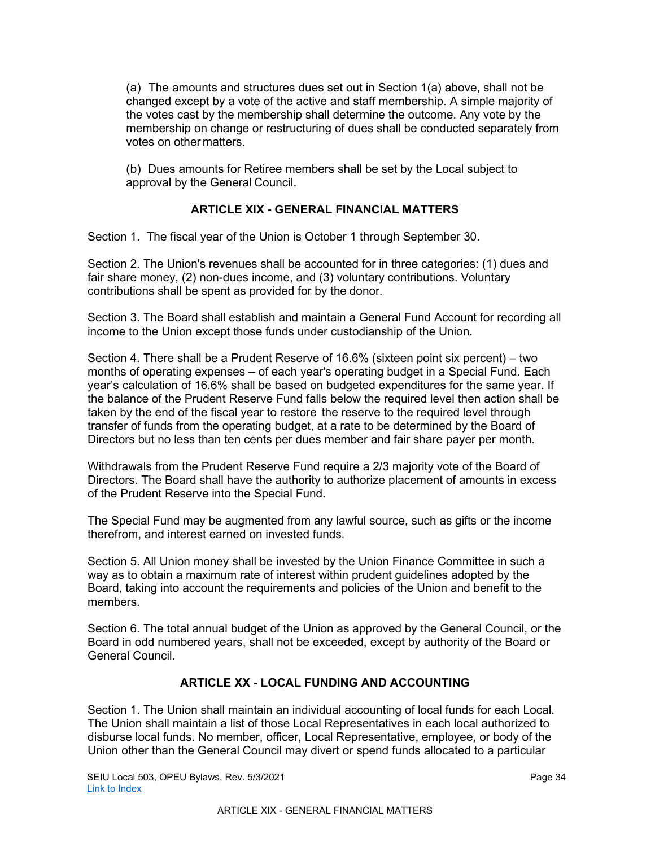(a) The amounts and structures dues set out in Section 1(a) above, shall not be changed except by a vote of the active and staff membership. A simple majority of the votes cast by the membership shall determine the outcome. Any vote by the membership on change or restructuring of dues shall be conducted separately from votes on other matters.

(b) Dues amounts for Retiree members shall be set by the Local subject to approval by the General Council.

#### **ARTICLE XIX - GENERAL FINANCIAL MATTERS**

<span id="page-33-0"></span>Section 1. The fiscal year of the Union is October 1 through September 30.

Section 2. The Union's revenues shall be accounted for in three categories: (1) dues and fair share money, (2) non-dues income, and (3) voluntary contributions. Voluntary contributions shall be spent as provided for by the donor.

Section 3. The Board shall establish and maintain a General Fund Account for recording all income to the Union except those funds under custodianship of the Union.

Section 4. There shall be a Prudent Reserve of 16.6% (sixteen point six percent) – two months of operating expenses – of each year's operating budget in a Special Fund. Each year's calculation of 16.6% shall be based on budgeted expenditures for the same year. If the balance of the Prudent Reserve Fund falls below the required level then action shall be taken by the end of the fiscal year to restore the reserve to the required level through transfer of funds from the operating budget, at a rate to be determined by the Board of Directors but no less than ten cents per dues member and fair share payer per month.

Withdrawals from the Prudent Reserve Fund require a 2/3 majority vote of the Board of Directors. The Board shall have the authority to authorize placement of amounts in excess of the Prudent Reserve into the Special Fund.

The Special Fund may be augmented from any lawful source, such as gifts or the income therefrom, and interest earned on invested funds.

Section 5. All Union money shall be invested by the Union Finance Committee in such a way as to obtain a maximum rate of interest within prudent guidelines adopted by the Board, taking into account the requirements and policies of the Union and benefit to the members.

Section 6. The total annual budget of the Union as approved by the General Council, or the Board in odd numbered years, shall not be exceeded, except by authority of the Board or General Council.

#### **ARTICLE XX - LOCAL FUNDING AND ACCOUNTING**

<span id="page-33-1"></span>Section 1. The Union shall maintain an individual accounting of local funds for each Local. The Union shall maintain a list of those Local Representatives in each local authorized to disburse local funds. No member, officer, Local Representative, employee, or body of the Union other than the General Council may divert or spend funds allocated to a particular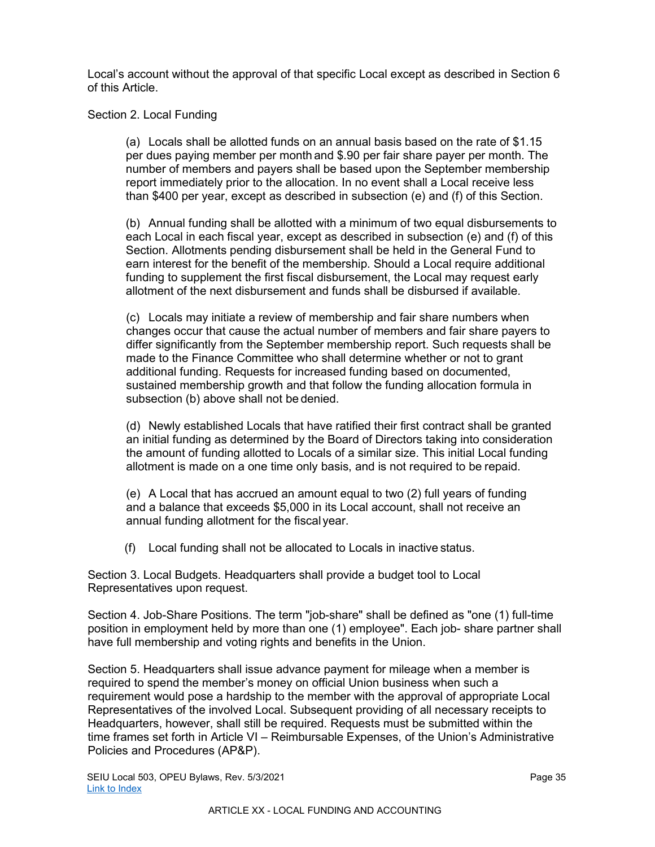Local's account without the approval of that specific Local except as described in Section 6 of this Article.

#### Section 2. Local Funding

(a) Locals shall be allotted funds on an annual basis based on the rate of \$1.15 per dues paying member per month and \$.90 per fair share payer per month. The number of members and payers shall be based upon the September membership report immediately prior to the allocation. In no event shall a Local receive less than \$400 per year, except as described in subsection (e) and (f) of this Section.

(b) Annual funding shall be allotted with a minimum of two equal disbursements to each Local in each fiscal year, except as described in subsection (e) and (f) of this Section. Allotments pending disbursement shall be held in the General Fund to earn interest for the benefit of the membership. Should a Local require additional funding to supplement the first fiscal disbursement, the Local may request early allotment of the next disbursement and funds shall be disbursed if available.

(c) Locals may initiate a review of membership and fair share numbers when changes occur that cause the actual number of members and fair share payers to differ significantly from the September membership report. Such requests shall be made to the Finance Committee who shall determine whether or not to grant additional funding. Requests for increased funding based on documented, sustained membership growth and that follow the funding allocation formula in subsection (b) above shall not be denied.

(d) Newly established Locals that have ratified their first contract shall be granted an initial funding as determined by the Board of Directors taking into consideration the amount of funding allotted to Locals of a similar size. This initial Local funding allotment is made on a one time only basis, and is not required to be repaid.

(e) A Local that has accrued an amount equal to two (2) full years of funding and a balance that exceeds \$5,000 in its Local account, shall not receive an annual funding allotment for the fiscal year.

(f) Local funding shall not be allocated to Locals in inactive status.

Section 3. Local Budgets. Headquarters shall provide a budget tool to Local Representatives upon request.

Section 4. Job-Share Positions. The term "job-share" shall be defined as "one (1) full-time position in employment held by more than one (1) employee". Each job- share partner shall have full membership and voting rights and benefits in the Union.

Section 5. Headquarters shall issue advance payment for mileage when a member is required to spend the member's money on official Union business when such a requirement would pose a hardship to the member with the approval of appropriate Local Representatives of the involved Local. Subsequent providing of all necessary receipts to Headquarters, however, shall still be required. Requests must be submitted within the time frames set forth in Article VI – Reimbursable Expenses, of the Union's Administrative Policies and Procedures (AP&P).

SEIU Local 503, OPEU Bylaws, Rev. 5/3/2021 [Link to Index](#page-0-0)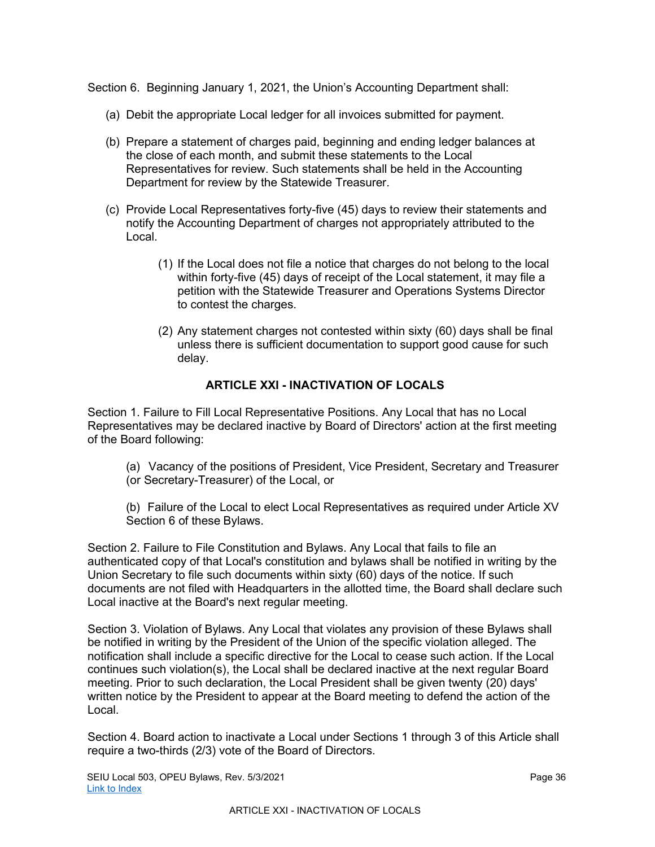Section 6. Beginning January 1, 2021, the Union's Accounting Department shall:

- (a) Debit the appropriate Local ledger for all invoices submitted for payment.
- (b) Prepare a statement of charges paid, beginning and ending ledger balances at the close of each month, and submit these statements to the Local Representatives for review. Such statements shall be held in the Accounting Department for review by the Statewide Treasurer.
- (c) Provide Local Representatives forty-five (45) days to review their statements and notify the Accounting Department of charges not appropriately attributed to the Local.
	- (1) If the Local does not file a notice that charges do not belong to the local within forty-five (45) days of receipt of the Local statement, it may file a petition with the Statewide Treasurer and Operations Systems Director to contest the charges.
	- (2) Any statement charges not contested within sixty (60) days shall be final unless there is sufficient documentation to support good cause for such delay.

# **ARTICLE XXI - INACTIVATION OF LOCALS**

<span id="page-35-0"></span>Section 1. Failure to Fill Local Representative Positions. Any Local that has no Local Representatives may be declared inactive by Board of Directors' action at the first meeting of the Board following:

(a) Vacancy of the positions of President, Vice President, Secretary and Treasurer (or Secretary-Treasurer) of the Local, or

(b) Failure of the Local to elect Local Representatives as required under Article XV Section 6 of these Bylaws.

Section 2. Failure to File Constitution and Bylaws. Any Local that fails to file an authenticated copy of that Local's constitution and bylaws shall be notified in writing by the Union Secretary to file such documents within sixty (60) days of the notice. If such documents are not filed with Headquarters in the allotted time, the Board shall declare such Local inactive at the Board's next regular meeting.

Section 3. Violation of Bylaws. Any Local that violates any provision of these Bylaws shall be notified in writing by the President of the Union of the specific violation alleged. The notification shall include a specific directive for the Local to cease such action. If the Local continues such violation(s), the Local shall be declared inactive at the next regular Board meeting. Prior to such declaration, the Local President shall be given twenty (20) days' written notice by the President to appear at the Board meeting to defend the action of the Local.

Section 4. Board action to inactivate a Local under Sections 1 through 3 of this Article shall require a two-thirds (2/3) vote of the Board of Directors.

SEIU Local 503, OPEU Bylaws, Rev. 5/3/2021 [Link to Index](#page-0-0)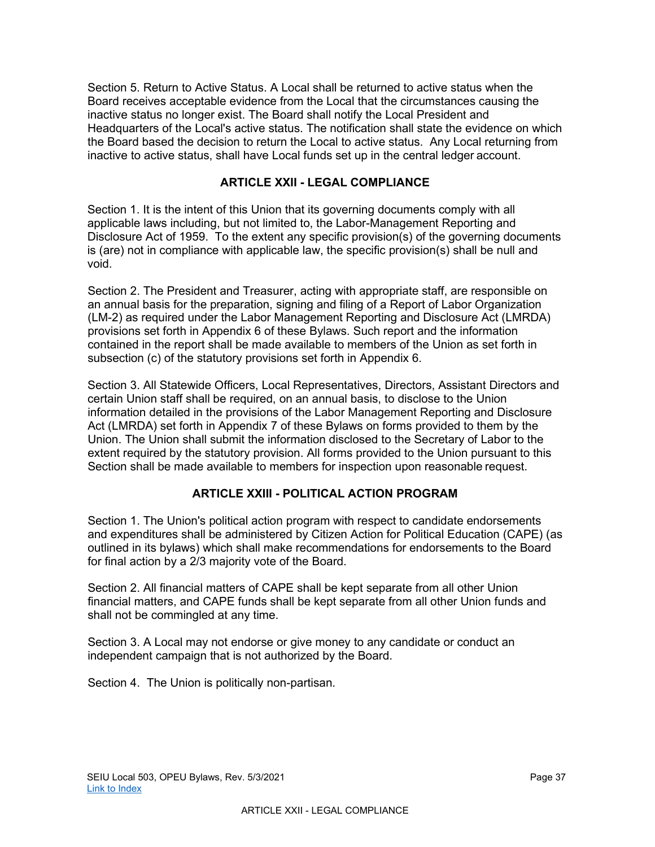Section 5. Return to Active Status. A Local shall be returned to active status when the Board receives acceptable evidence from the Local that the circumstances causing the inactive status no longer exist. The Board shall notify the Local President and Headquarters of the Local's active status. The notification shall state the evidence on which the Board based the decision to return the Local to active status. Any Local returning from inactive to active status, shall have Local funds set up in the central ledger account.

# **ARTICLE XXII - LEGAL COMPLIANCE**

<span id="page-36-0"></span>Section 1. It is the intent of this Union that its governing documents comply with all applicable laws including, but not limited to, the Labor-Management Reporting and Disclosure Act of 1959. To the extent any specific provision(s) of the governing documents is (are) not in compliance with applicable law, the specific provision(s) shall be null and void.

Section 2. The President and Treasurer, acting with appropriate staff, are responsible on an annual basis for the preparation, signing and filing of a Report of Labor Organization (LM-2) as required under the Labor Management Reporting and Disclosure Act (LMRDA) provisions set forth in Appendix 6 of these Bylaws. Such report and the information contained in the report shall be made available to members of the Union as set forth in subsection (c) of the statutory provisions set forth in Appendix 6.

Section 3. All Statewide Officers, Local Representatives, Directors, Assistant Directors and certain Union staff shall be required, on an annual basis, to disclose to the Union information detailed in the provisions of the Labor Management Reporting and Disclosure Act (LMRDA) set forth in Appendix 7 of these Bylaws on forms provided to them by the Union. The Union shall submit the information disclosed to the Secretary of Labor to the extent required by the statutory provision. All forms provided to the Union pursuant to this Section shall be made available to members for inspection upon reasonable request.

# **ARTICLE XXIII - POLITICAL ACTION PROGRAM**

<span id="page-36-1"></span>Section 1. The Union's political action program with respect to candidate endorsements and expenditures shall be administered by Citizen Action for Political Education (CAPE) (as outlined in its bylaws) which shall make recommendations for endorsements to the Board for final action by a 2/3 majority vote of the Board.

Section 2. All financial matters of CAPE shall be kept separate from all other Union financial matters, and CAPE funds shall be kept separate from all other Union funds and shall not be commingled at any time.

Section 3. A Local may not endorse or give money to any candidate or conduct an independent campaign that is not authorized by the Board.

Section 4. The Union is politically non-partisan.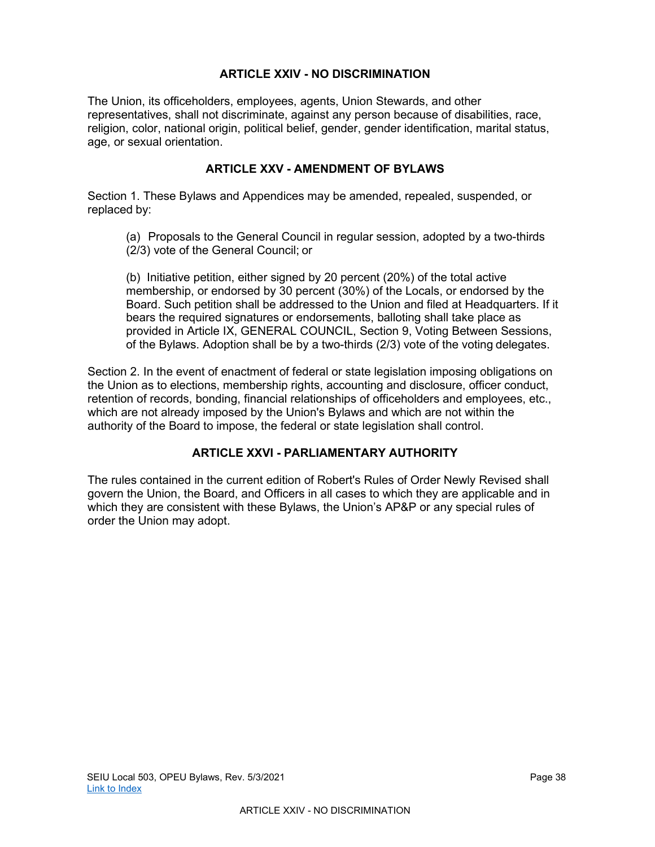#### **ARTICLE XXIV - NO DISCRIMINATION**

<span id="page-37-0"></span>The Union, its officeholders, employees, agents, Union Stewards, and other representatives, shall not discriminate, against any person because of disabilities, race, religion, color, national origin, political belief, gender, gender identification, marital status, age, or sexual orientation.

#### **ARTICLE XXV - AMENDMENT OF BYLAWS**

<span id="page-37-1"></span>Section 1. These Bylaws and Appendices may be amended, repealed, suspended, or replaced by:

(a) Proposals to the General Council in regular session, adopted by a two-thirds (2/3) vote of the General Council; or

(b) Initiative petition, either signed by 20 percent (20%) of the total active membership, or endorsed by 30 percent (30%) of the Locals, or endorsed by the Board. Such petition shall be addressed to the Union and filed at Headquarters. If it bears the required signatures or endorsements, balloting shall take place as provided in Article IX, GENERAL COUNCIL, Section 9, Voting Between Sessions, of the Bylaws. Adoption shall be by a two-thirds (2/3) vote of the voting delegates.

Section 2. In the event of enactment of federal or state legislation imposing obligations on the Union as to elections, membership rights, accounting and disclosure, officer conduct, retention of records, bonding, financial relationships of officeholders and employees, etc., which are not already imposed by the Union's Bylaws and which are not within the authority of the Board to impose, the federal or state legislation shall control.

# **ARTICLE XXVI - PARLIAMENTARY AUTHORITY**

<span id="page-37-2"></span>The rules contained in the current edition of Robert's Rules of Order Newly Revised shall govern the Union, the Board, and Officers in all cases to which they are applicable and in which they are consistent with these Bylaws, the Union's AP&P or any special rules of order the Union may adopt.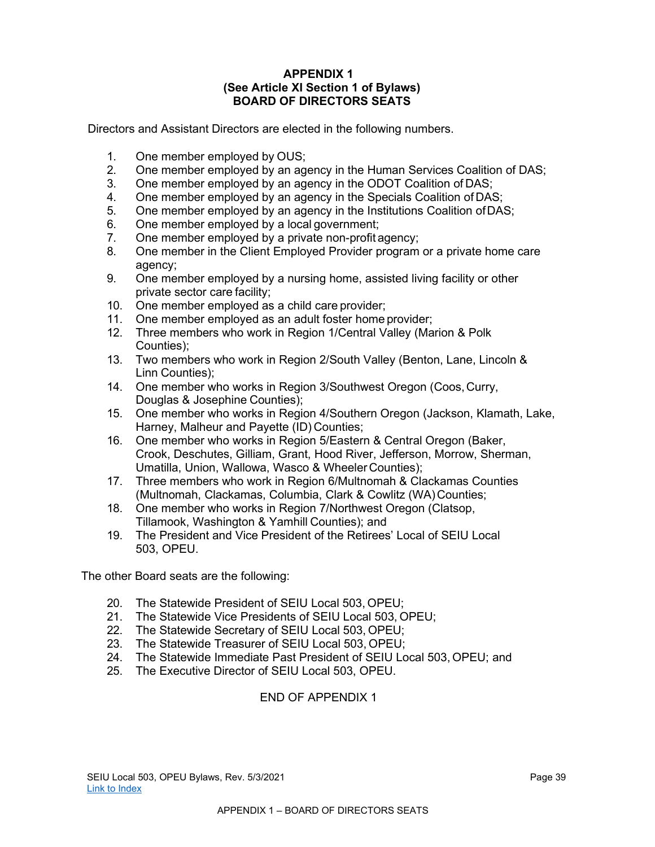#### **APPENDIX 1 (See Article XI Section 1 of Bylaws) BOARD OF DIRECTORS SEATS**

<span id="page-38-0"></span>Directors and Assistant Directors are elected in the following numbers.

- 1. One member employed by OUS;
- 2. One member employed by an agency in the Human Services Coalition of DAS;
- 3. One member employed by an agency in the ODOT Coalition of DAS;
- 4. One member employed by an agency in the Specials Coalition of DAS;
- 5. One member employed by an agency in the Institutions Coalition of DAS;<br>6. One member emploved by a local government:
- One member employed by a local government;
- 7. One member employed by a private non-profit agency;
- 8. One member in the Client Employed Provider program or a private home care agency;
- 9. One member employed by a nursing home, assisted living facility or other private sector care facility;
- 10. One member employed as a child care provider;
- 11. One member employed as an adult foster home provider;
- 12. Three members who work in Region 1/Central Valley (Marion & Polk Counties);
- 13. Two members who work in Region 2/South Valley (Benton, Lane, Lincoln & Linn Counties);
- 14. One member who works in Region 3/Southwest Oregon (Coos,Curry, Douglas & Josephine Counties);
- 15. One member who works in Region 4/Southern Oregon (Jackson, Klamath, Lake, Harney, Malheur and Payette (ID) Counties;
- 16. One member who works in Region 5/Eastern & Central Oregon (Baker, Crook, Deschutes, Gilliam, Grant, Hood River, Jefferson, Morrow, Sherman, Umatilla, Union, Wallowa, Wasco & Wheeler Counties);
- 17. Three members who work in Region 6/Multnomah & Clackamas Counties (Multnomah, Clackamas, Columbia, Clark & Cowlitz (WA)Counties;
- 18. One member who works in Region 7/Northwest Oregon (Clatsop, Tillamook, Washington & Yamhill Counties); and
- 19. The President and Vice President of the Retirees' Local of SEIU Local 503, OPEU.

The other Board seats are the following:

- 20. The Statewide President of SEIU Local 503, OPEU;
- 21. The Statewide Vice Presidents of SEIU Local 503, OPEU;
- 22. The Statewide Secretary of SEIU Local 503, OPEU;
- 23. The Statewide Treasurer of SEIU Local 503, OPEU;
- 24. The Statewide Immediate Past President of SEIU Local 503, OPEU; and
- 25. The Executive Director of SEIU Local 503, OPEU.

END OF APPENDIX 1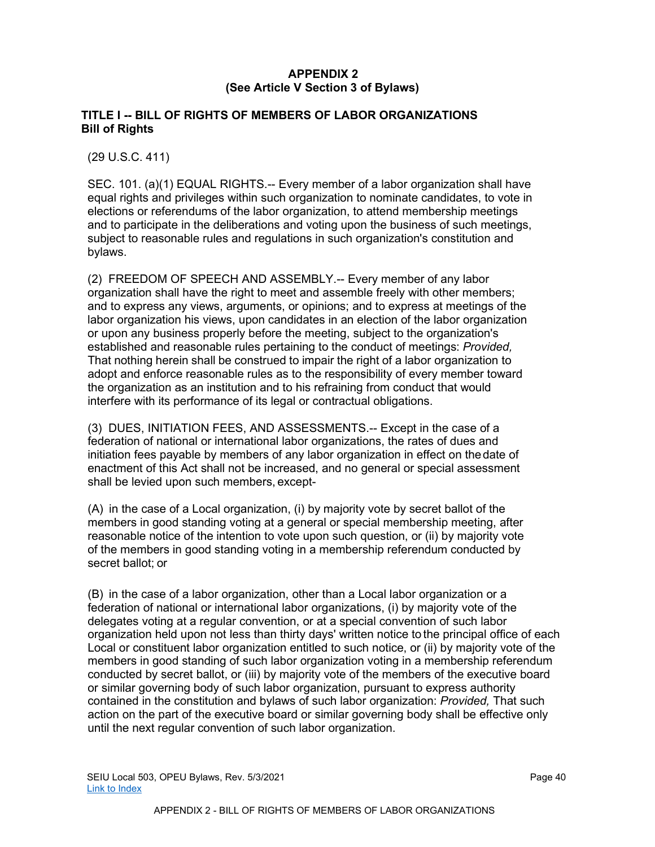# **APPENDIX 2 - BILL OF RIGHTS OF MEMBERS OF LABOR ORGANIZATIONS (See Article V Section 3 of Bylaws)**

#### <span id="page-39-0"></span>**TITLE I -- BILL OF RIGHTS OF MEMBERS OF LABOR ORGANIZATIONS Bill of Rights**

(29 U.S.C. 411)

SEC. 101. (a)(1) EQUAL RIGHTS.-- Every member of a labor organization shall have equal rights and privileges within such organization to nominate candidates, to vote in elections or referendums of the labor organization, to attend membership meetings and to participate in the deliberations and voting upon the business of such meetings, subject to reasonable rules and regulations in such organization's constitution and bylaws.

(2) FREEDOM OF SPEECH AND ASSEMBLY.-- Every member of any labor organization shall have the right to meet and assemble freely with other members; and to express any views, arguments, or opinions; and to express at meetings of the labor organization his views, upon candidates in an election of the labor organization or upon any business properly before the meeting, subject to the organization's established and reasonable rules pertaining to the conduct of meetings: *Provided,* That nothing herein shall be construed to impair the right of a labor organization to adopt and enforce reasonable rules as to the responsibility of every member toward the organization as an institution and to his refraining from conduct that would interfere with its performance of its legal or contractual obligations.

(3) DUES, INITIATION FEES, AND ASSESSMENTS.-- Except in the case of a federation of national or international labor organizations, the rates of dues and initiation fees payable by members of any labor organization in effect on thedate of enactment of this Act shall not be increased, and no general or special assessment shall be levied upon such members, except-

(A) in the case of a Local organization, (i) by majority vote by secret ballot of the members in good standing voting at a general or special membership meeting, after reasonable notice of the intention to vote upon such question, or (ii) by majority vote of the members in good standing voting in a membership referendum conducted by secret ballot; or

(B) in the case of a labor organization, other than a Local labor organization or a federation of national or international labor organizations, (i) by majority vote of the delegates voting at a regular convention, or at a special convention of such labor organization held upon not less than thirty days' written notice to the principal office of each Local or constituent labor organization entitled to such notice, or (ii) by majority vote of the members in good standing of such labor organization voting in a membership referendum conducted by secret ballot, or (iii) by majority vote of the members of the executive board or similar governing body of such labor organization, pursuant to express authority contained in the constitution and bylaws of such labor organization: *Provided,* That such action on the part of the executive board or similar governing body shall be effective only until the next regular convention of such labor organization.

SEIU Local 503, OPEU Bylaws, Rev. 5/3/2021 [Link to Index](#page-0-0)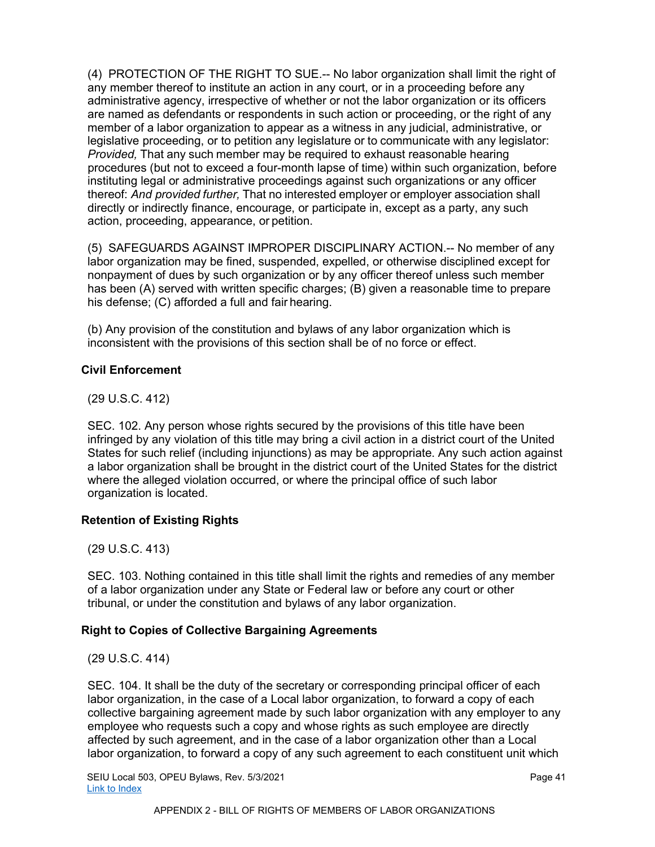(4) PROTECTION OF THE RIGHT TO SUE.-- No labor organization shall limit the right of any member thereof to institute an action in any court, or in a proceeding before any administrative agency, irrespective of whether or not the labor organization or its officers are named as defendants or respondents in such action or proceeding, or the right of any member of a labor organization to appear as a witness in any judicial, administrative, or legislative proceeding, or to petition any legislature or to communicate with any legislator: *Provided,* That any such member may be required to exhaust reasonable hearing procedures (but not to exceed a four-month lapse of time) within such organization, before instituting legal or administrative proceedings against such organizations or any officer thereof: *And provided further,* That no interested employer or employer association shall directly or indirectly finance, encourage, or participate in, except as a party, any such action, proceeding, appearance, or petition.

(5) SAFEGUARDS AGAINST IMPROPER DISCIPLINARY ACTION.-- No member of any labor organization may be fined, suspended, expelled, or otherwise disciplined except for nonpayment of dues by such organization or by any officer thereof unless such member has been (A) served with written specific charges; (B) given a reasonable time to prepare his defense; (C) afforded a full and fair hearing.

(b) Any provision of the constitution and bylaws of any labor organization which is inconsistent with the provisions of this section shall be of no force or effect.

#### **Civil Enforcement**

(29 U.S.C. 412)

SEC. 102. Any person whose rights secured by the provisions of this title have been infringed by any violation of this title may bring a civil action in a district court of the United States for such relief (including injunctions) as may be appropriate. Any such action against a labor organization shall be brought in the district court of the United States for the district where the alleged violation occurred, or where the principal office of such labor organization is located.

# **Retention of Existing Rights**

(29 U.S.C. 413)

SEC. 103. Nothing contained in this title shall limit the rights and remedies of any member of a labor organization under any State or Federal law or before any court or other tribunal, or under the constitution and bylaws of any labor organization.

#### **Right to Copies of Collective Bargaining Agreements**

(29 U.S.C. 414)

SEC. 104. It shall be the duty of the secretary or corresponding principal officer of each labor organization, in the case of a Local labor organization, to forward a copy of each collective bargaining agreement made by such labor organization with any employer to any employee who requests such a copy and whose rights as such employee are directly affected by such agreement, and in the case of a labor organization other than a Local labor organization, to forward a copy of any such agreement to each constituent unit which

SEIU Local 503, OPEU Bylaws, Rev. 5/3/2021 [Link to Index](#page-0-0)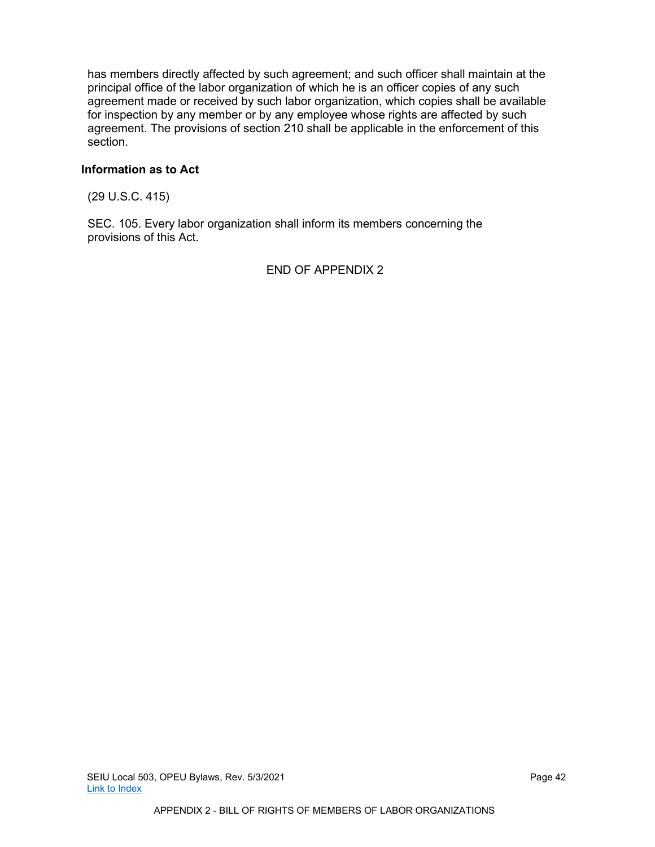has members directly affected by such agreement; and such officer shall maintain at the principal office of the labor organization of which he is an officer copies of any such agreement made or received by such labor organization, which copies shall be available for inspection by any member or by any employee whose rights are affected by such agreement. The provisions of section 210 shall be applicable in the enforcement of this section.

#### **Information as to Act**

(29 U.S.C. 415)

SEC. 105. Every labor organization shall inform its members concerning the provisions of this Act.

END OF APPENDIX 2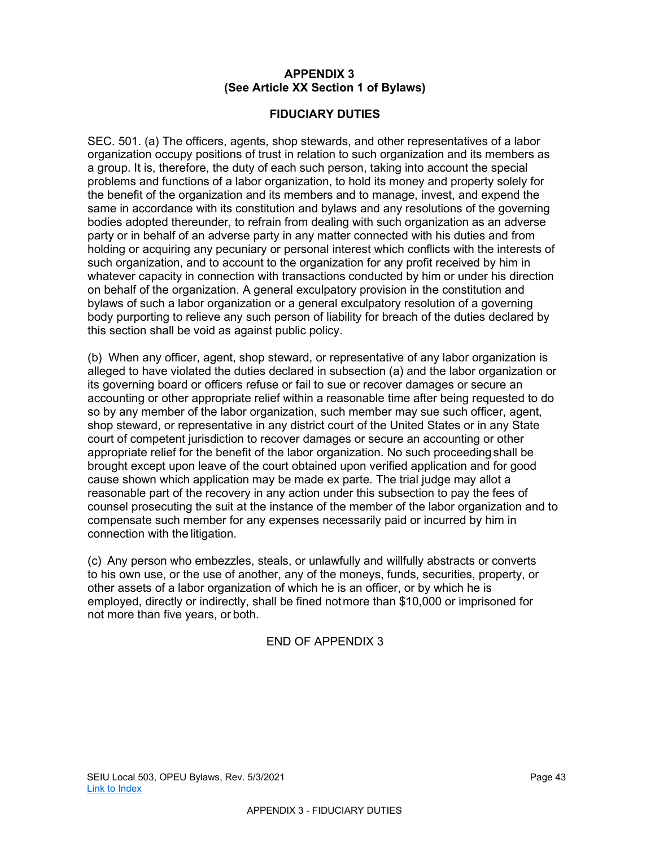# **APPENDIX 3 (See Article XX Section 1 of Bylaws)**

# **FIDUCIARY DUTIES**

<span id="page-42-0"></span>SEC. 501. (a) The officers, agents, shop stewards, and other representatives of a labor organization occupy positions of trust in relation to such organization and its members as a group. It is, therefore, the duty of each such person, taking into account the special problems and functions of a labor organization, to hold its money and property solely for the benefit of the organization and its members and to manage, invest, and expend the same in accordance with its constitution and bylaws and any resolutions of the governing bodies adopted thereunder, to refrain from dealing with such organization as an adverse party or in behalf of an adverse party in any matter connected with his duties and from holding or acquiring any pecuniary or personal interest which conflicts with the interests of such organization, and to account to the organization for any profit received by him in whatever capacity in connection with transactions conducted by him or under his direction on behalf of the organization. A general exculpatory provision in the constitution and bylaws of such a labor organization or a general exculpatory resolution of a governing body purporting to relieve any such person of liability for breach of the duties declared by this section shall be void as against public policy.

(b) When any officer, agent, shop steward, or representative of any labor organization is alleged to have violated the duties declared in subsection (a) and the labor organization or its governing board or officers refuse or fail to sue or recover damages or secure an accounting or other appropriate relief within a reasonable time after being requested to do so by any member of the labor organization, such member may sue such officer, agent, shop steward, or representative in any district court of the United States or in any State court of competent jurisdiction to recover damages or secure an accounting or other appropriate relief for the benefit of the labor organization. No such proceedingshall be brought except upon leave of the court obtained upon verified application and for good cause shown which application may be made ex parte. The trial judge may allot a reasonable part of the recovery in any action under this subsection to pay the fees of counsel prosecuting the suit at the instance of the member of the labor organization and to compensate such member for any expenses necessarily paid or incurred by him in connection with the litigation.

(c) Any person who embezzles, steals, or unlawfully and willfully abstracts or converts to his own use, or the use of another, any of the moneys, funds, securities, property, or other assets of a labor organization of which he is an officer, or by which he is employed, directly or indirectly, shall be fined notmore than \$10,000 or imprisoned for not more than five years, or both.

# END OF APPENDIX 3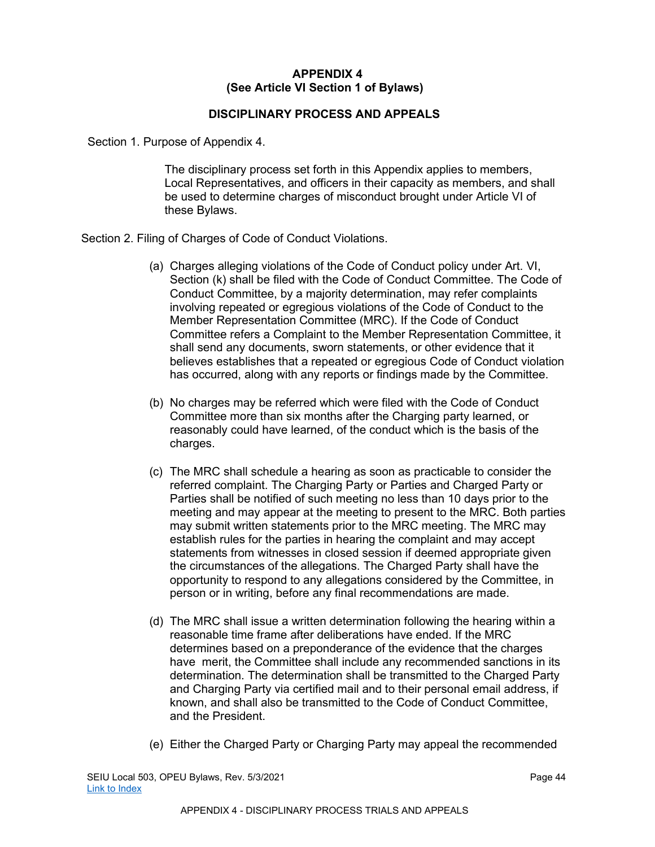# **APPENDIX 4 - DISCIPLINARY PROCESS TRIALS AND APPEALS (See Article VI Section 1 of Bylaws)**

# **DISCIPLINARY PROCESS AND APPEALS**

<span id="page-43-0"></span>Section 1. Purpose of Appendix 4.

The disciplinary process set forth in this Appendix applies to members, Local Representatives, and officers in their capacity as members, and shall be used to determine charges of misconduct brought under Article VI of these Bylaws.

Section 2. Filing of Charges of Code of Conduct Violations.

- (a) Charges alleging violations of the Code of Conduct policy under Art. VI, Section (k) shall be filed with the Code of Conduct Committee. The Code of Conduct Committee, by a majority determination, may refer complaints involving repeated or egregious violations of the Code of Conduct to the Member Representation Committee (MRC). If the Code of Conduct Committee refers a Complaint to the Member Representation Committee, it shall send any documents, sworn statements, or other evidence that it believes establishes that a repeated or egregious Code of Conduct violation has occurred, along with any reports or findings made by the Committee.
- (b) No charges may be referred which were filed with the Code of Conduct Committee more than six months after the Charging party learned, or reasonably could have learned, of the conduct which is the basis of the charges.
- (c) The MRC shall schedule a hearing as soon as practicable to consider the referred complaint. The Charging Party or Parties and Charged Party or Parties shall be notified of such meeting no less than 10 days prior to the meeting and may appear at the meeting to present to the MRC. Both parties may submit written statements prior to the MRC meeting. The MRC may establish rules for the parties in hearing the complaint and may accept statements from witnesses in closed session if deemed appropriate given the circumstances of the allegations. The Charged Party shall have the opportunity to respond to any allegations considered by the Committee, in person or in writing, before any final recommendations are made.
- (d) The MRC shall issue a written determination following the hearing within a reasonable time frame after deliberations have ended. If the MRC determines based on a preponderance of the evidence that the charges have merit, the Committee shall include any recommended sanctions in its determination. The determination shall be transmitted to the Charged Party and Charging Party via certified mail and to their personal email address, if known, and shall also be transmitted to the Code of Conduct Committee, and the President.
- (e) Either the Charged Party or Charging Party may appeal the recommended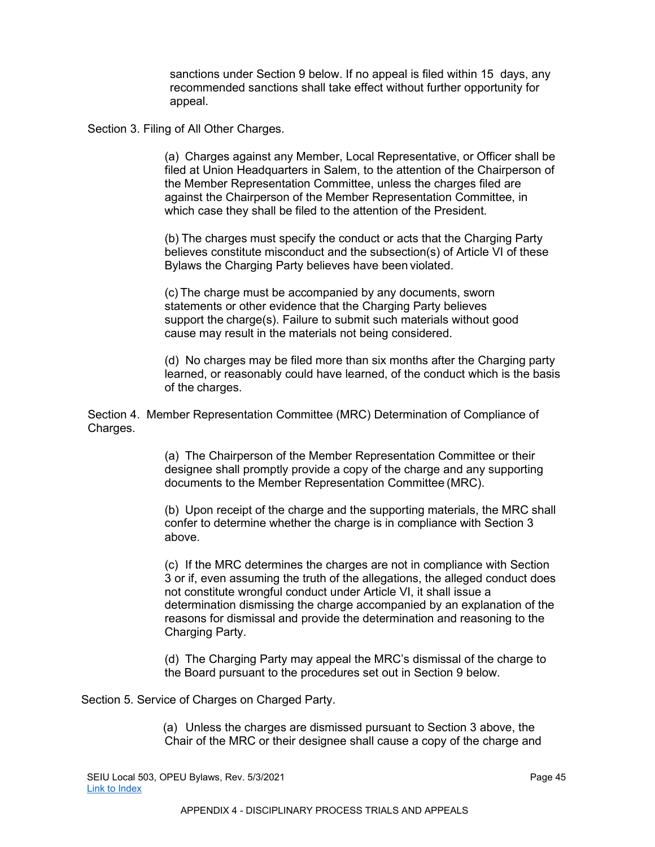sanctions under Section 9 below. If no appeal is filed within 15 days, any recommended sanctions shall take effect without further opportunity for appeal.

Section 3. Filing of All Other Charges.

(a) Charges against any Member, Local Representative, or Officer shall be filed at Union Headquarters in Salem, to the attention of the Chairperson of the Member Representation Committee, unless the charges filed are against the Chairperson of the Member Representation Committee, in which case they shall be filed to the attention of the President.

(b) The charges must specify the conduct or acts that the Charging Party believes constitute misconduct and the subsection(s) of Article VI of these Bylaws the Charging Party believes have been violated.

(c) The charge must be accompanied by any documents, sworn statements or other evidence that the Charging Party believes support the charge(s). Failure to submit such materials without good cause may result in the materials not being considered.

(d) No charges may be filed more than six months after the Charging party learned, or reasonably could have learned, of the conduct which is the basis of the charges.

Section 4. Member Representation Committee (MRC) Determination of Compliance of Charges.

> (a) The Chairperson of the Member Representation Committee or their designee shall promptly provide a copy of the charge and any supporting documents to the Member Representation Committee (MRC).

(b) Upon receipt of the charge and the supporting materials, the MRC shall confer to determine whether the charge is in compliance with Section 3 above.

(c) If the MRC determines the charges are not in compliance with Section 3 or if, even assuming the truth of the allegations, the alleged conduct does not constitute wrongful conduct under Article VI, it shall issue a determination dismissing the charge accompanied by an explanation of the reasons for dismissal and provide the determination and reasoning to the Charging Party.

(d) The Charging Party may appeal the MRC's dismissal of the charge to the Board pursuant to the procedures set out in Section 9 below.

Section 5. Service of Charges on Charged Party.

(a) Unless the charges are dismissed pursuant to Section 3 above, the Chair of the MRC or their designee shall cause a copy of the charge and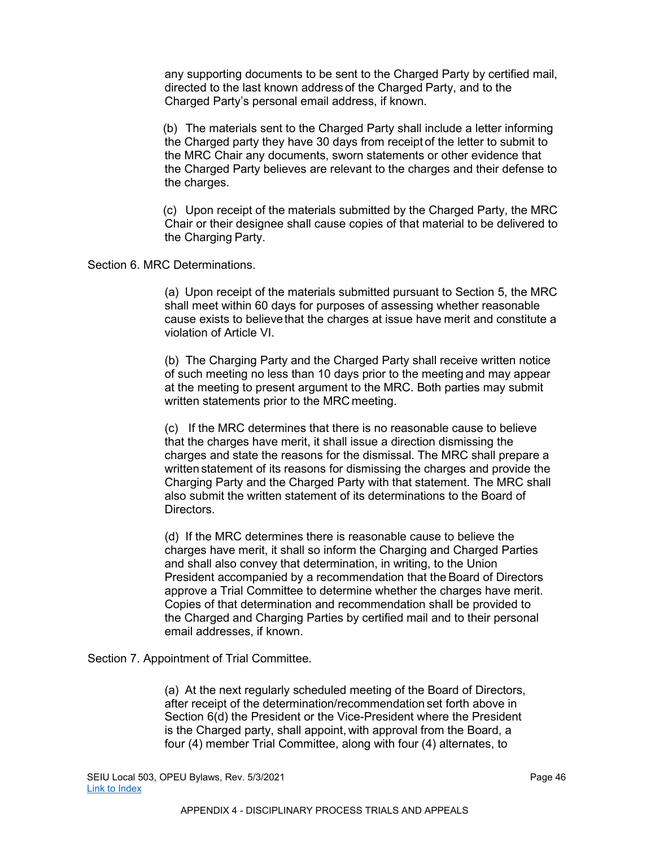any supporting documents to be sent to the Charged Party by certified mail, directed to the last known address of the Charged Party, and to the Charged Party's personal email address, if known.

(b) The materials sent to the Charged Party shall include a letter informing the Charged party they have 30 days from receipt of the letter to submit to the MRC Chair any documents, sworn statements or other evidence that the Charged Party believes are relevant to the charges and their defense to the charges.

(c) Upon receipt of the materials submitted by the Charged Party, the MRC Chair or their designee shall cause copies of that material to be delivered to the Charging Party.

Section 6. MRC Determinations.

(a) Upon receipt of the materials submitted pursuant to Section 5, the MRC shall meet within 60 days for purposes of assessing whether reasonable cause exists to believethat the charges at issue have merit and constitute a violation of Article VI.

(b) The Charging Party and the Charged Party shall receive written notice of such meeting no less than 10 days prior to the meeting and may appear at the meeting to present argument to the MRC. Both parties may submit written statements prior to the MRC meeting.

(c) If the MRC determines that there is no reasonable cause to believe that the charges have merit, it shall issue a direction dismissing the charges and state the reasons for the dismissal. The MRC shall prepare a written statement of its reasons for dismissing the charges and provide the Charging Party and the Charged Party with that statement. The MRC shall also submit the written statement of its determinations to the Board of **Directors** 

(d) If the MRC determines there is reasonable cause to believe the charges have merit, it shall so inform the Charging and Charged Parties and shall also convey that determination, in writing, to the Union President accompanied by a recommendation that the Board of Directors approve a Trial Committee to determine whether the charges have merit. Copies of that determination and recommendation shall be provided to the Charged and Charging Parties by certified mail and to their personal email addresses, if known.

Section 7. Appointment of Trial Committee.

(a) At the next regularly scheduled meeting of the Board of Directors, after receipt of the determination/recommendation set forth above in Section 6(d) the President or the Vice-President where the President is the Charged party, shall appoint, with approval from the Board, a four (4) member Trial Committee, along with four (4) alternates, to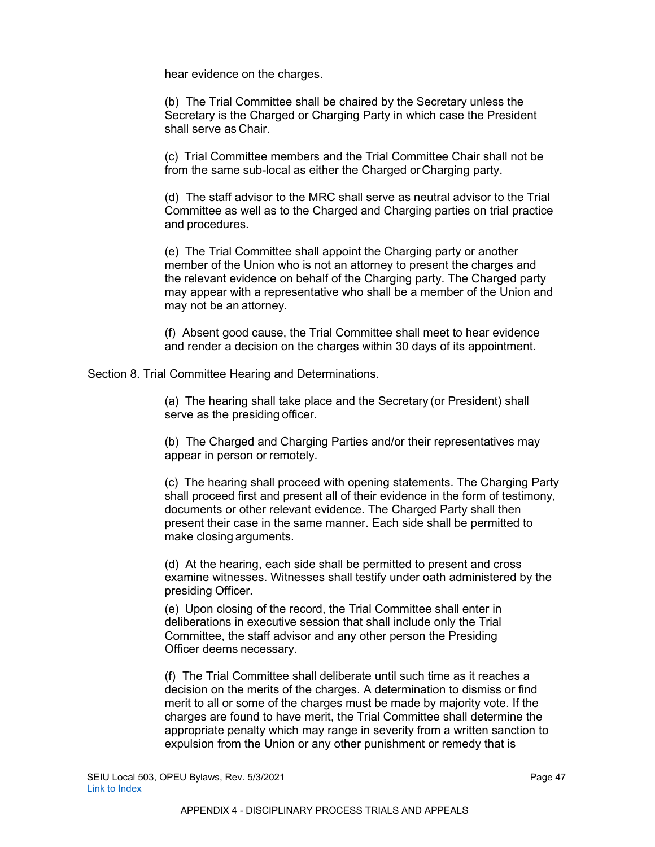hear evidence on the charges.

(b) The Trial Committee shall be chaired by the Secretary unless the Secretary is the Charged or Charging Party in which case the President shall serve as Chair.

(c) Trial Committee members and the Trial Committee Chair shall not be from the same sub-local as either the Charged or Charging party.

(d) The staff advisor to the MRC shall serve as neutral advisor to the Trial Committee as well as to the Charged and Charging parties on trial practice and procedures.

(e) The Trial Committee shall appoint the Charging party or another member of the Union who is not an attorney to present the charges and the relevant evidence on behalf of the Charging party. The Charged party may appear with a representative who shall be a member of the Union and may not be an attorney.

(f) Absent good cause, the Trial Committee shall meet to hear evidence and render a decision on the charges within 30 days of its appointment.

Section 8. Trial Committee Hearing and Determinations.

(a) The hearing shall take place and the Secretary (or President) shall serve as the presiding officer.

(b) The Charged and Charging Parties and/or their representatives may appear in person or remotely.

(c) The hearing shall proceed with opening statements. The Charging Party shall proceed first and present all of their evidence in the form of testimony, documents or other relevant evidence. The Charged Party shall then present their case in the same manner. Each side shall be permitted to make closing arguments.

(d) At the hearing, each side shall be permitted to present and cross examine witnesses. Witnesses shall testify under oath administered by the presiding Officer.

(e) Upon closing of the record, the Trial Committee shall enter in deliberations in executive session that shall include only the Trial Committee, the staff advisor and any other person the Presiding Officer deems necessary.

(f) The Trial Committee shall deliberate until such time as it reaches a decision on the merits of the charges. A determination to dismiss or find merit to all or some of the charges must be made by majority vote. If the charges are found to have merit, the Trial Committee shall determine the appropriate penalty which may range in severity from a written sanction to expulsion from the Union or any other punishment or remedy that is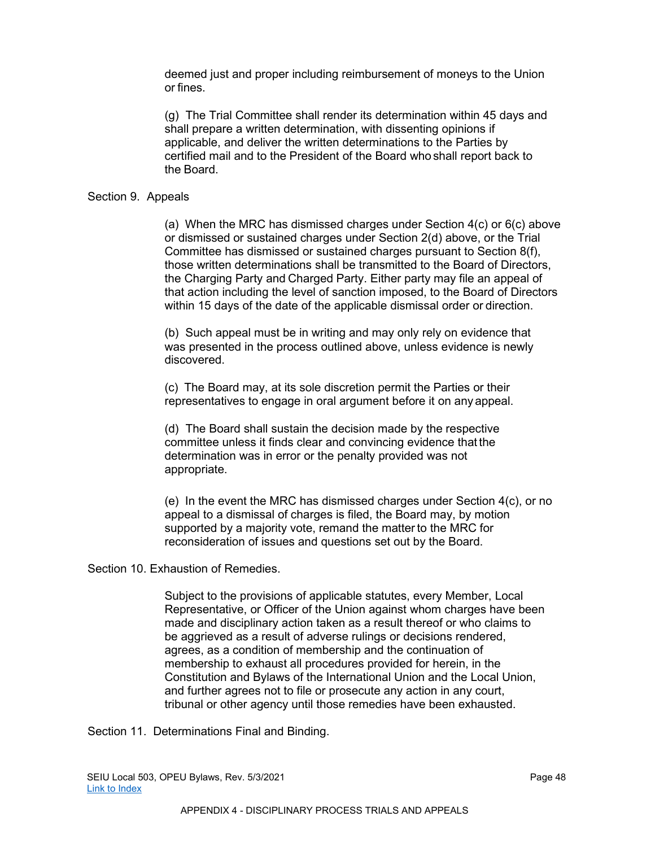deemed just and proper including reimbursement of moneys to the Union or fines.

(g) The Trial Committee shall render its determination within 45 days and shall prepare a written determination, with dissenting opinions if applicable, and deliver the written determinations to the Parties by certified mail and to the President of the Board who shall report back to the Board.

#### Section 9. Appeals

(a) When the MRC has dismissed charges under Section 4(c) or 6(c) above or dismissed or sustained charges under Section 2(d) above, or the Trial Committee has dismissed or sustained charges pursuant to Section 8(f), those written determinations shall be transmitted to the Board of Directors, the Charging Party and Charged Party. Either party may file an appeal of that action including the level of sanction imposed, to the Board of Directors within 15 days of the date of the applicable dismissal order or direction.

(b) Such appeal must be in writing and may only rely on evidence that was presented in the process outlined above, unless evidence is newly discovered.

(c) The Board may, at its sole discretion permit the Parties or their representatives to engage in oral argument before it on any appeal.

(d) The Board shall sustain the decision made by the respective committee unless it finds clear and convincing evidence that the determination was in error or the penalty provided was not appropriate.

(e) In the event the MRC has dismissed charges under Section 4(c), or no appeal to a dismissal of charges is filed, the Board may, by motion supported by a majority vote, remand the matter to the MRC for reconsideration of issues and questions set out by the Board.

Section 10. Exhaustion of Remedies.

Subject to the provisions of applicable statutes, every Member, Local Representative, or Officer of the Union against whom charges have been made and disciplinary action taken as a result thereof or who claims to be aggrieved as a result of adverse rulings or decisions rendered, agrees, as a condition of membership and the continuation of membership to exhaust all procedures provided for herein, in the Constitution and Bylaws of the International Union and the Local Union, and further agrees not to file or prosecute any action in any court, tribunal or other agency until those remedies have been exhausted.

Section 11. Determinations Final and Binding.

SEIU Local 503, OPEU Bylaws, Rev. 5/3/2021 [Link to Index](#page-0-0)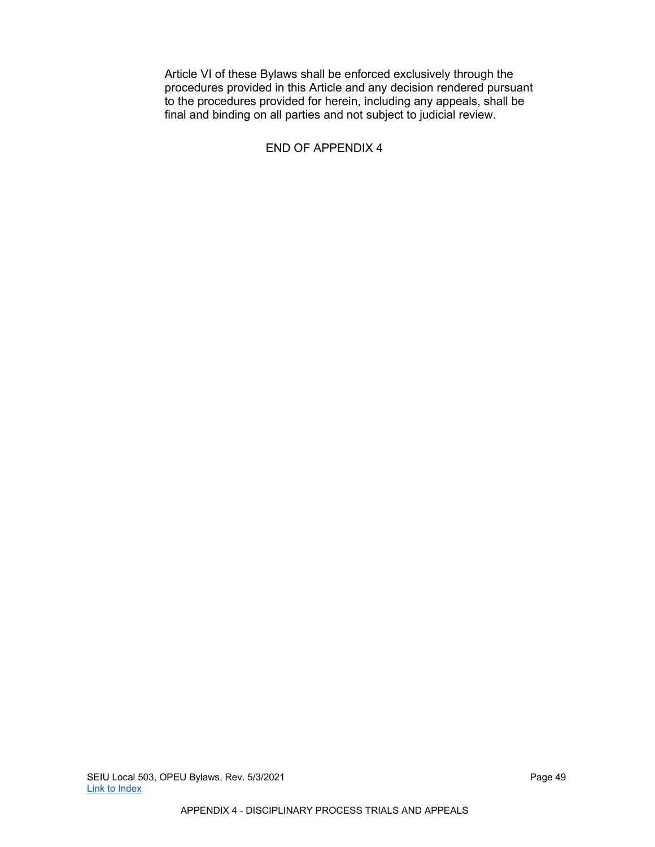Article VI of these Bylaws shall be enforced exclusively through the procedures provided in this Article and any decision rendered pursuant to the procedures provided for herein, including any appeals, shall be final and binding on all parties and not subject to judicial review.

END OF APPENDIX 4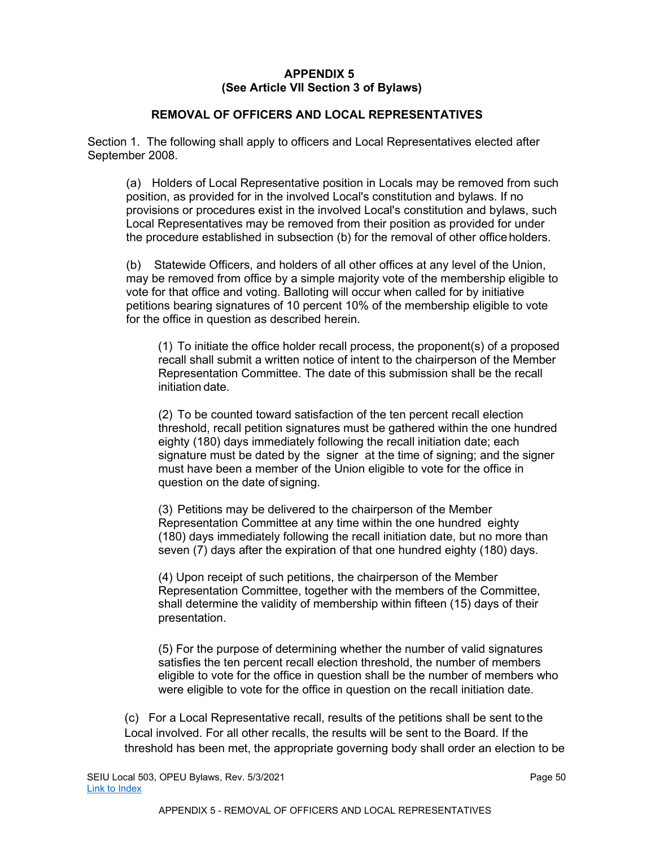# **APPENDIX 5 - REMOVAL OF OFFICERS AND LOCAL REPRESENTATIVES (See Article VII Section 3 of Bylaws)**

# **REMOVAL OF OFFICERS AND LOCAL REPRESENTATIVES**

<span id="page-49-0"></span>Section 1. The following shall apply to officers and Local Representatives elected after September 2008.

(a) Holders of Local Representative position in Locals may be removed from such position, as provided for in the involved Local's constitution and bylaws. If no provisions or procedures exist in the involved Local's constitution and bylaws, such Local Representatives may be removed from their position as provided for under the procedure established in subsection (b) for the removal of other office holders.

(b) Statewide Officers, and holders of all other offices at any level of the Union, may be removed from office by a simple majority vote of the membership eligible to vote for that office and voting. Balloting will occur when called for by initiative petitions bearing signatures of 10 percent 10% of the membership eligible to vote for the office in question as described herein.

(1) To initiate the office holder recall process, the proponent(s) of a proposed recall shall submit a written notice of intent to the chairperson of the Member Representation Committee. The date of this submission shall be the recall initiation date.

(2) To be counted toward satisfaction of the ten percent recall election threshold, recall petition signatures must be gathered within the one hundred eighty (180) days immediately following the recall initiation date; each signature must be dated by the signer at the time of signing; and the signer must have been a member of the Union eligible to vote for the office in question on the date of signing.

(3) Petitions may be delivered to the chairperson of the Member Representation Committee at any time within the one hundred eighty (180) days immediately following the recall initiation date, but no more than seven (7) days after the expiration of that one hundred eighty (180) days.

(4) Upon receipt of such petitions, the chairperson of the Member Representation Committee, together with the members of the Committee, shall determine the validity of membership within fifteen (15) days of their presentation.

(5) For the purpose of determining whether the number of valid signatures satisfies the ten percent recall election threshold, the number of members eligible to vote for the office in question shall be the number of members who were eligible to vote for the office in question on the recall initiation date.

(c) For a Local Representative recall, results of the petitions shall be sent to the Local involved. For all other recalls, the results will be sent to the Board. If the threshold has been met, the appropriate governing body shall order an election to be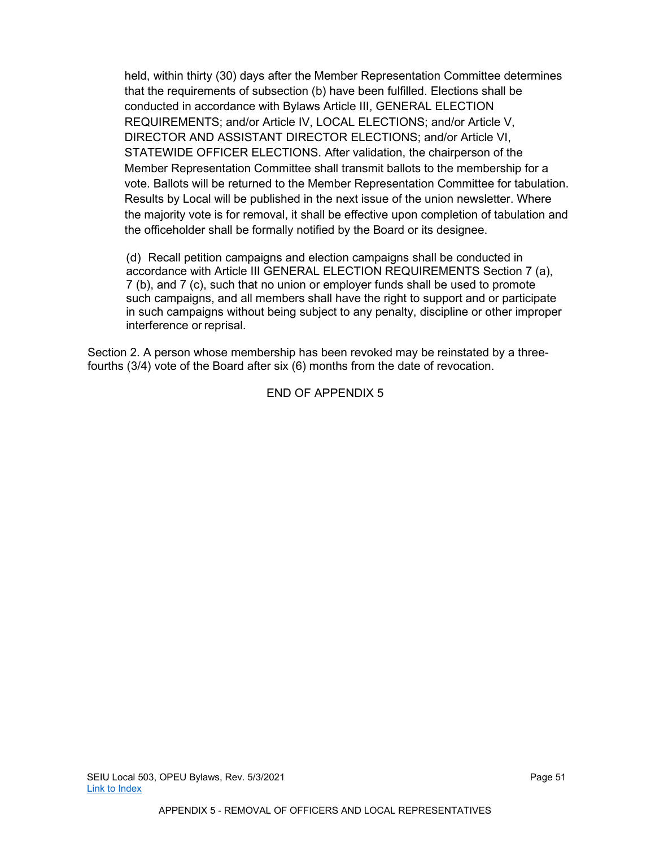held, within thirty (30) days after the Member Representation Committee determines that the requirements of subsection (b) have been fulfilled. Elections shall be conducted in accordance with Bylaws Article III, GENERAL ELECTION REQUIREMENTS; and/or Article IV, LOCAL ELECTIONS; and/or Article V, DIRECTOR AND ASSISTANT DIRECTOR ELECTIONS; and/or Article VI, STATEWIDE OFFICER ELECTIONS. After validation, the chairperson of the Member Representation Committee shall transmit ballots to the membership for a vote. Ballots will be returned to the Member Representation Committee for tabulation. Results by Local will be published in the next issue of the union newsletter. Where the majority vote is for removal, it shall be effective upon completion of tabulation and the officeholder shall be formally notified by the Board or its designee.

(d) Recall petition campaigns and election campaigns shall be conducted in accordance with Article III GENERAL ELECTION REQUIREMENTS Section 7 (a), 7 (b), and 7 (c), such that no union or employer funds shall be used to promote such campaigns, and all members shall have the right to support and or participate in such campaigns without being subject to any penalty, discipline or other improper interference or reprisal.

Section 2. A person whose membership has been revoked may be reinstated by a threefourths (3/4) vote of the Board after six (6) months from the date of revocation.

END OF APPENDIX 5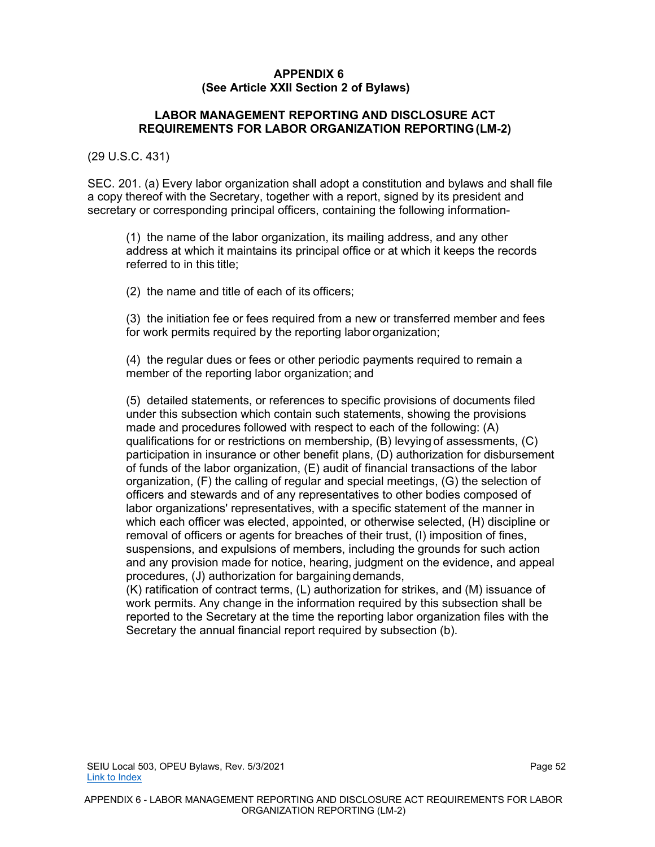# **APPENDIX 6 (See Article XXII Section 2 of Bylaws)**

#### <span id="page-51-0"></span>**LABOR MANAGEMENT REPORTING AND DISCLOSURE ACT REQUIREMENTS FOR LABOR ORGANIZATION REPORTING(LM-2)**

#### (29 U.S.C. 431)

SEC. 201. (a) Every labor organization shall adopt a constitution and bylaws and shall file a copy thereof with the Secretary, together with a report, signed by its president and secretary or corresponding principal officers, containing the following information-

(1) the name of the labor organization, its mailing address, and any other address at which it maintains its principal office or at which it keeps the records referred to in this title;

(2) the name and title of each of its officers;

(3) the initiation fee or fees required from a new or transferred member and fees for work permits required by the reporting labor organization;

(4) the regular dues or fees or other periodic payments required to remain a member of the reporting labor organization; and

(5) detailed statements, or references to specific provisions of documents filed under this subsection which contain such statements, showing the provisions made and procedures followed with respect to each of the following: (A) qualifications for or restrictions on membership, (B) levying of assessments, (C) participation in insurance or other benefit plans, (D) authorization for disbursement of funds of the labor organization, (E) audit of financial transactions of the labor organization, (F) the calling of regular and special meetings, (G) the selection of officers and stewards and of any representatives to other bodies composed of labor organizations' representatives, with a specific statement of the manner in which each officer was elected, appointed, or otherwise selected, (H) discipline or removal of officers or agents for breaches of their trust, (I) imposition of fines, suspensions, and expulsions of members, including the grounds for such action and any provision made for notice, hearing, judgment on the evidence, and appeal procedures, (J) authorization for bargaining demands,

(K) ratification of contract terms, (L) authorization for strikes, and (M) issuance of work permits. Any change in the information required by this subsection shall be reported to the Secretary at the time the reporting labor organization files with the Secretary the annual financial report required by subsection (b).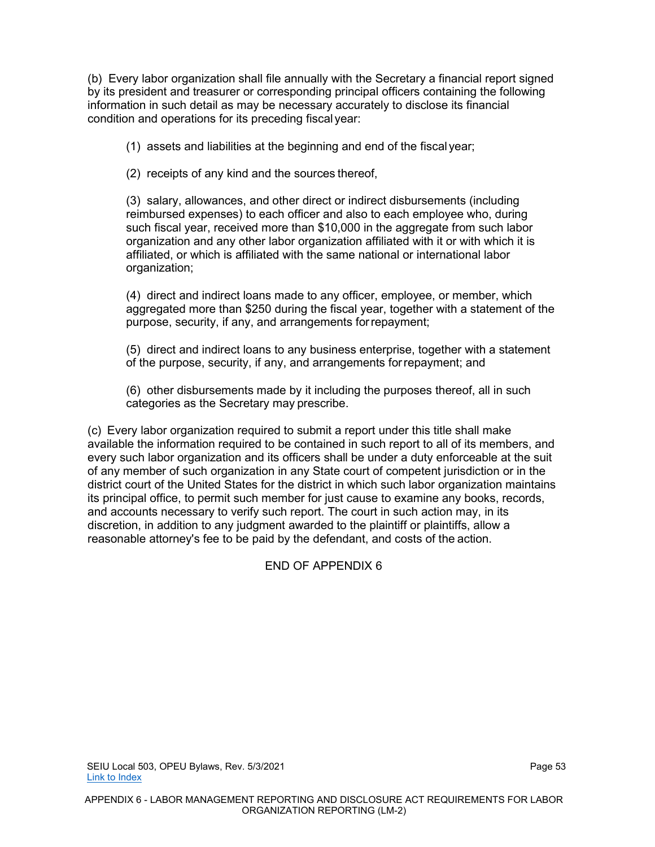(b) Every labor organization shall file annually with the Secretary a financial report signed by its president and treasurer or corresponding principal officers containing the following information in such detail as may be necessary accurately to disclose its financial condition and operations for its preceding fiscal year:

(1) assets and liabilities at the beginning and end of the fiscal year;

(2) receipts of any kind and the sources thereof,

(3) salary, allowances, and other direct or indirect disbursements (including reimbursed expenses) to each officer and also to each employee who, during such fiscal year, received more than \$10,000 in the aggregate from such labor organization and any other labor organization affiliated with it or with which it is affiliated, or which is affiliated with the same national or international labor organization;

(4) direct and indirect loans made to any officer, employee, or member, which aggregated more than \$250 during the fiscal year, together with a statement of the purpose, security, if any, and arrangements forrepayment;

(5) direct and indirect loans to any business enterprise, together with a statement of the purpose, security, if any, and arrangements forrepayment; and

(6) other disbursements made by it including the purposes thereof, all in such categories as the Secretary may prescribe.

(c) Every labor organization required to submit a report under this title shall make available the information required to be contained in such report to all of its members, and every such labor organization and its officers shall be under a duty enforceable at the suit of any member of such organization in any State court of competent jurisdiction or in the district court of the United States for the district in which such labor organization maintains its principal office, to permit such member for just cause to examine any books, records, and accounts necessary to verify such report. The court in such action may, in its discretion, in addition to any judgment awarded to the plaintiff or plaintiffs, allow a reasonable attorney's fee to be paid by the defendant, and costs of the action.

END OF APPENDIX 6

SEIU Local 503, OPEU Bylaws, Rev. 5/3/2021 [Link to Index](#page-0-0)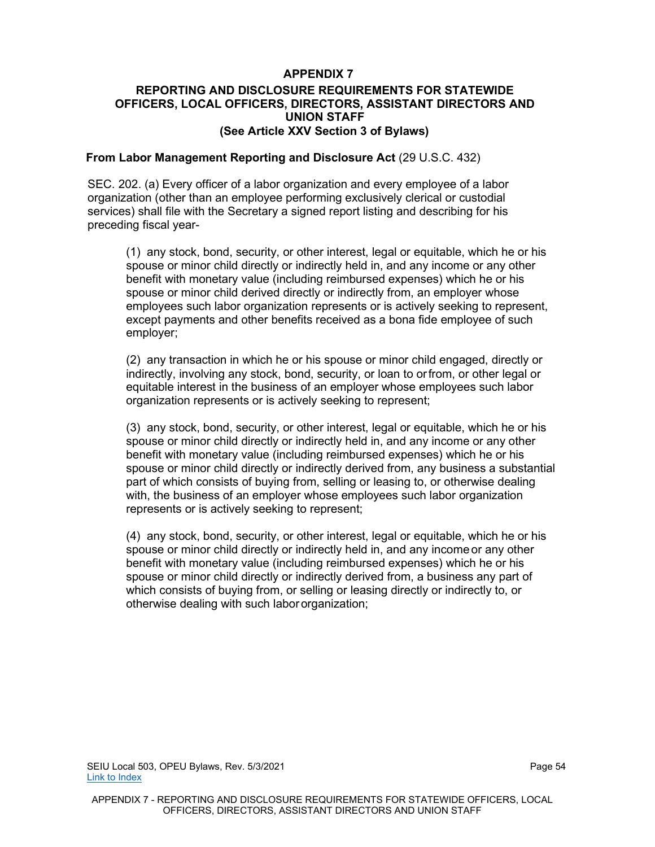# <span id="page-53-0"></span>**APPENDIX 7 REPORTING AND DISCLOSURE REQUIREMENTS FOR STATEWIDE OFFICERS, LOCAL OFFICERS, DIRECTORS, ASSISTANT DIRECTORS AND UNION STAFF (See Article XXV Section 3 of Bylaws)**

#### **From Labor Management Reporting and Disclosure Act** (29 U.S.C. 432)

SEC. 202. (a) Every officer of a labor organization and every employee of a labor organization (other than an employee performing exclusively clerical or custodial services) shall file with the Secretary a signed report listing and describing for his preceding fiscal year-

(1) any stock, bond, security, or other interest, legal or equitable, which he or his spouse or minor child directly or indirectly held in, and any income or any other benefit with monetary value (including reimbursed expenses) which he or his spouse or minor child derived directly or indirectly from, an employer whose employees such labor organization represents or is actively seeking to represent, except payments and other benefits received as a bona fide employee of such employer;

(2) any transaction in which he or his spouse or minor child engaged, directly or indirectly, involving any stock, bond, security, or loan to orfrom, or other legal or equitable interest in the business of an employer whose employees such labor organization represents or is actively seeking to represent;

(3) any stock, bond, security, or other interest, legal or equitable, which he or his spouse or minor child directly or indirectly held in, and any income or any other benefit with monetary value (including reimbursed expenses) which he or his spouse or minor child directly or indirectly derived from, any business a substantial part of which consists of buying from, selling or leasing to, or otherwise dealing with, the business of an employer whose employees such labor organization represents or is actively seeking to represent;

(4) any stock, bond, security, or other interest, legal or equitable, which he or his spouse or minor child directly or indirectly held in, and any income or any other benefit with monetary value (including reimbursed expenses) which he or his spouse or minor child directly or indirectly derived from, a business any part of which consists of buying from, or selling or leasing directly or indirectly to, or otherwise dealing with such labororganization;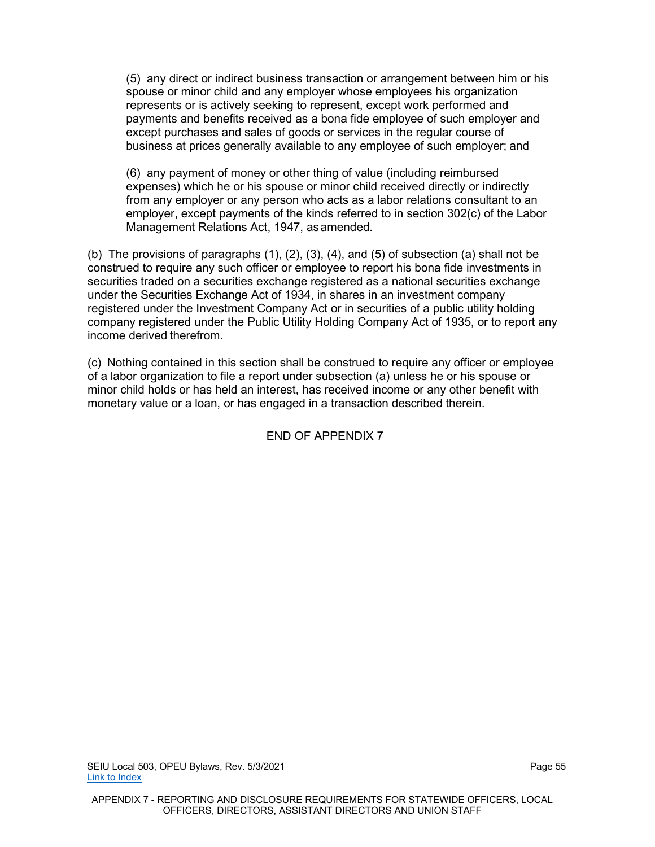(5) any direct or indirect business transaction or arrangement between him or his spouse or minor child and any employer whose employees his organization represents or is actively seeking to represent, except work performed and payments and benefits received as a bona fide employee of such employer and except purchases and sales of goods or services in the regular course of business at prices generally available to any employee of such employer; and

(6) any payment of money or other thing of value (including reimbursed expenses) which he or his spouse or minor child received directly or indirectly from any employer or any person who acts as a labor relations consultant to an employer, except payments of the kinds referred to in section 302(c) of the Labor Management Relations Act, 1947, asamended.

(b) The provisions of paragraphs (1), (2), (3), (4), and (5) of subsection (a) shall not be construed to require any such officer or employee to report his bona fide investments in securities traded on a securities exchange registered as a national securities exchange under the Securities Exchange Act of 1934, in shares in an investment company registered under the Investment Company Act or in securities of a public utility holding company registered under the Public Utility Holding Company Act of 1935, or to report any income derived therefrom.

(c) Nothing contained in this section shall be construed to require any officer or employee of a labor organization to file a report under subsection (a) unless he or his spouse or minor child holds or has held an interest, has received income or any other benefit with monetary value or a loan, or has engaged in a transaction described therein.

END OF APPENDIX 7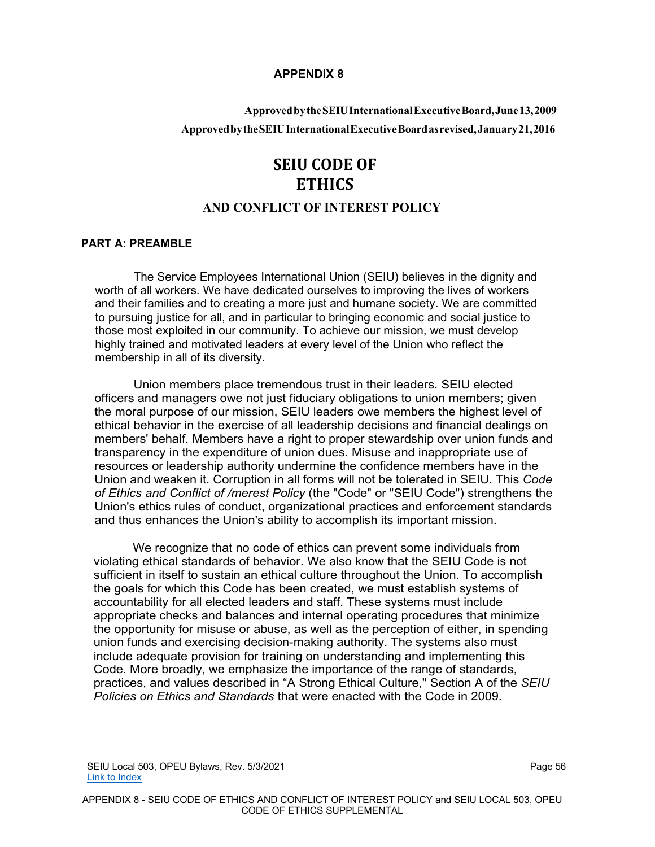#### **APPENDIX 8**

# <span id="page-55-0"></span>**ApprovedbytheSEIUInternationalExecutiveBoard,June13,2009 ApprovedbytheSEIUInternationalExecutiveBoardasrevised,January21,2016**

# **SEIU CODE OF ETHICS**

# **AND CONFLICT OF INTEREST POLICY**

#### **PART A: PREAMBLE**

The Service Employees International Union (SEIU) believes in the dignity and worth of all workers. We have dedicated ourselves to improving the lives of workers and their families and to creating a more just and humane society. We are committed to pursuing justice for all, and in particular to bringing economic and social justice to those most exploited in our community. To achieve our mission, we must develop highly trained and motivated leaders at every level of the Union who reflect the membership in all of its diversity.

Union members place tremendous trust in their leaders. SEIU elected officers and managers owe not just fiduciary obligations to union members; given the moral purpose of our mission, SEIU leaders owe members the highest level of ethical behavior in the exercise of all leadership decisions and financial dealings on members' behalf. Members have a right to proper stewardship over union funds and transparency in the expenditure of union dues. Misuse and inappropriate use of resources or leadership authority undermine the confidence members have in the Union and weaken it. Corruption in all forms will not be tolerated in SEIU. This *Code of Ethics and Conflict of /merest Policy* (the "Code" or "SEIU Code") strengthens the Union's ethics rules of conduct, organizational practices and enforcement standards and thus enhances the Union's ability to accomplish its important mission.

We recognize that no code of ethics can prevent some individuals from violating ethical standards of behavior. We also know that the SEIU Code is not sufficient in itself to sustain an ethical culture throughout the Union. To accomplish the goals for which this Code has been created, we must establish systems of accountability for all elected leaders and staff. These systems must include appropriate checks and balances and internal operating procedures that minimize the opportunity for misuse or abuse, as well as the perception of either, in spending union funds and exercising decision-making authority. The systems also must include adequate provision for training on understanding and implementing this Code. More broadly, we emphasize the importance of the range of standards, practices, and values described in "A Strong Ethical Culture," Section A of the *SEIU Policies on Ethics and Standards* that were enacted with the Code in 2009.

SEIU Local 503, OPEU Bylaws, Rev. 5/3/2021 [Link to Index](#page-0-0)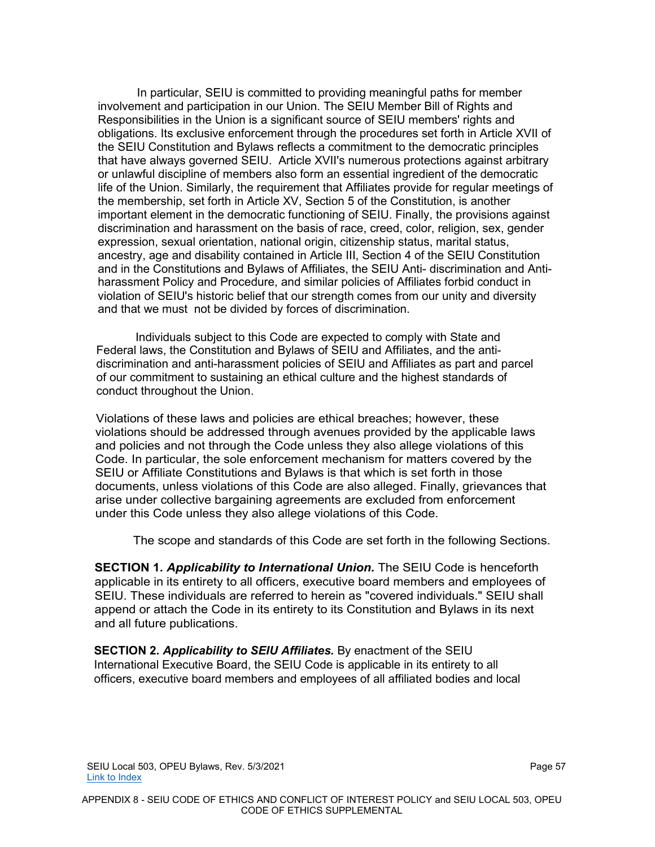In particular, SEIU is committed to providing meaningful paths for member involvement and participation in our Union. The SEIU Member Bill of Rights and Responsibilities in the Union is a significant source of SEIU members' rights and obligations. Its exclusive enforcement through the procedures set forth in Article XVII of the SEIU Constitution and Bylaws reflects a commitment to the democratic principles that have always governed SEIU. Article XVII's numerous protections against arbitrary or unlawful discipline of members also form an essential ingredient of the democratic life of the Union. Similarly, the requirement that Affiliates provide for regular meetings of the membership, set forth in Article XV, Section 5 of the Constitution, is another important element in the democratic functioning of SEIU. Finally, the provisions against discrimination and harassment on the basis of race, creed, color, religion, sex, gender expression, sexual orientation, national origin, citizenship status, marital status, ancestry, age and disability contained in Article III, Section 4 of the SEIU Constitution and in the Constitutions and Bylaws of Affiliates, the SEIU Anti- discrimination and Antiharassment Policy and Procedure, and similar policies of Affiliates forbid conduct in violation of SEIU's historic belief that our strength comes from our unity and diversity and that we must not be divided by forces of discrimination.

Individuals subject to this Code are expected to comply with State and Federal laws, the Constitution and Bylaws of SEIU and Affiliates, and the antidiscrimination and anti-harassment policies of SEIU and Affiliates as part and parcel of our commitment to sustaining an ethical culture and the highest standards of conduct throughout the Union.

Violations of these laws and policies are ethical breaches; however, these violations should be addressed through avenues provided by the applicable laws and policies and not through the Code unless they also allege violations of this Code. In particular, the sole enforcement mechanism for matters covered by the SEIU or Affiliate Constitutions and Bylaws is that which is set forth in those documents, unless violations of this Code are also alleged. Finally, grievances that arise under collective bargaining agreements are excluded from enforcement under this Code unless they also allege violations of this Code.

The scope and standards of this Code are set forth in the following Sections.

**SECTION 1.** *Applicability to International Union.* The SEIU Code is henceforth applicable in its entirety to all officers, executive board members and employees of SEIU. These individuals are referred to herein as "covered individuals." SEIU shall append or attach the Code in its entirety to its Constitution and Bylaws in its next and all future publications.

**SECTION 2.** *Applicability to SEIU Affiliates.* By enactment of the SEIU International Executive Board, the SEIU Code is applicable in its entirety to all officers, executive board members and employees of all affiliated bodies and local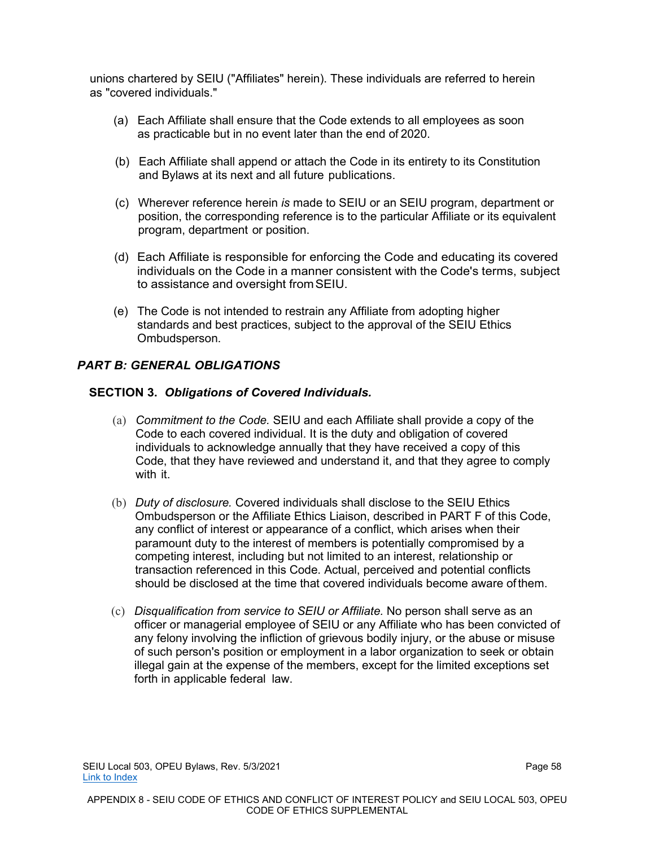unions chartered by SEIU ("Affiliates" herein). These individuals are referred to herein as "covered individuals."

- (a) Each Affiliate shall ensure that the Code extends to all employees as soon as practicable but in no event later than the end of 2020.
- (b) Each Affiliate shall append or attach the Code in its entirety to its Constitution and Bylaws at its next and all future publications.
- (c) Wherever reference herein *is* made to SEIU or an SEIU program, department or position, the corresponding reference is to the particular Affiliate or its equivalent program, department or position.
- (d) Each Affiliate is responsible for enforcing the Code and educating its covered individuals on the Code in a manner consistent with the Code's terms, subject to assistance and oversight fromSEIU.
- (e) The Code is not intended to restrain any Affiliate from adopting higher standards and best practices, subject to the approval of the SEIU Ethics Ombudsperson.

# *PART B: GENERAL OBLIGATIONS*

#### **SECTION 3.** *Obligations of Covered Individuals.*

- (a) *Commitment to the Code.* SEIU and each Affiliate shall provide a copy of the Code to each covered individual. It is the duty and obligation of covered individuals to acknowledge annually that they have received a copy of this Code, that they have reviewed and understand it, and that they agree to comply with it.
- (b) *Duty of disclosure.* Covered individuals shall disclose to the SEIU Ethics Ombudsperson or the Affiliate Ethics Liaison, described in PART F of this Code, any conflict of interest or appearance of a conflict, which arises when their paramount duty to the interest of members is potentially compromised by a competing interest, including but not limited to an interest, relationship or transaction referenced in this Code. Actual, perceived and potential conflicts should be disclosed at the time that covered individuals become aware of them.
- (c) *Disqualification from service to SEIU or Affiliate.* No person shall serve as an officer or managerial employee of SEIU or any Affiliate who has been convicted of any felony involving the infliction of grievous bodily injury, or the abuse or misuse of such person's position or employment in a labor organization to seek or obtain illegal gain at the expense of the members, except for the limited exceptions set forth in applicable federal law.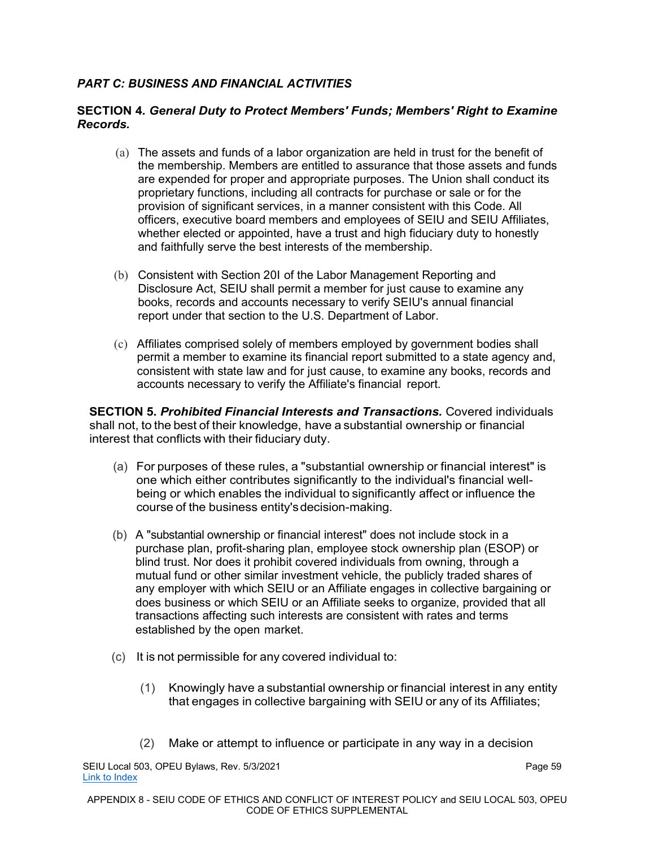# *PART C: BUSINESS AND FINANCIAL ACTIVITIES*

#### **SECTION 4***. General Duty to Protect Members' Funds; Members' Right to Examine Records.*

- (a) The assets and funds of a labor organization are held in trust for the benefit of the membership. Members are entitled to assurance that those assets and funds are expended for proper and appropriate purposes. The Union shall conduct its proprietary functions, including all contracts for purchase or sale or for the provision of significant services, in a manner consistent with this Code. All officers, executive board members and employees of SEIU and SEIU Affiliates, whether elected or appointed, have a trust and high fiduciary duty to honestly and faithfully serve the best interests of the membership.
- (b) Consistent with Section 20I of the Labor Management Reporting and Disclosure Act, SEIU shall permit a member for just cause to examine any books, records and accounts necessary to verify SEIU's annual financial report under that section to the U.S. Department of Labor.
- (c) Affiliates comprised solely of members employed by government bodies shall permit a member to examine its financial report submitted to a state agency and, consistent with state law and for just cause, to examine any books, records and accounts necessary to verify the Affiliate's financial report.

**SECTION 5.** *Prohibited Financial Interests and Transactions.* Covered individuals shall not, to the best of their knowledge, have a substantial ownership or financial interest that conflicts with their fiduciary duty.

- (a) For purposes of these rules, a "substantial ownership or financial interest" is one which either contributes significantly to the individual's financial wellbeing or which enables the individual to significantly affect or influence the course of the business entity'sdecision-making.
- (b) A "substantial ownership or financial interest" does not include stock in a purchase plan, profit-sharing plan, employee stock ownership plan (ESOP) or blind trust. Nor does it prohibit covered individuals from owning, through a mutual fund or other similar investment vehicle, the publicly traded shares of any employer with which SEIU or an Affiliate engages in collective bargaining or does business or which SEIU or an Affiliate seeks to organize, provided that all transactions affecting such interests are consistent with rates and terms established by the open market.
- (c) It is not permissible for any covered individual to:
	- (1) Knowingly have a substantial ownership or financial interest in any entity that engages in collective bargaining with SEIU or any of its Affiliates;
	- (2) Make or attempt to influence or participate in any way in a decision

SEIU Local 503, OPEU Bylaws, Rev. 5/3/2021 [Link to Index](#page-0-0)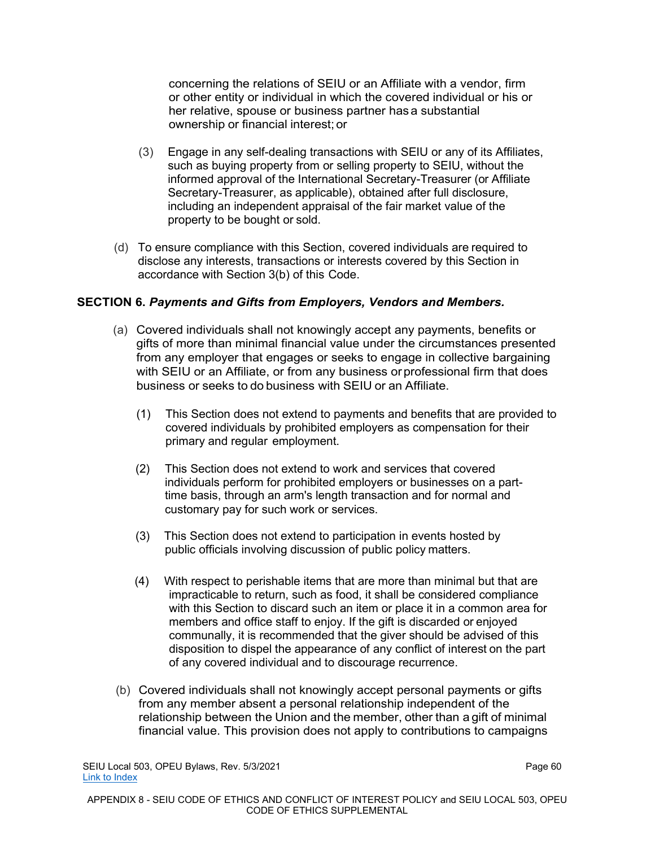concerning the relations of SEIU or an Affiliate with a vendor, firm or other entity or individual in which the covered individual or his or her relative, spouse or business partner hasa substantial ownership or financial interest; or

- (3) Engage in any self-dealing transactions with SEIU or any of its Affiliates, such as buying property from or selling property to SEIU, without the informed approval of the International Secretary-Treasurer (or Affiliate Secretary-Treasurer, as applicable), obtained after full disclosure, including an independent appraisal of the fair market value of the property to be bought or sold.
- (d) To ensure compliance with this Section, covered individuals are required to disclose any interests, transactions or interests covered by this Section in accordance with Section 3(b) of this Code.

#### **SECTION 6.** *Payments and Gifts from Employers, Vendors and Members.*

- (a) Covered individuals shall not knowingly accept any payments, benefits or gifts of more than minimal financial value under the circumstances presented from any employer that engages or seeks to engage in collective bargaining with SEIU or an Affiliate, or from any business or professional firm that does business or seeks to do business with SEIU or an Affiliate.
	- (1) This Section does not extend to payments and benefits that are provided to covered individuals by prohibited employers as compensation for their primary and regular employment.
	- (2) This Section does not extend to work and services that covered individuals perform for prohibited employers or businesses on a parttime basis, through an arm's length transaction and for normal and customary pay for such work or services.
	- (3) This Section does not extend to participation in events hosted by public officials involving discussion of public policy matters.
	- (4) With respect to perishable items that are more than minimal but that are impracticable to return, such as food, it shall be considered compliance with this Section to discard such an item or place it in a common area for members and office staff to enjoy. If the gift is discarded or enjoyed communally, it is recommended that the giver should be advised of this disposition to dispel the appearance of any conflict of interest on the part of any covered individual and to discourage recurrence.
- (b) Covered individuals shall not knowingly accept personal payments or gifts from any member absent a personal relationship independent of the relationship between the Union and the member, other than a gift of minimal financial value. This provision does not apply to contributions to campaigns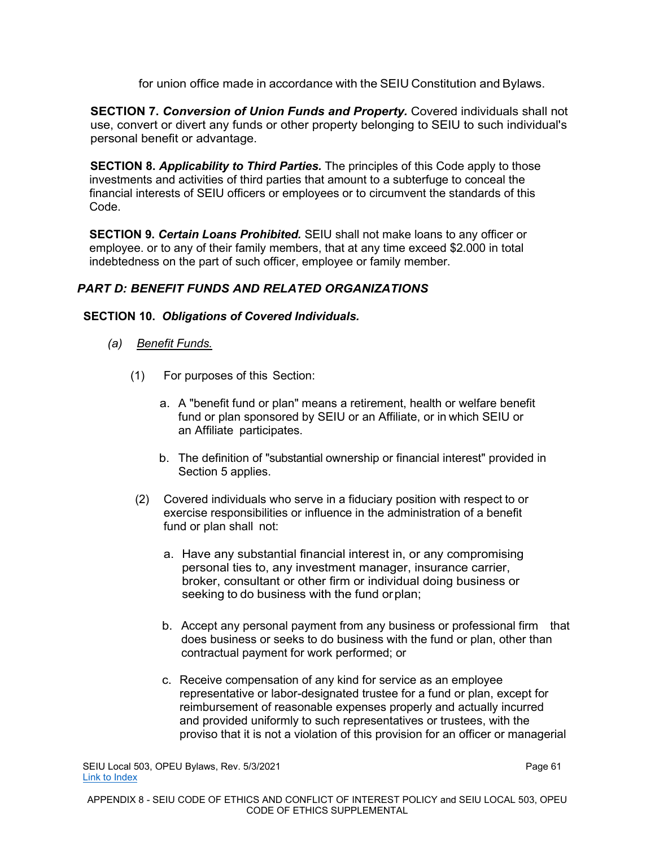for union office made in accordance with the SEIU Constitution and Bylaws.

**SECTION 7.** *Conversion of Union Funds and Property.* Covered individuals shall not use, convert or divert any funds or other property belonging to SEIU to such individual's personal benefit or advantage.

**SECTION 8.** *Applicability to Third Parties.* The principles of this Code apply to those investments and activities of third parties that amount to a subterfuge to conceal the financial interests of SEIU officers or employees or to circumvent the standards of this Code.

**SECTION 9.** *Certain Loans Prohibited.* SEIU shall not make loans to any officer or employee. or to any of their family members, that at any time exceed \$2.000 in total indebtedness on the part of such officer, employee or family member.

# *PART D: BENEFIT FUNDS AND RELATED ORGANIZATIONS*

#### **SECTION 10.** *Obligations of Covered Individuals.*

- *(a) Benefit Funds.*
	- (1) For purposes of this Section:
		- a. A "benefit fund or plan" means a retirement, health or welfare benefit fund or plan sponsored by SEIU or an Affiliate, or in which SEIU or an Affiliate participates.
		- b. The definition of "substantial ownership or financial interest" provided in Section 5 applies.
	- (2) Covered individuals who serve in a fiduciary position with respect to or exercise responsibilities or influence in the administration of a benefit fund or plan shall not:
		- a. Have any substantial financial interest in, or any compromising personal ties to, any investment manager, insurance carrier, broker, consultant or other firm or individual doing business or seeking to do business with the fund orplan;
		- b. Accept any personal payment from any business or professional firm that does business or seeks to do business with the fund or plan, other than contractual payment for work performed; or
		- c. Receive compensation of any kind for service as an employee representative or labor-designated trustee for a fund or plan, except for reimbursement of reasonable expenses properly and actually incurred and provided uniformly to such representatives or trustees, with the proviso that it is not a violation of this provision for an officer or managerial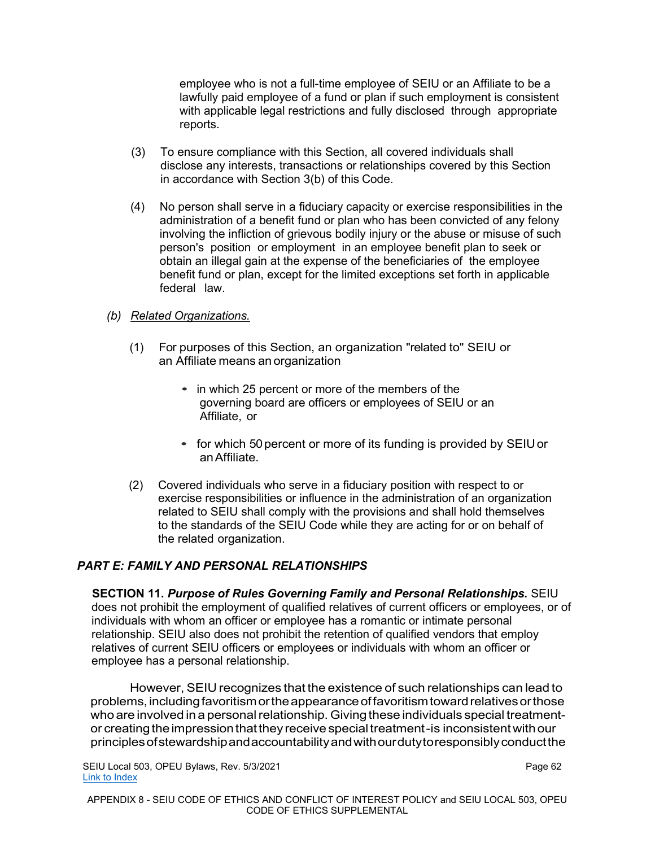employee who is not a full-time employee of SEIU or an Affiliate to be a lawfully paid employee of a fund or plan if such employment is consistent with applicable legal restrictions and fully disclosed through appropriate reports.

- (3) To ensure compliance with this Section, all covered individuals shall disclose any interests, transactions or relationships covered by this Section in accordance with Section 3(b) of this Code.
- (4) No person shall serve in a fiduciary capacity or exercise responsibilities in the administration of a benefit fund or plan who has been convicted of any felony involving the infliction of grievous bodily injury or the abuse or misuse of such person's position or employment in an employee benefit plan to seek or obtain an illegal gain at the expense of the beneficiaries of the employee benefit fund or plan, except for the limited exceptions set forth in applicable federal law.

# *(b) Related Organizations.*

- (1) For purposes of this Section, an organization "related to" SEIU or an Affiliate means an organization
	- in which 25 percent or more of the members of the governing board are officers or employees of SEIU or an Affiliate, or
	- for which 50 percent or more of its funding is provided by SEIU or anAffiliate.
- (2) Covered individuals who serve in a fiduciary position with respect to or exercise responsibilities or influence in the administration of an organization related to SEIU shall comply with the provisions and shall hold themselves to the standards of the SEIU Code while they are acting for or on behalf of the related organization.

# *PART E: FAMILY AND PERSONAL RELATIONSHIPS*

**SECTION 11.** *Purpose of Rules Governing Family and Personal Relationships.* SEIU does not prohibit the employment of qualified relatives of current officers or employees, or of individuals with whom an officer or employee has a romantic or intimate personal relationship. SEIU also does not prohibit the retention of qualified vendors that employ relatives of current SEIU officers or employees or individuals with whom an officer or employee has a personal relationship.

However, SEIU recognizes that the existence of such relationships can lead to problems,includingfavoritismortheappearanceoffavoritismtowardrelativesorthose who are involved in a personal relationship. Giving these individuals special treatmentor creating the impression that they receive special treatment-is inconsistent with our principlesofstewardshipandaccountabilityandwithourdutytoresponsiblyconductthe

SEIU Local 503, OPEU Bylaws, Rev. 5/3/2021 [Link to Index](#page-0-0)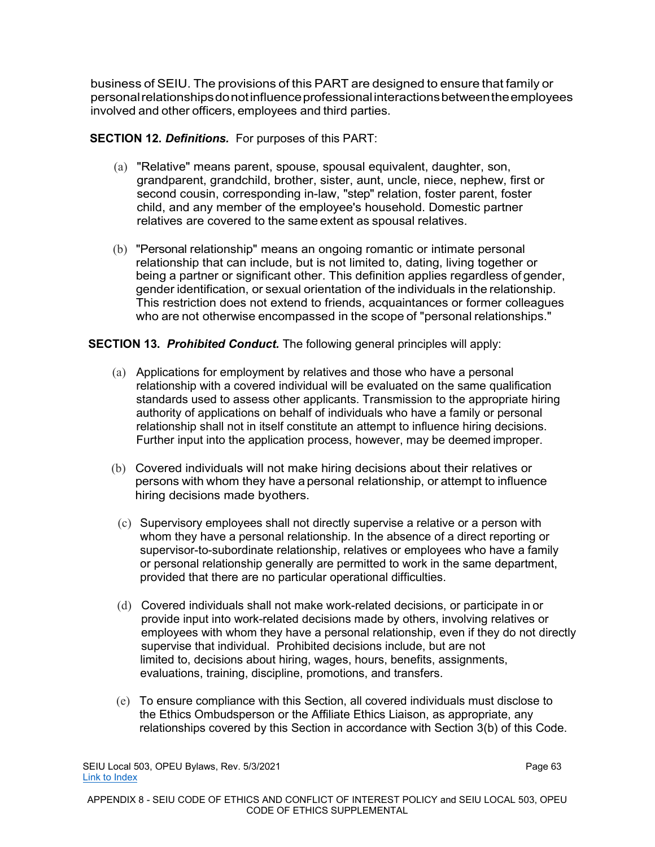business of SEIU. The provisions of this PART are designed to ensure that family or personalrelationshipsdonotinfluenceprofessionalinteractionsbetweentheemployees involved and other officers, employees and third parties.

**SECTION 12.** *Definitions.* For purposes of this PART:

- (a) "Relative" means parent, spouse, spousal equivalent, daughter, son, grandparent, grandchild, brother, sister, aunt, uncle, niece, nephew, first or second cousin, corresponding in-law, "step" relation, foster parent, foster child, and any member of the employee's household. Domestic partner relatives are covered to the same extent as spousal relatives.
- (b) "Personal relationship" means an ongoing romantic or intimate personal relationship that can include, but is not limited to, dating, living together or being a partner or significant other. This definition applies regardless of gender, gender identification, or sexual orientation of the individuals in the relationship. This restriction does not extend to friends, acquaintances or former colleagues who are not otherwise encompassed in the scope of "personal relationships."

# **SECTION 13.** *Prohibited Conduct.* The following general principles will apply:

- (a) Applications for employment by relatives and those who have a personal relationship with a covered individual will be evaluated on the same qualification standards used to assess other applicants. Transmission to the appropriate hiring authority of applications on behalf of individuals who have a family or personal relationship shall not in itself constitute an attempt to influence hiring decisions. Further input into the application process, however, may be deemed improper.
- (b) Covered individuals will not make hiring decisions about their relatives or persons with whom they have a personal relationship, or attempt to influence hiring decisions made byothers.
- (c) Supervisory employees shall not directly supervise a relative or a person with whom they have a personal relationship. In the absence of a direct reporting or supervisor-to-subordinate relationship, relatives or employees who have a family or personal relationship generally are permitted to work in the same department, provided that there are no particular operational difficulties.
- (d) Covered individuals shall not make work-related decisions, or participate in or provide input into work-related decisions made by others, involving relatives or employees with whom they have a personal relationship, even if they do not directly supervise that individual. Prohibited decisions include, but are not limited to, decisions about hiring, wages, hours, benefits, assignments, evaluations, training, discipline, promotions, and transfers.
- (e) To ensure compliance with this Section, all covered individuals must disclose to the Ethics Ombudsperson or the Affiliate Ethics Liaison, as appropriate, any relationships covered by this Section in accordance with Section 3(b) of this Code.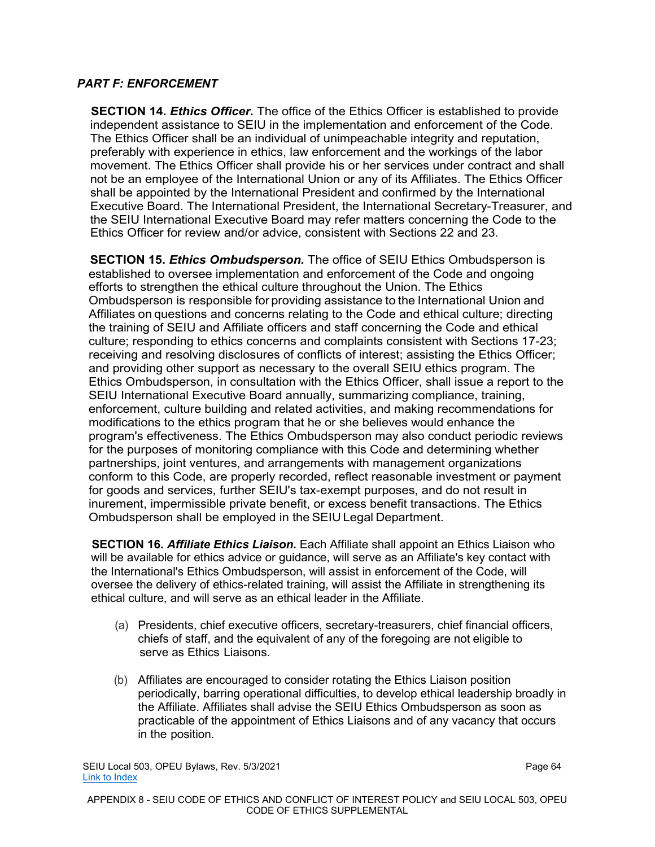#### *PART F: ENFORCEMENT*

**SECTION 14.** *Ethics Officer.* The office of the Ethics Officer is established to provide independent assistance to SEIU in the implementation and enforcement of the Code. The Ethics Officer shall be an individual of unimpeachable integrity and reputation, preferably with experience in ethics, law enforcement and the workings of the labor movement. The Ethics Officer shall provide his or her services under contract and shall not be an employee of the International Union or any of its Affiliates. The Ethics Officer shall be appointed by the International President and confirmed by the International Executive Board. The International President, the International Secretary-Treasurer, and the SEIU International Executive Board may refer matters concerning the Code to the Ethics Officer for review and/or advice, consistent with Sections 22 and 23.

**SECTION 15.** *Ethics Ombudsperson.* The office of SEIU Ethics Ombudsperson is established to oversee implementation and enforcement of the Code and ongoing efforts to strengthen the ethical culture throughout the Union. The Ethics Ombudsperson is responsible for providing assistance to the International Union and Affiliates on questions and concerns relating to the Code and ethical culture; directing the training of SEIU and Affiliate officers and staff concerning the Code and ethical culture; responding to ethics concerns and complaints consistent with Sections 17-23; receiving and resolving disclosures of conflicts of interest; assisting the Ethics Officer; and providing other support as necessary to the overall SEIU ethics program. The Ethics Ombudsperson, in consultation with the Ethics Officer, shall issue a report to the SEIU International Executive Board annually, summarizing compliance, training, enforcement, culture building and related activities, and making recommendations for modifications to the ethics program that he or she believes would enhance the program's effectiveness. The Ethics Ombudsperson may also conduct periodic reviews for the purposes of monitoring compliance with this Code and determining whether partnerships, joint ventures, and arrangements with management organizations conform to this Code, are properly recorded, reflect reasonable investment or payment for goods and services, further SEIU's tax-exempt purposes, and do not result in inurement, impermissible private benefit, or excess benefit transactions. The Ethics Ombudsperson shall be employed in the SEIU Legal Department.

**SECTION 16.** *Affiliate Ethics Liaison.* Each Affiliate shall appoint an Ethics Liaison who will be available for ethics advice or guidance, will serve as an Affiliate's key contact with the International's Ethics Ombudsperson, will assist in enforcement of the Code, will oversee the delivery of ethics-related training, will assist the Affiliate in strengthening its ethical culture, and will serve as an ethical leader in the Affiliate.

- (a) Presidents, chief executive officers, secretary-treasurers, chief financial officers, chiefs of staff, and the equivalent of any of the foregoing are not eligible to serve as Ethics Liaisons.
- (b) Affiliates are encouraged to consider rotating the Ethics Liaison position periodically, barring operational difficulties, to develop ethical leadership broadly in the Affiliate. Affiliates shall advise the SEIU Ethics Ombudsperson as soon as practicable of the appointment of Ethics Liaisons and of any vacancy that occurs in the position.

SEIU Local 503, OPEU Bylaws, Rev. 5/3/2021 [Link to Index](#page-0-0)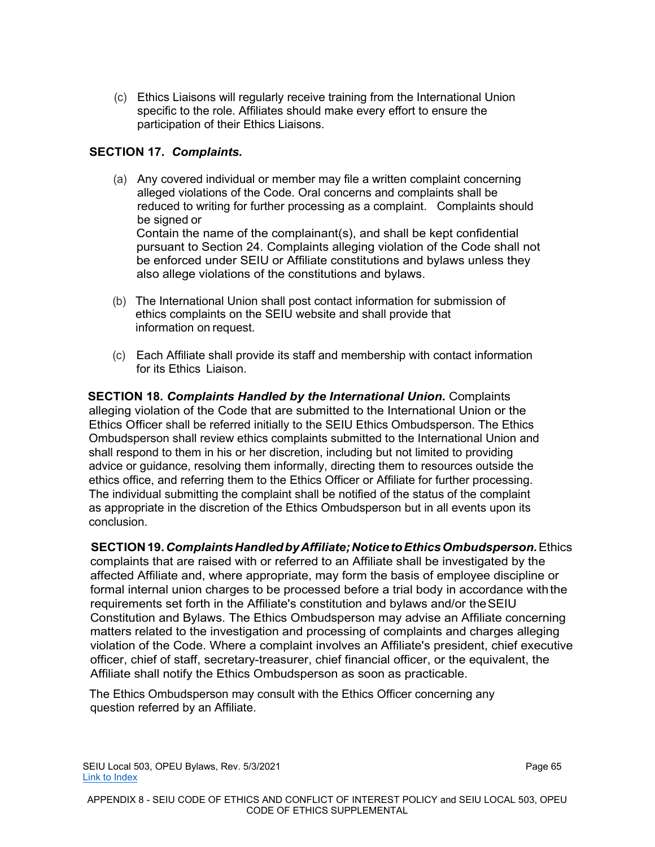(c) Ethics Liaisons will regularly receive training from the International Union specific to the role. Affiliates should make every effort to ensure the participation of their Ethics Liaisons.

# **SECTION 17.** *Complaints.*

- (a) Any covered individual or member may file a written complaint concerning alleged violations of the Code. Oral concerns and complaints shall be reduced to writing for further processing as a complaint. Complaints should be signed or Contain the name of the complainant(s), and shall be kept confidential pursuant to Section 24. Complaints alleging violation of the Code shall not be enforced under SEIU or Affiliate constitutions and bylaws unless they also allege violations of the constitutions and bylaws.
- (b) The International Union shall post contact information for submission of ethics complaints on the SEIU website and shall provide that information on request.
- (c) Each Affiliate shall provide its staff and membership with contact information for its Ethics Liaison.

**SECTION 18.** *Complaints Handled by the International Union.* Complaints alleging violation of the Code that are submitted to the International Union or the Ethics Officer shall be referred initially to the SEIU Ethics Ombudsperson. The Ethics Ombudsperson shall review ethics complaints submitted to the International Union and shall respond to them in his or her discretion, including but not limited to providing advice or guidance, resolving them informally, directing them to resources outside the ethics office, and referring them to the Ethics Officer or Affiliate for further processing. The individual submitting the complaint shall be notified of the status of the complaint as appropriate in the discretion of the Ethics Ombudsperson but in all events upon its conclusion.

**SECTION19.***ComplaintsHandledbyAffiliate;NoticetoEthicsOmbudsperson.*Ethics complaints that are raised with or referred to an Affiliate shall be investigated by the affected Affiliate and, where appropriate, may form the basis of employee discipline or formal internal union charges to be processed before a trial body in accordance withthe requirements set forth in the Affiliate's constitution and bylaws and/or theSEIU Constitution and Bylaws. The Ethics Ombudsperson may advise an Affiliate concerning matters related to the investigation and processing of complaints and charges alleging violation of the Code. Where a complaint involves an Affiliate's president, chief executive officer, chief of staff, secretary-treasurer, chief financial officer, or the equivalent, the Affiliate shall notify the Ethics Ombudsperson as soon as practicable.

The Ethics Ombudsperson may consult with the Ethics Officer concerning any question referred by an Affiliate.

SEIU Local 503, OPEU Bylaws, Rev. 5/3/2021 [Link to Index](#page-0-0)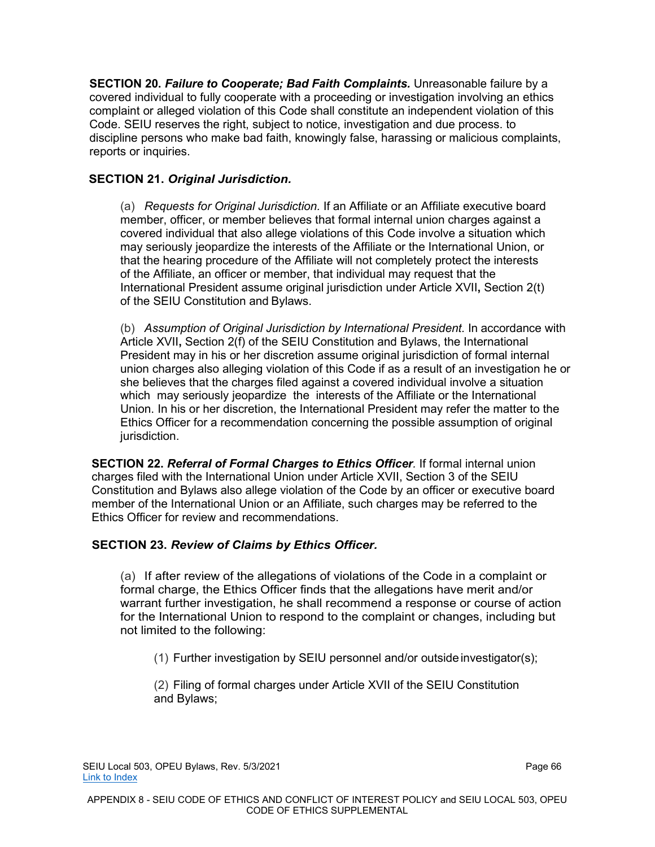**SECTION 20.** *Failure to Cooperate; Bad Faith Complaints.* Unreasonable failure by a covered individual to fully cooperate with a proceeding or investigation involving an ethics complaint or alleged violation of this Code shall constitute an independent violation of this Code. SEIU reserves the right, subject to notice, investigation and due process. to discipline persons who make bad faith, knowingly false, harassing or malicious complaints, reports or inquiries.

# **SECTION 21.** *Original Jurisdiction.*

(a) *Requests for Original Jurisdiction.* If an Affiliate or an Affiliate executive board member, officer, or member believes that formal internal union charges against a covered individual that also allege violations of this Code involve a situation which may seriously jeopardize the interests of the Affiliate or the International Union, or that the hearing procedure of the Affiliate will not completely protect the interests of the Affiliate, an officer or member, that individual may request that the International President assume original jurisdiction under Article XVII**,** Section 2(t) of the SEIU Constitution and Bylaws.

(b) *Assumption of Original Jurisdiction by International President.* In accordance with Article XVII**,** Section 2(f) of the SEIU Constitution and Bylaws, the International President may in his or her discretion assume original jurisdiction of formal internal union charges also alleging violation of this Code if as a result of an investigation he or she believes that the charges filed against a covered individual involve a situation which may seriously jeopardize the interests of the Affiliate or the International Union. In his or her discretion, the International President may refer the matter to the Ethics Officer for a recommendation concerning the possible assumption of original jurisdiction.

**SECTION 22.** *Referral of Formal Charges to Ethics Officer.* If formal internal union charges filed with the International Union under Article XVII, Section 3 of the SEIU Constitution and Bylaws also allege violation of the Code by an officer or executive board member of the International Union or an Affiliate, such charges may be referred to the Ethics Officer for review and recommendations.

# **SECTION 23.** *Review of Claims by Ethics Officer.*

(a) If after review of the allegations of violations of the Code in a complaint or formal charge, the Ethics Officer finds that the allegations have merit and/or warrant further investigation, he shall recommend a response or course of action for the International Union to respond to the complaint or changes, including but not limited to the following:

(1) Further investigation by SEIU personnel and/or outside investigator(s);

(2) Filing of formal charges under Article XVII of the SEIU Constitution and Bylaws;

SEIU Local 503, OPEU Bylaws, Rev. 5/3/2021 [Link to Index](#page-0-0)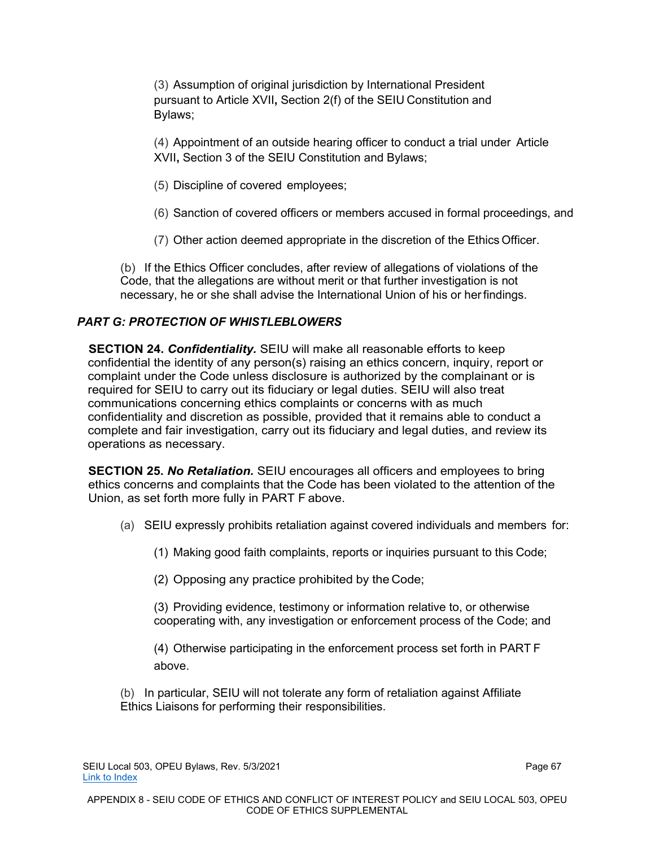(3) Assumption of original jurisdiction by International President pursuant to Article XVII**,** Section 2(f) of the SEIU Constitution and Bylaws;

(4) Appointment of an outside hearing officer to conduct a trial under Article XVII**,** Section 3 of the SEIU Constitution and Bylaws;

- (5) Discipline of covered employees;
- (6) Sanction of covered officers or members accused in formal proceedings, and
- (7) Other action deemed appropriate in the discretion of the Ethics Officer.

(b) If the Ethics Officer concludes, after review of allegations of violations of the Code, that the allegations are without merit or that further investigation is not necessary, he or she shall advise the International Union of his or herfindings.

# *PART G: PROTECTION OF WHISTLEBLOWERS*

**SECTION 24.** *Confidentiality.* SEIU will make all reasonable efforts to keep confidential the identity of any person(s) raising an ethics concern, inquiry, report or complaint under the Code unless disclosure is authorized by the complainant or is required for SEIU to carry out its fiduciary or legal duties. SEIU will also treat communications concerning ethics complaints or concerns with as much confidentiality and discretion as possible, provided that it remains able to conduct a complete and fair investigation, carry out its fiduciary and legal duties, and review its operations as necessary.

**SECTION 25.** *No Retaliation.* SEIU encourages all officers and employees to bring ethics concerns and complaints that the Code has been violated to the attention of the Union, as set forth more fully in PART F above.

- (a) SEIU expressly prohibits retaliation against covered individuals and members for:
	- (1) Making good faith complaints, reports or inquiries pursuant to this Code;
	- (2) Opposing any practice prohibited by the Code;

(3) Providing evidence, testimony or information relative to, or otherwise cooperating with, any investigation or enforcement process of the Code; and

(4) Otherwise participating in the enforcement process set forth in PART F above.

(b) In particular, SEIU will not tolerate any form of retaliation against Affiliate Ethics Liaisons for performing their responsibilities.